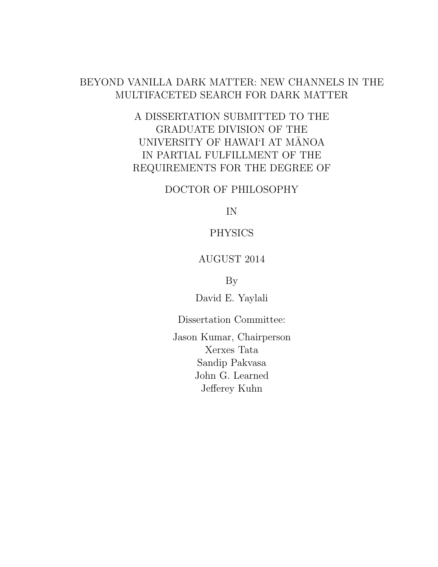# BEYOND VANILLA DARK MATTER: NEW CHANNELS IN THE MULTIFACETED SEARCH FOR DARK MATTER

# A DISSERTATION SUBMITTED TO THE GRADUATE DIVISION OF THE UNIVERSITY OF HAWAI'I AT MĀNOA IN PARTIAL FULFILLMENT OF THE REQUIREMENTS FOR THE DEGREE OF

### DOCTOR OF PHILOSOPHY

IN

### PHYSICS

### AUGUST 2014

By

David E. Yaylali

Dissertation Committee:

Jason Kumar, Chairperson Xerxes Tata Sandip Pakvasa John G. Learned Jefferey Kuhn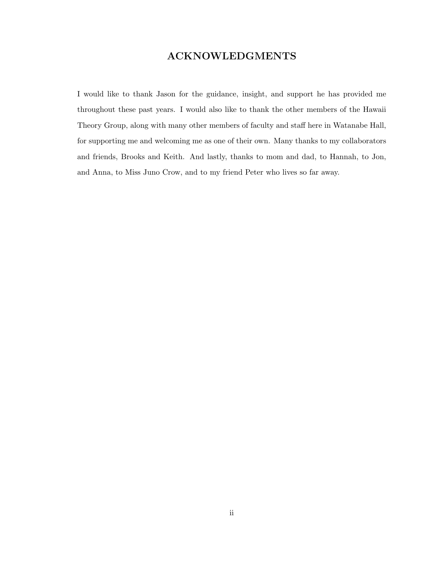### ACKNOWLEDGMENTS

I would like to thank Jason for the guidance, insight, and support he has provided me throughout these past years. I would also like to thank the other members of the Hawaii Theory Group, along with many other members of faculty and staff here in Watanabe Hall, for supporting me and welcoming me as one of their own. Many thanks to my collaborators and friends, Brooks and Keith. And lastly, thanks to mom and dad, to Hannah, to Jon, and Anna, to Miss Juno Crow, and to my friend Peter who lives so far away.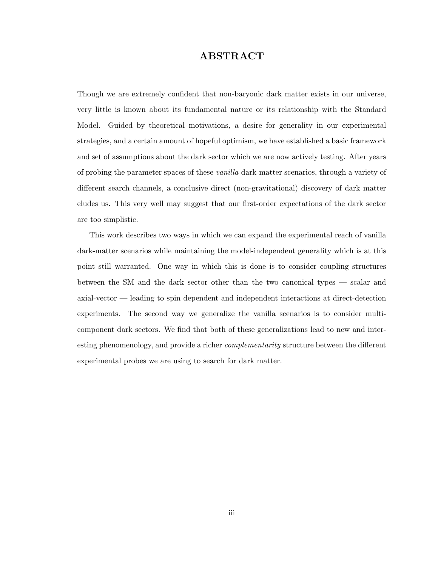### ABSTRACT

Though we are extremely confident that non-baryonic dark matter exists in our universe, very little is known about its fundamental nature or its relationship with the Standard Model. Guided by theoretical motivations, a desire for generality in our experimental strategies, and a certain amount of hopeful optimism, we have established a basic framework and set of assumptions about the dark sector which we are now actively testing. After years of probing the parameter spaces of these vanilla dark-matter scenarios, through a variety of different search channels, a conclusive direct (non-gravitational) discovery of dark matter eludes us. This very well may suggest that our first-order expectations of the dark sector are too simplistic.

This work describes two ways in which we can expand the experimental reach of vanilla dark-matter scenarios while maintaining the model-independent generality which is at this point still warranted. One way in which this is done is to consider coupling structures between the SM and the dark sector other than the two canonical types — scalar and axial-vector — leading to spin dependent and independent interactions at direct-detection experiments. The second way we generalize the vanilla scenarios is to consider multicomponent dark sectors. We find that both of these generalizations lead to new and interesting phenomenology, and provide a richer *complementarity* structure between the different experimental probes we are using to search for dark matter.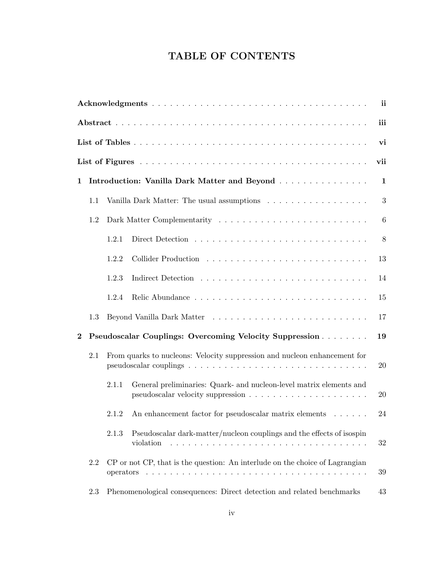# TABLE OF CONTENTS

|             | ii  |       |                                                                                    |                  |  |  |  |  |  |
|-------------|-----|-------|------------------------------------------------------------------------------------|------------------|--|--|--|--|--|
| iii         |     |       |                                                                                    |                  |  |  |  |  |  |
| vi          |     |       |                                                                                    |                  |  |  |  |  |  |
| vii         |     |       |                                                                                    |                  |  |  |  |  |  |
| $\mathbf 1$ |     |       | Introduction: Vanilla Dark Matter and Beyond                                       | 1                |  |  |  |  |  |
|             | 1.1 |       | Vanilla Dark Matter: The usual assumptions                                         | $\boldsymbol{3}$ |  |  |  |  |  |
|             | 1.2 |       |                                                                                    | $\,6\,$          |  |  |  |  |  |
|             |     | 1.2.1 |                                                                                    | 8                |  |  |  |  |  |
|             |     | 1.2.2 |                                                                                    | 13               |  |  |  |  |  |
|             |     | 1.2.3 |                                                                                    | 14               |  |  |  |  |  |
|             |     | 1.2.4 |                                                                                    | 15               |  |  |  |  |  |
|             | 1.3 |       |                                                                                    | 17               |  |  |  |  |  |
| $\bf{2}$    |     |       | <b>Pseudoscalar Couplings: Overcoming Velocity Suppression</b>                     | 19               |  |  |  |  |  |
|             | 2.1 |       | From quarks to nucleons: Velocity suppression and nucleon enhancement for          | 20               |  |  |  |  |  |
|             |     | 2.1.1 | General preliminaries: Quark- and nucleon-level matrix elements and                | 20               |  |  |  |  |  |
|             |     | 2.1.2 | An enhancement factor for pseudoscalar matrix elements $\dots \dots$               | 24               |  |  |  |  |  |
|             |     | 2.1.3 | Pseudoscalar dark-matter/nucleon couplings and the effects of isospin<br>violation | 32               |  |  |  |  |  |
|             | 2.2 |       | CP or not CP, that is the question: An interlude on the choice of Lagrangian       | 39               |  |  |  |  |  |
|             | 2.3 |       | Phenomenological consequences: Direct detection and related benchmarks             | 43               |  |  |  |  |  |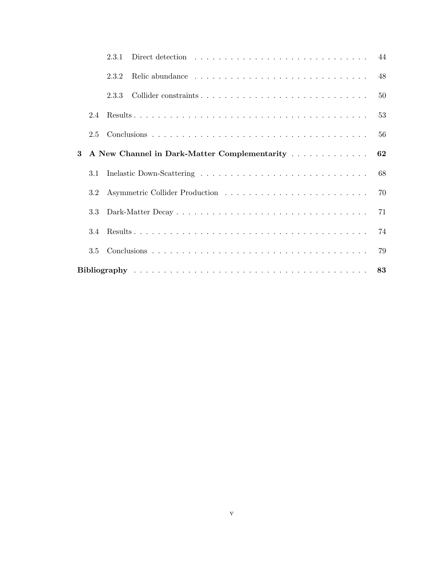|   |     | 2.3.1 |                                              |    |
|---|-----|-------|----------------------------------------------|----|
|   |     | 2.3.2 |                                              |    |
|   |     | 2.3.3 |                                              |    |
|   | 2.4 |       |                                              | 53 |
|   | 2.5 |       |                                              |    |
| 3 |     |       | A New Channel in Dark-Matter Complementarity | 62 |
|   | 3.1 |       |                                              | 68 |
|   | 3.2 |       |                                              | 70 |
|   | 3.3 |       |                                              | 71 |
|   |     |       |                                              | 74 |
|   | 3.5 |       |                                              |    |
|   |     |       |                                              |    |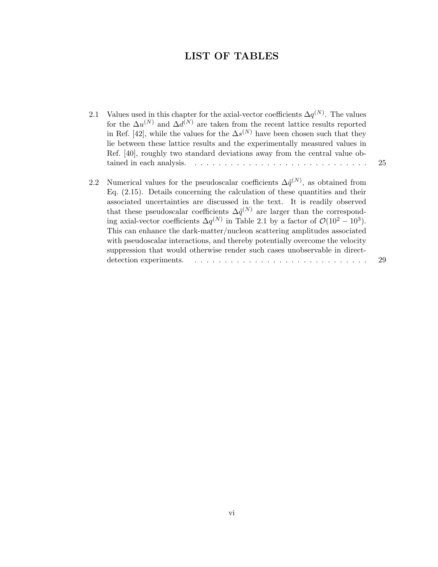## LIST OF TABLES

- 2.1 Values used in this chapter for the axial-vector coefficients  $\Delta q^{(N)}$ . The values for the  $\Delta u^{(N)}$  and  $\Delta d^{(N)}$  are taken from the recent lattice results reported in Ref. [42], while the values for the  $\Delta s^{(N)}$  have been chosen such that they lie between these lattice results and the experimentally measured values in Ref. [40], roughly two standard deviations away from the central value obtained in each analysis.  $\ldots \ldots \ldots \ldots \ldots \ldots \ldots \ldots \ldots \ldots$  25
- 2.2 Numerical values for the pseudoscalar coefficients  $\Delta \tilde{q}^{(N)}$ , as obtained from Eq. (2.15). Details concerning the calculation of these quantities and their associated uncertainties are discussed in the text. It is readily observed that these pseudoscalar coefficients  $\Delta \tilde{q}^{(N)}$  are larger than the corresponding axial-vector coefficients  $\Delta q^{(N)}$  in Table 2.1 by a factor of  $\mathcal{O}(10^2-10^3)$ . This can enhance the dark-matter/nucleon scattering amplitudes associated with pseudoscalar interactions, and thereby potentially overcome the velocity suppression that would otherwise render such cases unobservable in directdetection experiments. . . . . . . . . . . . . . . . . . . . . . . . . . . . . . 29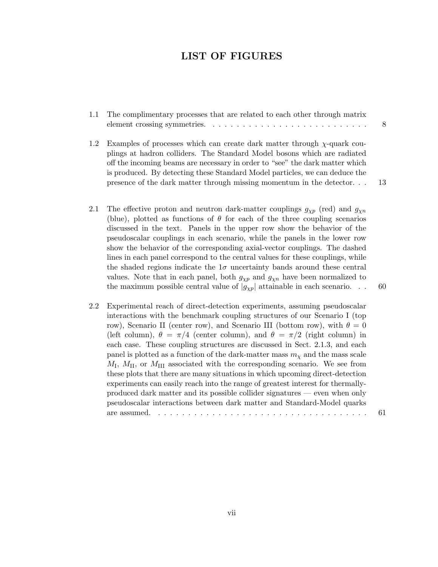### LIST OF FIGURES

| 1.1 | The complimentary processes that are related to each other through matrix<br>element crossing symmetries. $\dots \dots \dots \dots \dots \dots \dots \dots \dots \dots \dots$                                                                                                                                                                                                                    | 8    |
|-----|--------------------------------------------------------------------------------------------------------------------------------------------------------------------------------------------------------------------------------------------------------------------------------------------------------------------------------------------------------------------------------------------------|------|
| 1.2 | Examples of processes which can create dark matter through $\chi$ -quark cou-<br>plings at hadron colliders. The Standard Model bosons which are radiated<br>off the incoming beams are necessary in order to "see" the dark matter which<br>is produced. By detecting these Standard Model particles, we can deduce the<br>presence of the dark matter through missing momentum in the detector | - 13 |
| 2.1 | The effective proton and neutron dark-matter couplings $g_{\chi p}$ (red) and $g_{\chi n}$<br>(blue), plotted as functions of $\theta$ for each of the three coupling scenarios                                                                                                                                                                                                                  |      |

- discussed in the text. Panels in the upper row show the behavior of the pseudoscalar couplings in each scenario, while the panels in the lower row show the behavior of the corresponding axial-vector couplings. The dashed lines in each panel correspond to the central values for these couplings, while the shaded regions indicate the  $1\sigma$  uncertainty bands around these central values. Note that in each panel, both  $g_{\chi p}$  and  $g_{\chi n}$  have been normalized to the maximum possible central value of  $|g_{\chi p}|$  attainable in each scenario. . . 60
- 2.2 Experimental reach of direct-detection experiments, assuming pseudoscalar interactions with the benchmark coupling structures of our Scenario I (top row), Scenario II (center row), and Scenario III (bottom row), with  $\theta = 0$ (left column),  $\theta = \pi/4$  (center column), and  $\theta = \pi/2$  (right column) in each case. These coupling structures are discussed in Sect. 2.1.3, and each panel is plotted as a function of the dark-matter mass  $m<sub>\chi</sub>$  and the mass scale  $M_{\rm I}$ ,  $M_{\rm II}$ , or  $M_{\rm III}$  associated with the corresponding scenario. We see from these plots that there are many situations in which upcoming direct-detection experiments can easily reach into the range of greatest interest for thermallyproduced dark matter and its possible collider signatures — even when only pseudoscalar interactions between dark matter and Standard-Model quarks are assumed. . . . . . . . . . . . . . . . . . . . . . . . . . . . . . . . . . . . 61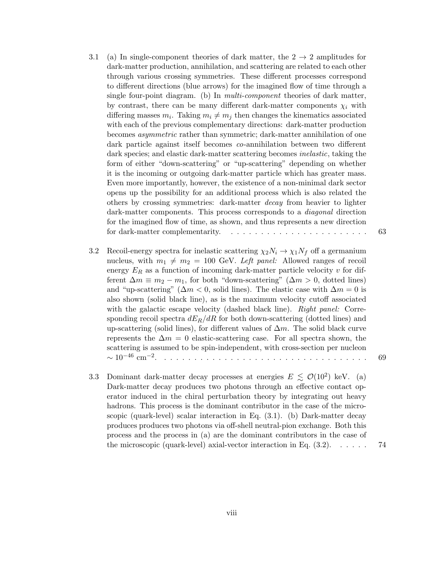- 3.1 (a) In single-component theories of dark matter, the  $2 \rightarrow 2$  amplitudes for dark-matter production, annihilation, and scattering are related to each other through various crossing symmetries. These different processes correspond to different directions (blue arrows) for the imagined flow of time through a single four-point diagram. (b) In multi-component theories of dark matter, by contrast, there can be many different dark-matter components  $\chi_i$  with differing masses  $m_i$ . Taking  $m_i \neq m_j$  then changes the kinematics associated with each of the previous complementary directions: dark-matter production becomes asymmetric rather than symmetric; dark-matter annihilation of one dark particle against itself becomes co-annihilation between two different dark species; and elastic dark-matter scattering becomes *inelastic*, taking the form of either "down-scattering" or "up-scattering" depending on whether it is the incoming or outgoing dark-matter particle which has greater mass. Even more importantly, however, the existence of a non-minimal dark sector opens up the possibility for an additional process which is also related the others by crossing symmetries: dark-matter decay from heavier to lighter dark-matter components. This process corresponds to a *diagonal* direction for the imagined flow of time, as shown, and thus represents a new direction for dark-matter complementarity. . . . . . . . . . . . . . . . . . . . . . . . 63
- 3.2 Recoil-energy spectra for inelastic scattering  $\chi_2 N_i \to \chi_1 N_f$  off a germanium nucleus, with  $m_1 \neq m_2 = 100$  GeV. Left panel: Allowed ranges of recoil energy  $E_R$  as a function of incoming dark-matter particle velocity v for different  $\Delta m \equiv m_2 - m_1$ , for both "down-scattering" ( $\Delta m > 0$ , dotted lines) and "up-scattering" ( $\Delta m < 0$ , solid lines). The elastic case with  $\Delta m = 0$  is also shown (solid black line), as is the maximum velocity cutoff associated with the galactic escape velocity (dashed black line). Right panel: Corresponding recoil spectra  $dE_R/dR$  for both down-scattering (dotted lines) and up-scattering (solid lines), for different values of  $\Delta m$ . The solid black curve represents the  $\Delta m = 0$  elastic-scattering case. For all spectra shown, the scattering is assumed to be spin-independent, with cross-section per nucleon ∼ 10−<sup>46</sup> cm−<sup>2</sup> . . . . . . . . . . . . . . . . . . . . . . . . . . . . . . . . . . . 69
- 3.3 Dominant dark-matter decay processes at energies  $E \leq \mathcal{O}(10^2)$  keV. (a) Dark-matter decay produces two photons through an effective contact operator induced in the chiral perturbation theory by integrating out heavy hadrons. This process is the dominant contributor in the case of the microscopic (quark-level) scalar interaction in Eq. (3.1). (b) Dark-matter decay produces produces two photons via off-shell neutral-pion exchange. Both this process and the process in (a) are the dominant contributors in the case of the microscopic (quark-level) axial-vector interaction in Eq.  $(3.2)$ .  $\ldots$  . . . . . 74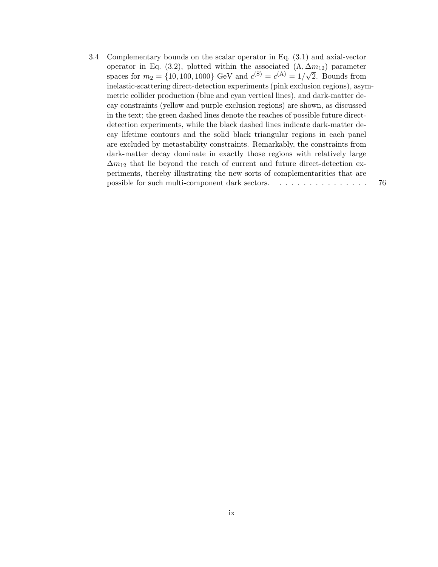3.4 Complementary bounds on the scalar operator in Eq. (3.1) and axial-vector operator in Eq. (3.2), plotted within the associated  $(\Lambda, \Delta m_{12})$  parameter spaces for  $m_2 = \{10, 100, 1000\}$  GeV and  $c^{(S)} = c^{(A)} = 1/\sqrt{2}$ . Bounds from inelastic-scattering direct-detection experiments (pink exclusion regions), asymmetric collider production (blue and cyan vertical lines), and dark-matter decay constraints (yellow and purple exclusion regions) are shown, as discussed in the text; the green dashed lines denote the reaches of possible future directdetection experiments, while the black dashed lines indicate dark-matter decay lifetime contours and the solid black triangular regions in each panel are excluded by metastability constraints. Remarkably, the constraints from dark-matter decay dominate in exactly those regions with relatively large  $\Delta m_{12}$  that lie beyond the reach of current and future direct-detection experiments, thereby illustrating the new sorts of complementarities that are possible for such multi-component dark sectors. . . . . . . . . . . . . . . . 76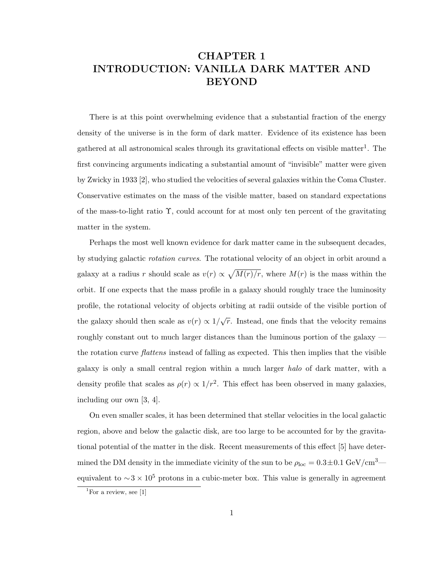# CHAPTER 1 INTRODUCTION: VANILLA DARK MATTER AND BEYOND

There is at this point overwhelming evidence that a substantial fraction of the energy density of the universe is in the form of dark matter. Evidence of its existence has been gathered at all astronomical scales through its gravitational effects on visible matter<sup>1</sup>. The first convincing arguments indicating a substantial amount of "invisible" matter were given by Zwicky in 1933 [2], who studied the velocities of several galaxies within the Coma Cluster. Conservative estimates on the mass of the visible matter, based on standard expectations of the mass-to-light ratio Υ, could account for at most only ten percent of the gravitating matter in the system.

Perhaps the most well known evidence for dark matter came in the subsequent decades, by studying galactic rotation curves. The rotational velocity of an object in orbit around a galaxy at a radius r should scale as  $v(r) \propto \sqrt{M(r)/r}$ , where  $M(r)$  is the mass within the orbit. If one expects that the mass profile in a galaxy should roughly trace the luminosity profile, the rotational velocity of objects orbiting at radii outside of the visible portion of the galaxy should then scale as  $v(r) \propto 1/\sqrt{r}$ . Instead, one finds that the velocity remains roughly constant out to much larger distances than the luminous portion of the galaxy the rotation curve *flattens* instead of falling as expected. This then implies that the visible galaxy is only a small central region within a much larger halo of dark matter, with a density profile that scales as  $\rho(r) \propto 1/r^2$ . This effect has been observed in many galaxies, including our own [3, 4].

On even smaller scales, it has been determined that stellar velocities in the local galactic region, above and below the galactic disk, are too large to be accounted for by the gravitational potential of the matter in the disk. Recent measurements of this effect [5] have determined the DM density in the immediate vicinity of the sun to be  $\rho_{\text{loc}} = 0.3 \pm 0.1 \text{ GeV}/\text{cm}^3$  equivalent to  $\sim$ 3 × 10<sup>5</sup> protons in a cubic-meter box. This value is generally in agreement

 ${}^{1}$ For a review, see [1]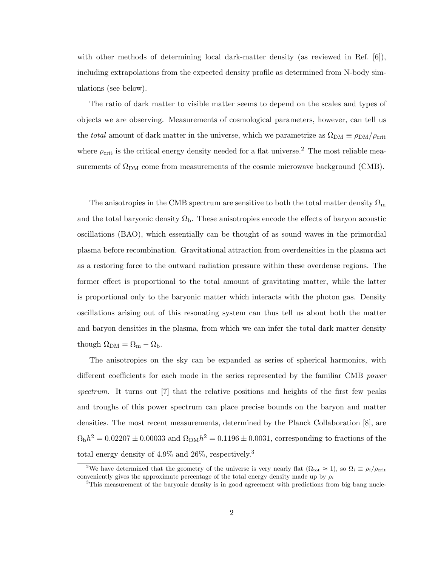with other methods of determining local dark-matter density (as reviewed in Ref. [6]), including extrapolations from the expected density profile as determined from N-body simulations (see below).

The ratio of dark matter to visible matter seems to depend on the scales and types of objects we are observing. Measurements of cosmological parameters, however, can tell us the total amount of dark matter in the universe, which we parametrize as  $\Omega_{DM} \equiv \rho_{DM}/\rho_{crit}$ where  $\rho_{\rm crit}$  is the critical energy density needed for a flat universe.<sup>2</sup> The most reliable measurements of  $\Omega_{DM}$  come from measurements of the cosmic microwave background (CMB).

The anisotropies in the CMB spectrum are sensitive to both the total matter density  $\Omega_{\rm m}$ and the total baryonic density  $\Omega_{\rm b}$ . These anisotropies encode the effects of baryon acoustic oscillations (BAO), which essentially can be thought of as sound waves in the primordial plasma before recombination. Gravitational attraction from overdensities in the plasma act as a restoring force to the outward radiation pressure within these overdense regions. The former effect is proportional to the total amount of gravitating matter, while the latter is proportional only to the baryonic matter which interacts with the photon gas. Density oscillations arising out of this resonating system can thus tell us about both the matter and baryon densities in the plasma, from which we can infer the total dark matter density though  $\Omega_{\rm DM} = \Omega_{\rm m} - \Omega_{\rm b}$ .

The anisotropies on the sky can be expanded as series of spherical harmonics, with different coefficients for each mode in the series represented by the familiar CMB power spectrum. It turns out [7] that the relative positions and heights of the first few peaks and troughs of this power spectrum can place precise bounds on the baryon and matter densities. The most recent measurements, determined by the Planck Collaboration [8], are  $\Omega_{\rm{b}}h^2 = 0.02207 \pm 0.00033$  and  $\Omega_{\rm{DM}}h^2 = 0.1196 \pm 0.0031$ , corresponding to fractions of the total energy density of 4.9% and 26%, respectively.<sup>3</sup>

<sup>&</sup>lt;sup>2</sup>We have determined that the geometry of the universe is very nearly flat  $(\Omega_{\text{tot}} \approx 1)$ , so  $\Omega_i \equiv \rho_i / \rho_{\text{crit}}$ conveniently gives the approximate percentage of the total energy density made up by  $\rho_i$ 

<sup>&</sup>lt;sup>3</sup>This measurement of the baryonic density is in good agreement with predictions from big bang nucle-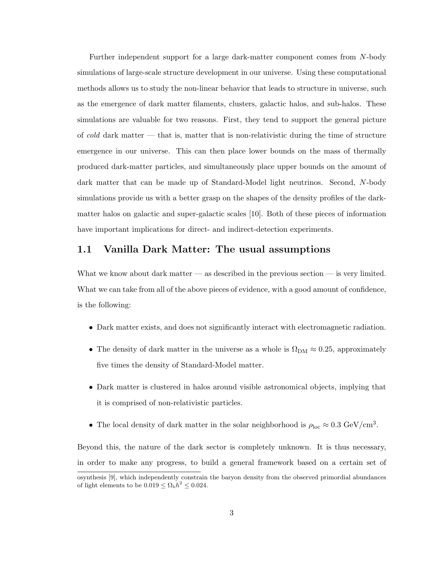Further independent support for a large dark-matter component comes from N-body simulations of large-scale structure development in our universe. Using these computational methods allows us to study the non-linear behavior that leads to structure in universe, such as the emergence of dark matter filaments, clusters, galactic halos, and sub-halos. These simulations are valuable for two reasons. First, they tend to support the general picture of cold dark matter — that is, matter that is non-relativistic during the time of structure emergence in our universe. This can then place lower bounds on the mass of thermally produced dark-matter particles, and simultaneously place upper bounds on the amount of dark matter that can be made up of Standard-Model light neutrinos. Second, N-body simulations provide us with a better grasp on the shapes of the density profiles of the darkmatter halos on galactic and super-galactic scales [10]. Both of these pieces of information have important implications for direct- and indirect-detection experiments.

### 1.1 Vanilla Dark Matter: The usual assumptions

What we know about dark matter — as described in the previous section — is very limited. What we can take from all of the above pieces of evidence, with a good amount of confidence, is the following:

- Dark matter exists, and does not significantly interact with electromagnetic radiation.
- The density of dark matter in the universe as a whole is  $\Omega_{DM} \approx 0.25$ , approximately five times the density of Standard-Model matter.
- Dark matter is clustered in halos around visible astronomical objects, implying that it is comprised of non-relativistic particles.
- The local density of dark matter in the solar neighborhood is  $\rho_{\text{loc}} \approx 0.3 \text{ GeV}/\text{cm}^3$ .

Beyond this, the nature of the dark sector is completely unknown. It is thus necessary, in order to make any progress, to build a general framework based on a certain set of osynthesis [9], which independently constrain the baryon density from the observed primordial abundances of light elements to be  $0.019 \le \Omega_{\rm b} h^2 \le 0.024$ .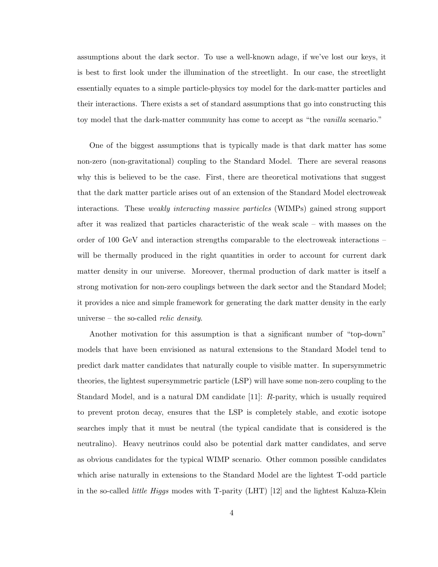assumptions about the dark sector. To use a well-known adage, if we've lost our keys, it is best to first look under the illumination of the streetlight. In our case, the streetlight essentially equates to a simple particle-physics toy model for the dark-matter particles and their interactions. There exists a set of standard assumptions that go into constructing this toy model that the dark-matter community has come to accept as "the vanilla scenario."

One of the biggest assumptions that is typically made is that dark matter has some non-zero (non-gravitational) coupling to the Standard Model. There are several reasons why this is believed to be the case. First, there are theoretical motivations that suggest that the dark matter particle arises out of an extension of the Standard Model electroweak interactions. These weakly interacting massive particles (WIMPs) gained strong support after it was realized that particles characteristic of the weak scale – with masses on the order of 100 GeV and interaction strengths comparable to the electroweak interactions – will be thermally produced in the right quantities in order to account for current dark matter density in our universe. Moreover, thermal production of dark matter is itself a strong motivation for non-zero couplings between the dark sector and the Standard Model; it provides a nice and simple framework for generating the dark matter density in the early universe – the so-called *relic density*.

Another motivation for this assumption is that a significant number of "top-down" models that have been envisioned as natural extensions to the Standard Model tend to predict dark matter candidates that naturally couple to visible matter. In supersymmetric theories, the lightest supersymmetric particle (LSP) will have some non-zero coupling to the Standard Model, and is a natural DM candidate [11]: R-parity, which is usually required to prevent proton decay, ensures that the LSP is completely stable, and exotic isotope searches imply that it must be neutral (the typical candidate that is considered is the neutralino). Heavy neutrinos could also be potential dark matter candidates, and serve as obvious candidates for the typical WIMP scenario. Other common possible candidates which arise naturally in extensions to the Standard Model are the lightest T-odd particle in the so-called little Higgs modes with T-parity (LHT) [12] and the lightest Kaluza-Klein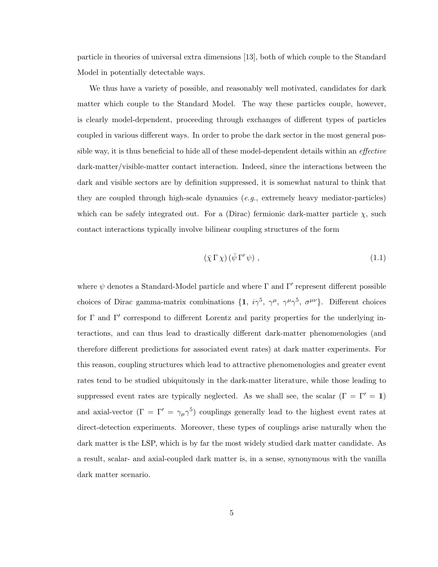particle in theories of universal extra dimensions [13], both of which couple to the Standard Model in potentially detectable ways.

We thus have a variety of possible, and reasonably well motivated, candidates for dark matter which couple to the Standard Model. The way these particles couple, however, is clearly model-dependent, proceeding through exchanges of different types of particles coupled in various different ways. In order to probe the dark sector in the most general possible way, it is thus beneficial to hide all of these model-dependent details within an *effective* dark-matter/visible-matter contact interaction. Indeed, since the interactions between the dark and visible sectors are by definition suppressed, it is somewhat natural to think that they are coupled through high-scale dynamics  $(e, q, \text{extremely heavy mediator-particles})$ which can be safely integrated out. For a (Dirac) fermionic dark-matter particle  $\chi$ , such contact interactions typically involve bilinear coupling structures of the form

$$
(\bar{\chi} \Gamma \chi) (\bar{\psi} \Gamma' \psi) , \qquad (1.1)
$$

where  $\psi$  denotes a Standard-Model particle and where  $\Gamma$  and  $\Gamma'$  represent different possible choices of Dirac gamma-matrix combinations  $\{1, i\gamma^5, \gamma^\mu, \gamma^\mu\gamma^5, \sigma^{\mu\nu}\}\$ . Different choices for  $\Gamma$  and  $\Gamma'$  correspond to different Lorentz and parity properties for the underlying interactions, and can thus lead to drastically different dark-matter phenomenologies (and therefore different predictions for associated event rates) at dark matter experiments. For this reason, coupling structures which lead to attractive phenomenologies and greater event rates tend to be studied ubiquitously in the dark-matter literature, while those leading to suppressed event rates are typically neglected. As we shall see, the scalar ( $\Gamma = \Gamma' = 1$ ) and axial-vector  $(\Gamma = \Gamma' = \gamma_{\mu} \gamma^5)$  couplings generally lead to the highest event rates at direct-detection experiments. Moreover, these types of couplings arise naturally when the dark matter is the LSP, which is by far the most widely studied dark matter candidate. As a result, scalar- and axial-coupled dark matter is, in a sense, synonymous with the vanilla dark matter scenario.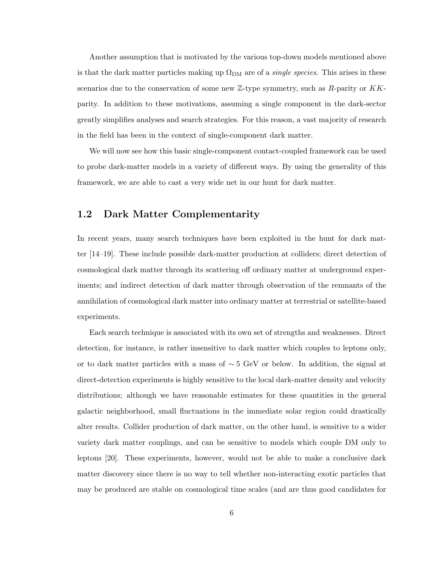Another assumption that is motivated by the various top-down models mentioned above is that the dark matter particles making up  $\Omega_{DM}$  are of a *single species*. This arises in these scenarios due to the conservation of some new  $\mathbb{Z}$ -type symmetry, such as R-parity or  $KK$ parity. In addition to these motivations, assuming a single component in the dark-sector greatly simplifies analyses and search strategies. For this reason, a vast majority of research in the field has been in the context of single-component dark matter.

We will now see how this basic single-component contact-coupled framework can be used to probe dark-matter models in a variety of different ways. By using the generality of this framework, we are able to cast a very wide net in our hunt for dark matter.

### 1.2 Dark Matter Complementarity

In recent years, many search techniques have been exploited in the hunt for dark matter [14–19]. These include possible dark-matter production at colliders; direct detection of cosmological dark matter through its scattering off ordinary matter at underground experiments; and indirect detection of dark matter through observation of the remnants of the annihilation of cosmological dark matter into ordinary matter at terrestrial or satellite-based experiments.

Each search technique is associated with its own set of strengths and weaknesses. Direct detection, for instance, is rather insensitive to dark matter which couples to leptons only, or to dark matter particles with a mass of ∼ 5 GeV or below. In addition, the signal at direct-detection experiments is highly sensitive to the local dark-matter density and velocity distributions; although we have reasonable estimates for these quantities in the general galactic neighborhood, small fluctuations in the immediate solar region could drastically alter results. Collider production of dark matter, on the other hand, is sensitive to a wider variety dark matter couplings, and can be sensitive to models which couple DM only to leptons [20]. These experiments, however, would not be able to make a conclusive dark matter discovery since there is no way to tell whether non-interacting exotic particles that may be produced are stable on cosmological time scales (and are thus good candidates for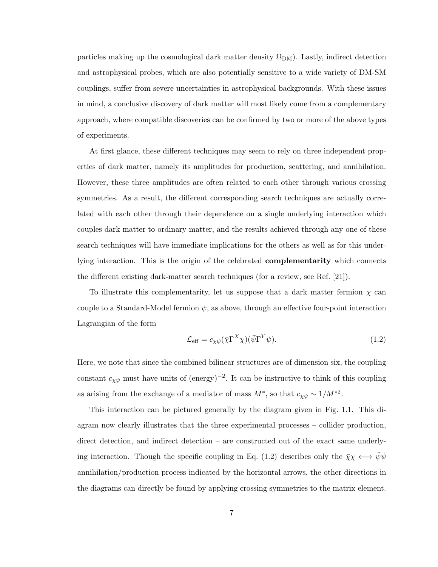particles making up the cosmological dark matter density  $\Omega_{DM}$ ). Lastly, indirect detection and astrophysical probes, which are also potentially sensitive to a wide variety of DM-SM couplings, suffer from severe uncertainties in astrophysical backgrounds. With these issues in mind, a conclusive discovery of dark matter will most likely come from a complementary approach, where compatible discoveries can be confirmed by two or more of the above types of experiments.

At first glance, these different techniques may seem to rely on three independent properties of dark matter, namely its amplitudes for production, scattering, and annihilation. However, these three amplitudes are often related to each other through various crossing symmetries. As a result, the different corresponding search techniques are actually correlated with each other through their dependence on a single underlying interaction which couples dark matter to ordinary matter, and the results achieved through any one of these search techniques will have immediate implications for the others as well as for this underlying interaction. This is the origin of the celebrated **complementarity** which connects the different existing dark-matter search techniques (for a review, see Ref. [21]).

To illustrate this complementarity, let us suppose that a dark matter fermion  $\chi$  can couple to a Standard-Model fermion  $\psi$ , as above, through an effective four-point interaction Lagrangian of the form

$$
\mathcal{L}_{\text{eff}} = c_{\chi\psi} (\bar{\chi} \Gamma^X \chi)(\bar{\psi} \Gamma^Y \psi). \tag{1.2}
$$

Here, we note that since the combined bilinear structures are of dimension six, the coupling constant  $c_{\chi\psi}$  must have units of (energy)<sup>-2</sup>. It can be instructive to think of this coupling as arising from the exchange of a mediator of mass  $M^*$ , so that  $c_{\chi\psi} \sim 1/M^{*2}$ .

This interaction can be pictured generally by the diagram given in Fig. 1.1. This diagram now clearly illustrates that the three experimental processes – collider production, direct detection, and indirect detection – are constructed out of the exact same underlying interaction. Though the specific coupling in Eq. (1.2) describes only the  $\bar{\chi}\chi \leftrightarrow \bar{\psi}\psi$ annihilation/production process indicated by the horizontal arrows, the other directions in the diagrams can directly be found by applying crossing symmetries to the matrix element.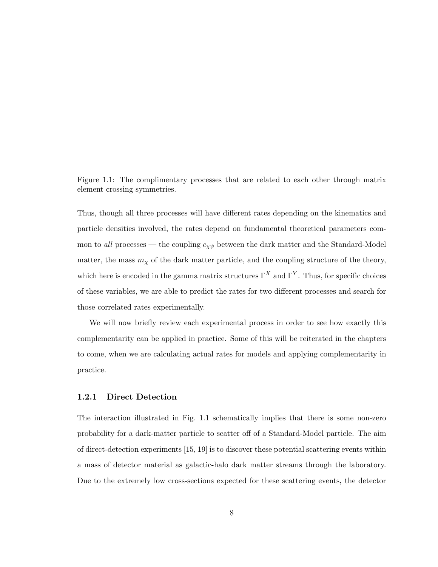Figure 1.1: The complimentary processes that are related to each other through matrix element crossing symmetries.

Thus, though all three processes will have different rates depending on the kinematics and particle densities involved, the rates depend on fundamental theoretical parameters common to all processes — the coupling  $c_{\chi\psi}$  between the dark matter and the Standard-Model matter, the mass  $m<sub>x</sub>$  of the dark matter particle, and the coupling structure of the theory, which here is encoded in the gamma matrix structures  $\Gamma^X$  and  $\Gamma^Y$ . Thus, for specific choices of these variables, we are able to predict the rates for two different processes and search for those correlated rates experimentally.

We will now briefly review each experimental process in order to see how exactly this complementarity can be applied in practice. Some of this will be reiterated in the chapters to come, when we are calculating actual rates for models and applying complementarity in practice.

#### 1.2.1 Direct Detection

The interaction illustrated in Fig. 1.1 schematically implies that there is some non-zero probability for a dark-matter particle to scatter off of a Standard-Model particle. The aim of direct-detection experiments [15, 19] is to discover these potential scattering events within a mass of detector material as galactic-halo dark matter streams through the laboratory. Due to the extremely low cross-sections expected for these scattering events, the detector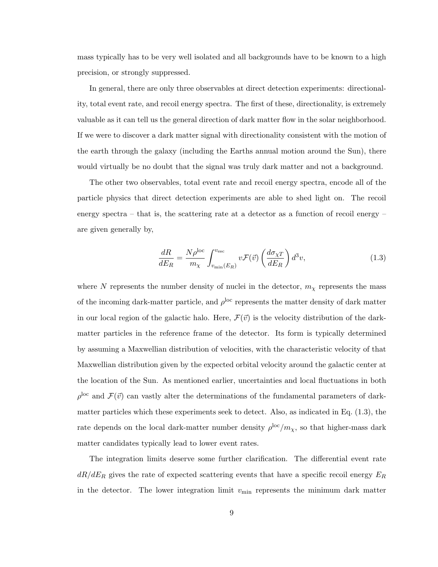mass typically has to be very well isolated and all backgrounds have to be known to a high precision, or strongly suppressed.

In general, there are only three observables at direct detection experiments: directionality, total event rate, and recoil energy spectra. The first of these, directionality, is extremely valuable as it can tell us the general direction of dark matter flow in the solar neighborhood. If we were to discover a dark matter signal with directionality consistent with the motion of the earth through the galaxy (including the Earths annual motion around the Sun), there would virtually be no doubt that the signal was truly dark matter and not a background.

The other two observables, total event rate and recoil energy spectra, encode all of the particle physics that direct detection experiments are able to shed light on. The recoil energy spectra – that is, the scattering rate at a detector as a function of recoil energy – are given generally by,

$$
\frac{dR}{dE_R} = \frac{N\rho^{\rm loc}}{m_\chi} \int_{v_{\rm min}(E_R)}^{v_{\rm esc}} v \mathcal{F}(\vec{v}) \left(\frac{d\sigma_{\chi T}}{dE_R}\right) d^3v,\tag{1.3}
$$

where N represents the number density of nuclei in the detector,  $m<sub>\chi</sub>$  represents the mass of the incoming dark-matter particle, and  $\rho^{\rm loc}$  represents the matter density of dark matter in our local region of the galactic halo. Here,  $\mathcal{F}(\vec{v})$  is the velocity distribution of the darkmatter particles in the reference frame of the detector. Its form is typically determined by assuming a Maxwellian distribution of velocities, with the characteristic velocity of that Maxwellian distribution given by the expected orbital velocity around the galactic center at the location of the Sun. As mentioned earlier, uncertainties and local fluctuations in both  $\rho^{\text{loc}}$  and  $\mathcal{F}(\vec{v})$  can vastly alter the determinations of the fundamental parameters of darkmatter particles which these experiments seek to detect. Also, as indicated in Eq. (1.3), the rate depends on the local dark-matter number density  $\rho^{\rm loc}/m_\chi$ , so that higher-mass dark matter candidates typically lead to lower event rates.

The integration limits deserve some further clarification. The differential event rate  $dR/dE_R$  gives the rate of expected scattering events that have a specific recoil energy  $E_R$ in the detector. The lower integration limit  $v_{\rm min}$  represents the minimum dark matter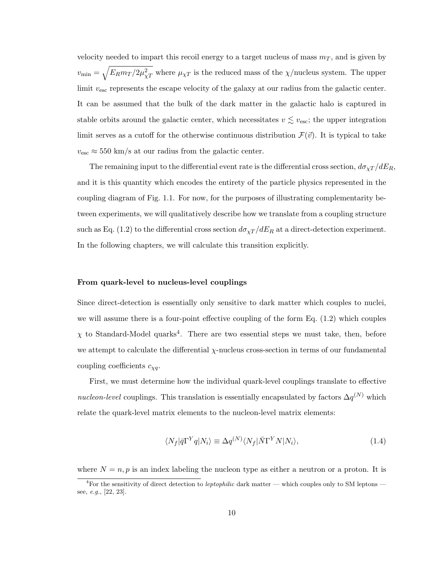velocity needed to impart this recoil energy to a target nucleus of mass  $m<sub>T</sub>$ , and is given by  $v_{\text{min}} = \sqrt{E_R m_T / 2 \mu_{\chi T}^2}$  where  $\mu_{\chi T}$  is the reduced mass of the  $\chi$ /nucleus system. The upper limit  $v_{\text{esc}}$  represents the escape velocity of the galaxy at our radius from the galactic center. It can be assumed that the bulk of the dark matter in the galactic halo is captured in stable orbits around the galactic center, which necessitates  $v \lesssim v_{\text{esc}}$ ; the upper integration limit serves as a cutoff for the otherwise continuous distribution  $\mathcal{F}(\vec{v})$ . It is typical to take  $v_{\text{esc}} \approx 550 \text{ km/s}$  at our radius from the galactic center.

The remaining input to the differential event rate is the differential cross section,  $d\sigma_{\chi T}/dE_R$ , and it is this quantity which encodes the entirety of the particle physics represented in the coupling diagram of Fig. 1.1. For now, for the purposes of illustrating complementarity between experiments, we will qualitatively describe how we translate from a coupling structure such as Eq. (1.2) to the differential cross section  $d\sigma_{\chi T}/dE_R$  at a direct-detection experiment. In the following chapters, we will calculate this transition explicitly.

#### From quark-level to nucleus-level couplings

Since direct-detection is essentially only sensitive to dark matter which couples to nuclei, we will assume there is a four-point effective coupling of the form Eq. (1.2) which couples  $\chi$  to Standard-Model quarks<sup>4</sup>. There are two essential steps we must take, then, before we attempt to calculate the differential  $\chi$ -nucleus cross-section in terms of our fundamental coupling coefficients  $c_{\chi q}$ .

First, we must determine how the individual quark-level couplings translate to effective nucleon-level couplings. This translation is essentially encapsulated by factors  $\Delta q^{(N)}$  which relate the quark-level matrix elements to the nucleon-level matrix elements:

$$
\langle N_f | \bar{q} \Gamma^Y q | N_i \rangle \equiv \Delta q^{(N)} \langle N_f | \bar{N} \Gamma^Y N | N_i \rangle, \tag{1.4}
$$

where  $N = n, p$  is an index labeling the nucleon type as either a neutron or a proton. It is

 $4$ For the sensitivity of direct detection to leptophilic dark matter — which couples only to SM leptons see, e.g., [22, 23].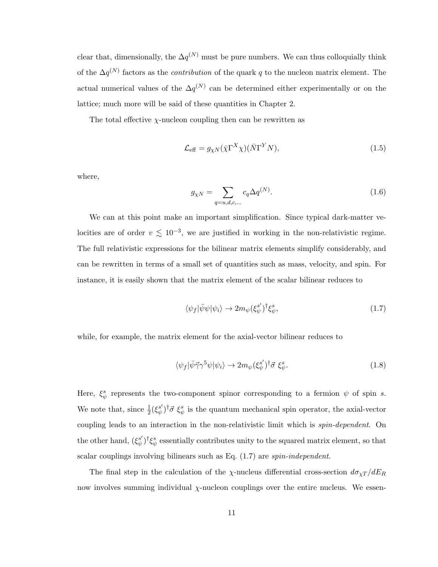clear that, dimensionally, the  $\Delta q^{(N)}$  must be pure numbers. We can thus colloquially think of the  $\Delta q^{(N)}$  factors as the *contribution* of the quark q to the nucleon matrix element. The actual numerical values of the  $\Delta q^{(N)}$  can be determined either experimentally or on the lattice; much more will be said of these quantities in Chapter 2.

The total effective  $\chi$ -nucleon coupling then can be rewritten as

$$
\mathcal{L}_{\text{eff}} = g_{\chi N} (\bar{\chi} \Gamma^X \chi) (\bar{N} \Gamma^Y N), \tag{1.5}
$$

where,

$$
g_{\chi N} = \sum_{q=u,d,c,...} c_q \Delta q^{(N)}.
$$
 (1.6)

We can at this point make an important simplification. Since typical dark-matter velocities are of order  $v \lesssim 10^{-3}$ , we are justified in working in the non-relativistic regime. The full relativistic expressions for the bilinear matrix elements simplify considerably, and can be rewritten in terms of a small set of quantities such as mass, velocity, and spin. For instance, it is easily shown that the matrix element of the scalar bilinear reduces to

$$
\langle \psi_f | \bar{\psi} \psi | \psi_i \rangle \to 2m_{\psi} (\xi_{\psi}^{s'})^{\dagger} \xi_{\psi}^{s}, \tag{1.7}
$$

while, for example, the matrix element for the axial-vector bilinear reduces to

$$
\langle \psi_f | \bar{\psi} \vec{\gamma} \gamma^5 \psi | \psi_i \rangle \to 2m_\psi (\xi_\psi^{s'})^\dagger \vec{\sigma} \xi_\psi^s. \tag{1.8}
$$

Here,  $\xi^s_{\psi}$  represents the two-component spinor corresponding to a fermion  $\psi$  of spin s. We note that, since  $\frac{1}{2}(\xi^{s'}_{\psi})$  $(\psi_s^{s'})^{\dagger} \vec{\sigma} \xi_{\psi}^{s}$  is the quantum mechanical spin operator, the axial-vector coupling leads to an interaction in the non-relativistic limit which is *spin-dependent*. On the other hand,  $(\xi_{\psi}^{s'}$  $\psi^{s'}$ <sup>t</sup> $\xi^s_{\psi}$  essentially contributes unity to the squared matrix element, so that scalar couplings involving bilinears such as Eq.  $(1.7)$  are *spin-independent*.

The final step in the calculation of the  $\chi$ -nucleus differential cross-section  $d\sigma_{\chi T}/dE_R$ now involves summing individual  $\chi$ -nucleon couplings over the entire nucleus. We essen-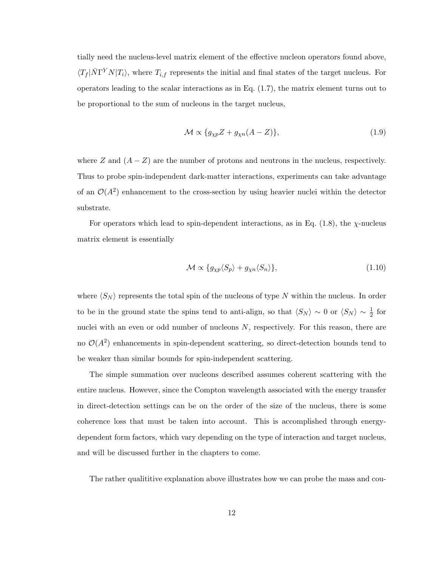tially need the nucleus-level matrix element of the effective nucleon operators found above,  $\langle T_f | \bar{N} \Gamma^{Y} N | T_i \rangle$ , where  $T_{i,f}$  represents the initial and final states of the target nucleus. For operators leading to the scalar interactions as in Eq. (1.7), the matrix element turns out to be proportional to the sum of nucleons in the target nucleus,

$$
\mathcal{M} \propto \{g_{\chi p} Z + g_{\chi n} (A - Z) \},\tag{1.9}
$$

where Z and  $(A - Z)$  are the number of protons and neutrons in the nucleus, respectively. Thus to probe spin-independent dark-matter interactions, experiments can take advantage of an  $\mathcal{O}(A^2)$  enhancement to the cross-section by using heavier nuclei within the detector substrate.

For operators which lead to spin-dependent interactions, as in Eq.  $(1.8)$ , the  $\chi$ -nucleus matrix element is essentially

$$
\mathcal{M} \propto \{g_{\chi p} \langle S_p \rangle + g_{\chi n} \langle S_n \rangle \},\tag{1.10}
$$

where  $\langle S_N \rangle$  represents the total spin of the nucleons of type N within the nucleus. In order to be in the ground state the spins tend to anti-align, so that  $\langle S_N \rangle \sim 0$  or  $\langle S_N \rangle \sim \frac{1}{2}$  for nuclei with an even or odd number of nucleons N, respectively. For this reason, there are no  $\mathcal{O}(A^2)$  enhancements in spin-dependent scattering, so direct-detection bounds tend to be weaker than similar bounds for spin-independent scattering.

The simple summation over nucleons described assumes coherent scattering with the entire nucleus. However, since the Compton wavelength associated with the energy transfer in direct-detection settings can be on the order of the size of the nucleus, there is some coherence loss that must be taken into account. This is accomplished through energydependent form factors, which vary depending on the type of interaction and target nucleus, and will be discussed further in the chapters to come.

The rather qualititive explanation above illustrates how we can probe the mass and cou-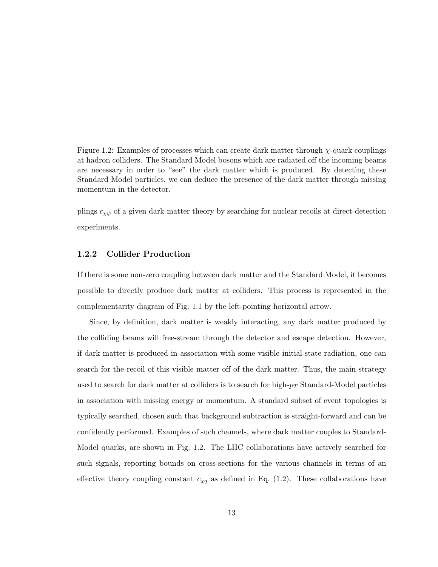Figure 1.2: Examples of processes which can create dark matter through  $\chi$ -quark couplings at hadron colliders. The Standard Model bosons which are radiated off the incoming beams are necessary in order to "see" the dark matter which is produced. By detecting these Standard Model particles, we can deduce the presence of the dark matter through missing momentum in the detector.

plings  $c_{\chi\psi}$  of a given dark-matter theory by searching for nuclear recoils at direct-detection experiments.

#### 1.2.2 Collider Production

If there is some non-zero coupling between dark matter and the Standard Model, it becomes possible to directly produce dark matter at colliders. This process is represented in the complementarity diagram of Fig. 1.1 by the left-pointing horizontal arrow.

Since, by definition, dark matter is weakly interacting, any dark matter produced by the colliding beams will free-stream through the detector and escape detection. However, if dark matter is produced in association with some visible initial-state radiation, one can search for the recoil of this visible matter off of the dark matter. Thus, the main strategy used to search for dark matter at colliders is to search for high- $p_T$  Standard-Model particles in association with missing energy or momentum. A standard subset of event topologies is typically searched, chosen such that background subtraction is straight-forward and can be confidently performed. Examples of such channels, where dark matter couples to Standard-Model quarks, are shown in Fig. 1.2. The LHC collaborations have actively searched for such signals, reporting bounds on cross-sections for the various channels in terms of an effective theory coupling constant  $c_{\chi q}$  as defined in Eq. (1.2). These collaborations have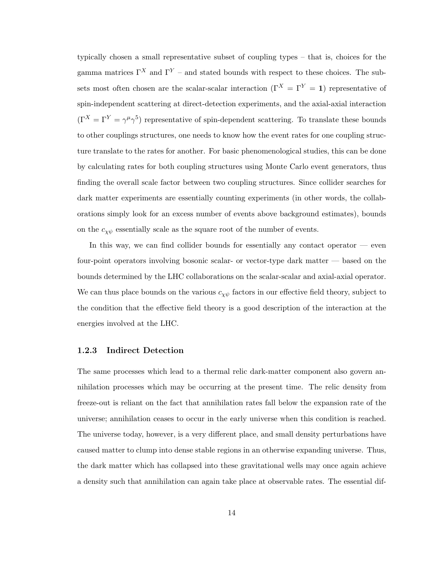typically chosen a small representative subset of coupling types – that is, choices for the gamma matrices  $\Gamma^X$  and  $\Gamma^Y$  – and stated bounds with respect to these choices. The subsets most often chosen are the scalar-scalar interaction ( $\Gamma^{X} = \Gamma^{Y} = 1$ ) representative of spin-independent scattering at direct-detection experiments, and the axial-axial interaction  $(\Gamma^X = \Gamma^Y = \gamma^\mu \gamma^5)$  representative of spin-dependent scattering. To translate these bounds to other couplings structures, one needs to know how the event rates for one coupling structure translate to the rates for another. For basic phenomenological studies, this can be done by calculating rates for both coupling structures using Monte Carlo event generators, thus finding the overall scale factor between two coupling structures. Since collider searches for dark matter experiments are essentially counting experiments (in other words, the collaborations simply look for an excess number of events above background estimates), bounds on the  $c_{\chi\psi}$  essentially scale as the square root of the number of events.

In this way, we can find collider bounds for essentially any contact operator  $-$  even four-point operators involving bosonic scalar- or vector-type dark matter — based on the bounds determined by the LHC collaborations on the scalar-scalar and axial-axial operator. We can thus place bounds on the various  $c_{\chi\psi}$  factors in our effective field theory, subject to the condition that the effective field theory is a good description of the interaction at the energies involved at the LHC.

#### 1.2.3 Indirect Detection

The same processes which lead to a thermal relic dark-matter component also govern annihilation processes which may be occurring at the present time. The relic density from freeze-out is reliant on the fact that annihilation rates fall below the expansion rate of the universe; annihilation ceases to occur in the early universe when this condition is reached. The universe today, however, is a very different place, and small density perturbations have caused matter to clump into dense stable regions in an otherwise expanding universe. Thus, the dark matter which has collapsed into these gravitational wells may once again achieve a density such that annihilation can again take place at observable rates. The essential dif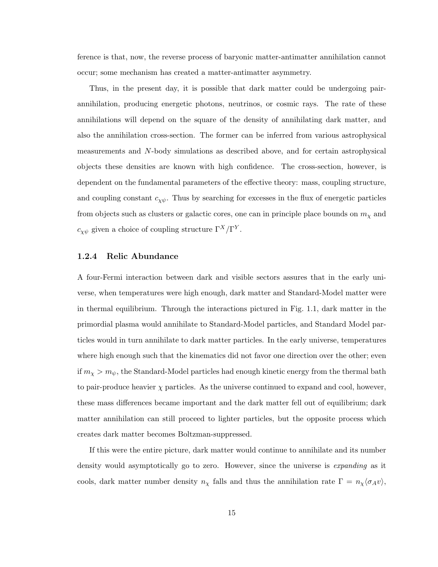ference is that, now, the reverse process of baryonic matter-antimatter annihilation cannot occur; some mechanism has created a matter-antimatter asymmetry.

Thus, in the present day, it is possible that dark matter could be undergoing pairannihilation, producing energetic photons, neutrinos, or cosmic rays. The rate of these annihilations will depend on the square of the density of annihilating dark matter, and also the annihilation cross-section. The former can be inferred from various astrophysical measurements and N-body simulations as described above, and for certain astrophysical objects these densities are known with high confidence. The cross-section, however, is dependent on the fundamental parameters of the effective theory: mass, coupling structure, and coupling constant  $c_{\chi\psi}$ . Thus by searching for excesses in the flux of energetic particles from objects such as clusters or galactic cores, one can in principle place bounds on  $m<sub>\chi</sub>$  and  $c_{\chi\psi}$  given a choice of coupling structure  $\Gamma^X/\Gamma^Y$ .

#### 1.2.4 Relic Abundance

A four-Fermi interaction between dark and visible sectors assures that in the early universe, when temperatures were high enough, dark matter and Standard-Model matter were in thermal equilibrium. Through the interactions pictured in Fig. 1.1, dark matter in the primordial plasma would annihilate to Standard-Model particles, and Standard Model particles would in turn annihilate to dark matter particles. In the early universe, temperatures where high enough such that the kinematics did not favor one direction over the other; even if  $m_\chi > m_\psi$ , the Standard-Model particles had enough kinetic energy from the thermal bath to pair-produce heavier  $\chi$  particles. As the universe continued to expand and cool, however, these mass differences became important and the dark matter fell out of equilibrium; dark matter annihilation can still proceed to lighter particles, but the opposite process which creates dark matter becomes Boltzman-suppressed.

If this were the entire picture, dark matter would continue to annihilate and its number density would asymptotically go to zero. However, since the universe is expanding as it cools, dark matter number density  $n_\chi$  falls and thus the annihilation rate  $\Gamma = n_\chi \langle \sigma_A v \rangle$ ,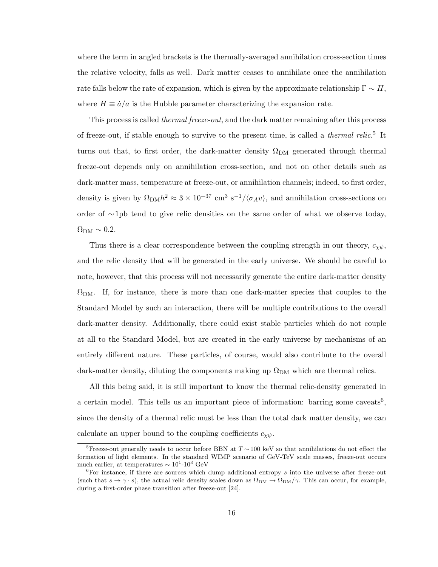where the term in angled brackets is the thermally-averaged annihilation cross-section times the relative velocity, falls as well. Dark matter ceases to annihilate once the annihilation rate falls below the rate of expansion, which is given by the approximate relationship  $\Gamma \sim H$ , where  $H \equiv \dot{a}/a$  is the Hubble parameter characterizing the expansion rate.

This process is called thermal freeze-out, and the dark matter remaining after this process of freeze-out, if stable enough to survive to the present time, is called a *thermal relic*.<sup>5</sup> It turns out that, to first order, the dark-matter density  $\Omega_{DM}$  generated through thermal freeze-out depends only on annihilation cross-section, and not on other details such as dark-matter mass, temperature at freeze-out, or annihilation channels; indeed, to first order, density is given by  $\Omega_{\text{DM}} h^2 \approx 3 \times 10^{-37} \text{ cm}^3 \text{ s}^{-1}/\langle \sigma_A v \rangle$ , and annihilation cross-sections on order of ∼1pb tend to give relic densities on the same order of what we observe today,  $\Omega_{\rm DM} \sim 0.2$ .

Thus there is a clear correspondence between the coupling strength in our theory,  $c_{\chi\psi}$ , and the relic density that will be generated in the early universe. We should be careful to note, however, that this process will not necessarily generate the entire dark-matter density  $\Omega_{\rm DM}$ . If, for instance, there is more than one dark-matter species that couples to the Standard Model by such an interaction, there will be multiple contributions to the overall dark-matter density. Additionally, there could exist stable particles which do not couple at all to the Standard Model, but are created in the early universe by mechanisms of an entirely different nature. These particles, of course, would also contribute to the overall dark-matter density, diluting the components making up  $\Omega_{DM}$  which are thermal relics.

All this being said, it is still important to know the thermal relic-density generated in a certain model. This tells us an important piece of information: barring some caveats<sup>6</sup>, since the density of a thermal relic must be less than the total dark matter density, we can calculate an upper bound to the coupling coefficients  $c_{\chi\psi}$ .

<sup>&</sup>lt;sup>5</sup>Freeze-out generally needs to occur before BBN at  $T \sim 100 \text{ keV}$  so that annihilations do not effect the formation of light elements. In the standard WIMP scenario of GeV-TeV scale masses, freeze-out occurs much earlier, at temperatures  $\sim 10^{1}$ - $10^{3}$  GeV

 ${}^{6}$ For instance, if there are sources which dump additional entropy s into the universe after freeze-out (such that  $s \to \gamma \cdot s$ ), the actual relic density scales down as  $\Omega_{DM} \to \Omega_{DM}/\gamma$ . This can occur, for example, during a first-order phase transition after freeze-out [24].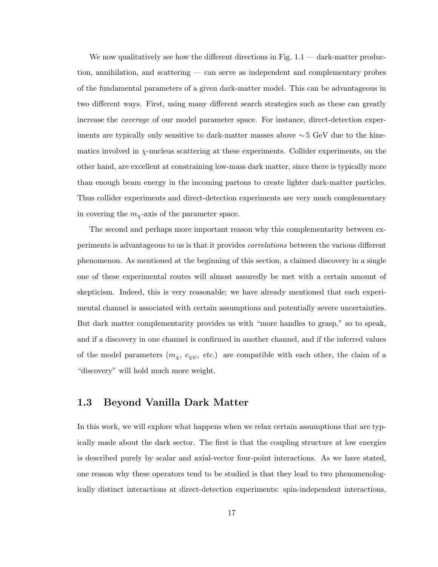We now qualitatively see how the different directions in Fig.  $1.1 -$  dark-matter production, annihilation, and scattering — can serve as independent and complementary probes of the fundamental parameters of a given dark-matter model. This can be advantageous in two different ways. First, using many different search strategies such as these can greatly increase the coverage of our model parameter space. For instance, direct-detection experiments are typically only sensitive to dark-matter masses above  $\sim$  5 GeV due to the kinematics involved in  $\chi$ -nucleus scattering at these experiments. Collider experiments, on the other hand, are excellent at constraining low-mass dark matter, since there is typically more than enough beam energy in the incoming partons to create lighter dark-matter particles. Thus collider experiments and direct-detection experiments are very much complementary in covering the  $m<sub>x</sub>$ -axis of the parameter space.

The second and perhaps more important reason why this complementarity between experiments is advantageous to us is that it provides correlations between the various different phenomenon. As mentioned at the beginning of this section, a claimed discovery in a single one of these experimental routes will almost assuredly be met with a certain amount of skepticism. Indeed, this is very reasonable; we have already mentioned that each experimental channel is associated with certain assumptions and potentially severe uncertainties. But dark matter complementarity provides us with "more handles to grasp," so to speak, and if a discovery in one channel is confirmed in another channel, and if the inferred values of the model parameters  $(m_\chi, c_{\chi\psi}, etc.)$  are compatible with each other, the claim of a "discovery" will hold much more weight.

### 1.3 Beyond Vanilla Dark Matter

In this work, we will explore what happens when we relax certain assumptions that are typically made about the dark sector. The first is that the coupling structure at low energies is described purely by scalar and axial-vector four-point interactions. As we have stated, one reason why these operators tend to be studied is that they lead to two phenomenologically distinct interactions at direct-detection experiments: spin-independent interactions,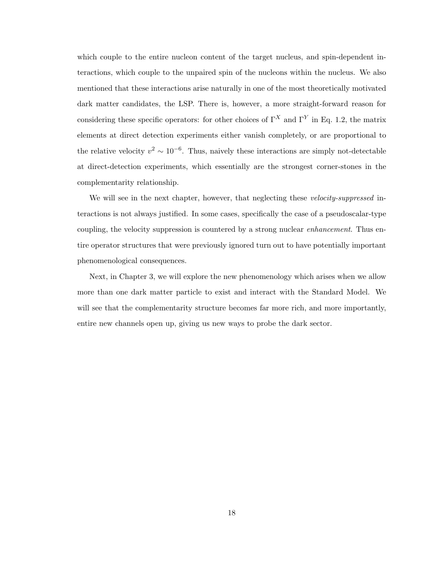which couple to the entire nucleon content of the target nucleus, and spin-dependent interactions, which couple to the unpaired spin of the nucleons within the nucleus. We also mentioned that these interactions arise naturally in one of the most theoretically motivated dark matter candidates, the LSP. There is, however, a more straight-forward reason for considering these specific operators: for other choices of  $\Gamma^X$  and  $\Gamma^Y$  in Eq. 1.2, the matrix elements at direct detection experiments either vanish completely, or are proportional to the relative velocity  $v^2 \sim 10^{-6}$ . Thus, naively these interactions are simply not-detectable at direct-detection experiments, which essentially are the strongest corner-stones in the complementarity relationship.

We will see in the next chapter, however, that neglecting these velocity-suppressed interactions is not always justified. In some cases, specifically the case of a pseudoscalar-type coupling, the velocity suppression is countered by a strong nuclear *enhancement*. Thus entire operator structures that were previously ignored turn out to have potentially important phenomenological consequences.

Next, in Chapter 3, we will explore the new phenomenology which arises when we allow more than one dark matter particle to exist and interact with the Standard Model. We will see that the complementarity structure becomes far more rich, and more importantly, entire new channels open up, giving us new ways to probe the dark sector.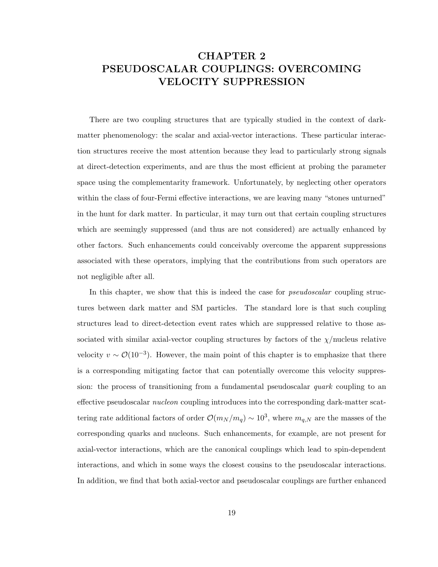# CHAPTER 2 PSEUDOSCALAR COUPLINGS: OVERCOMING VELOCITY SUPPRESSION

There are two coupling structures that are typically studied in the context of darkmatter phenomenology: the scalar and axial-vector interactions. These particular interaction structures receive the most attention because they lead to particularly strong signals at direct-detection experiments, and are thus the most efficient at probing the parameter space using the complementarity framework. Unfortunately, by neglecting other operators within the class of four-Fermi effective interactions, we are leaving many "stones unturned" in the hunt for dark matter. In particular, it may turn out that certain coupling structures which are seemingly suppressed (and thus are not considered) are actually enhanced by other factors. Such enhancements could conceivably overcome the apparent suppressions associated with these operators, implying that the contributions from such operators are not negligible after all.

In this chapter, we show that this is indeed the case for *pseudoscalar* coupling structures between dark matter and SM particles. The standard lore is that such coupling structures lead to direct-detection event rates which are suppressed relative to those associated with similar axial-vector coupling structures by factors of the  $\chi$ /nucleus relative velocity  $v \sim \mathcal{O}(10^{-3})$ . However, the main point of this chapter is to emphasize that there is a corresponding mitigating factor that can potentially overcome this velocity suppression: the process of transitioning from a fundamental pseudoscalar *quark* coupling to an effective pseudoscalar *nucleon* coupling introduces into the corresponding dark-matter scattering rate additional factors of order  $\mathcal{O}(m_N/m_q) \sim 10^3$ , where  $m_{q,N}$  are the masses of the corresponding quarks and nucleons. Such enhancements, for example, are not present for axial-vector interactions, which are the canonical couplings which lead to spin-dependent interactions, and which in some ways the closest cousins to the pseudoscalar interactions. In addition, we find that both axial-vector and pseudoscalar couplings are further enhanced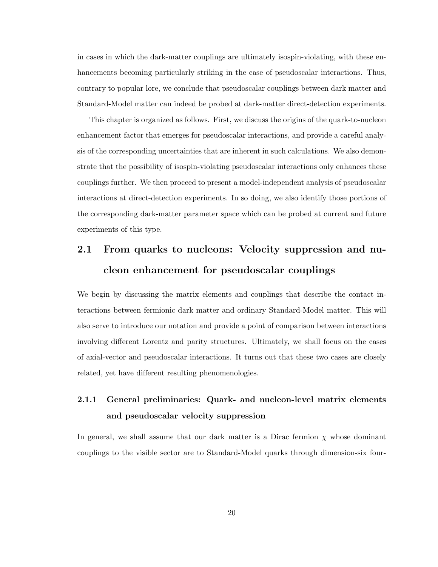in cases in which the dark-matter couplings are ultimately isospin-violating, with these enhancements becoming particularly striking in the case of pseudoscalar interactions. Thus, contrary to popular lore, we conclude that pseudoscalar couplings between dark matter and Standard-Model matter can indeed be probed at dark-matter direct-detection experiments.

This chapter is organized as follows. First, we discuss the origins of the quark-to-nucleon enhancement factor that emerges for pseudoscalar interactions, and provide a careful analysis of the corresponding uncertainties that are inherent in such calculations. We also demonstrate that the possibility of isospin-violating pseudoscalar interactions only enhances these couplings further. We then proceed to present a model-independent analysis of pseudoscalar interactions at direct-detection experiments. In so doing, we also identify those portions of the corresponding dark-matter parameter space which can be probed at current and future experiments of this type.

# 2.1 From quarks to nucleons: Velocity suppression and nucleon enhancement for pseudoscalar couplings

We begin by discussing the matrix elements and couplings that describe the contact interactions between fermionic dark matter and ordinary Standard-Model matter. This will also serve to introduce our notation and provide a point of comparison between interactions involving different Lorentz and parity structures. Ultimately, we shall focus on the cases of axial-vector and pseudoscalar interactions. It turns out that these two cases are closely related, yet have different resulting phenomenologies.

# 2.1.1 General preliminaries: Quark- and nucleon-level matrix elements and pseudoscalar velocity suppression

In general, we shall assume that our dark matter is a Dirac fermion  $\chi$  whose dominant couplings to the visible sector are to Standard-Model quarks through dimension-six four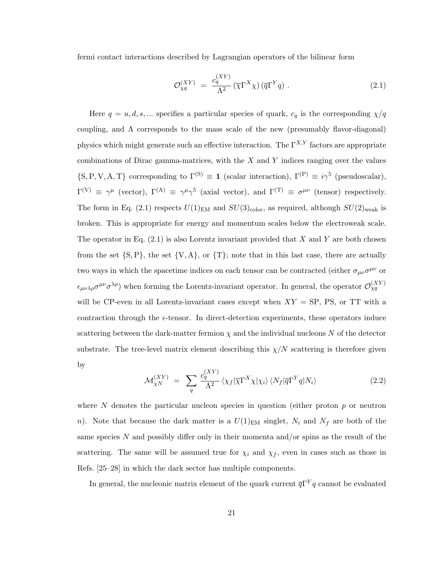fermi contact interactions described by Lagrangian operators of the bilinear form

$$
\mathcal{O}_{\chi q}^{(XY)} = \frac{c_q^{(XY)}}{\Lambda^2} (\overline{\chi} \Gamma^X \chi) (\overline{q} \Gamma^Y q) . \tag{2.1}
$$

Here  $q = u, d, s, ...$  specifies a particular species of quark,  $c_q$  is the corresponding  $\chi/q$ coupling, and  $\Lambda$  corresponds to the mass scale of the new (presumably flavor-diagonal) physics which might generate such an effective interaction. The  $\Gamma^{X,Y}$  factors are appropriate combinations of Dirac gamma-matrices, with the  $X$  and  $Y$  indices ranging over the values  $\{S, P, V, A, T\}$  corresponding to  $\Gamma^{(S)} \equiv 1$  (scalar interaction),  $\Gamma^{(P)} \equiv i\gamma^5$  (pseudoscalar),  $\Gamma^{(V)} \equiv \gamma^{\mu}$  (vector),  $\Gamma^{(A)} \equiv \gamma^{\mu} \gamma^5$  (axial vector), and  $\Gamma^{(T)} \equiv \sigma^{\mu\nu}$  (tensor) respectively. The form in Eq. (2.1) respects  $U(1)_{EM}$  and  $SU(3)_{color}$ , as required, although  $SU(2)_{weak}$  is broken. This is appropriate for energy and momentum scales below the electroweak scale. The operator in Eq.  $(2.1)$  is also Lorentz invariant provided that X and Y are both chosen from the set  $\{S, P\}$ , the set  $\{V, A\}$ , or  $\{T\}$ ; note that in this last case, there are actually two ways in which the spacetime indices on each tensor can be contracted (either  $\sigma_{\mu\nu}\sigma^{\mu\nu}$  or  $\epsilon_{\mu\nu\lambda\rho}\sigma^{\mu\nu}\sigma^{\lambda\rho}$ ) when forming the Lorentz-invariant operator. In general, the operator  $\mathcal{O}_{\chi q}^{(XY)}$ will be CP-even in all Lorentz-invariant cases except when  $XY = SP$ , PS, or TT with a contraction through the  $\epsilon$ -tensor. In direct-detection experiments, these operators induce scattering between the dark-matter fermion  $\chi$  and the individual nucleons N of the detector substrate. The tree-level matrix element describing this  $\chi/N$  scattering is therefore given by

$$
\mathcal{M}_{\chi N}^{(XY)} = \sum_{q} \frac{c_q^{(XY)}}{\Lambda^2} \langle \chi_f | \overline{\chi} \Gamma^{X} \chi | \chi_i \rangle \langle N_f | \overline{q} \Gamma^{Y} q | N_i \rangle \tag{2.2}
$$

where N denotes the particular nucleon species in question (either proton  $p$  or neutron n). Note that because the dark matter is a  $U(1)_{\text{EM}}$  singlet,  $N_i$  and  $N_f$  are both of the same species N and possibly differ only in their momenta and/or spins as the result of the scattering. The same will be assumed true for  $\chi_i$  and  $\chi_f$ , even in cases such as those in Refs. [25–28] in which the dark sector has multiple components.

In general, the nucleonic matrix element of the quark current  $\overline{q}\Gamma^{Y}q$  cannot be evaluated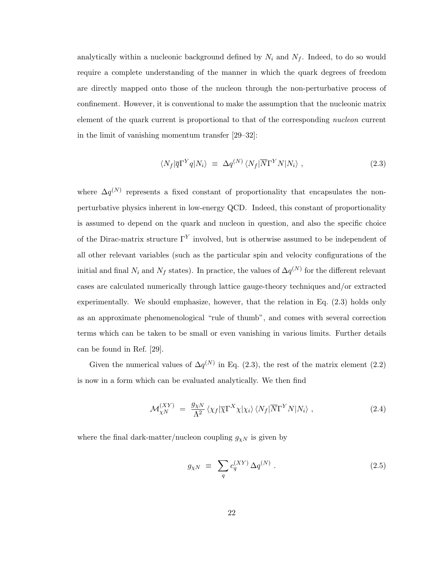analytically within a nucleonic background defined by  $N_i$  and  $N_f$ . Indeed, to do so would require a complete understanding of the manner in which the quark degrees of freedom are directly mapped onto those of the nucleon through the non-perturbative process of confinement. However, it is conventional to make the assumption that the nucleonic matrix element of the quark current is proportional to that of the corresponding nucleon current in the limit of vanishing momentum transfer [29–32]:

$$
\langle N_f | \overline{q} \Gamma^Y q | N_i \rangle \equiv \Delta q^{(N)} \langle N_f | \overline{N} \Gamma^Y N | N_i \rangle \,, \tag{2.3}
$$

where  $\Delta q^{(N)}$  represents a fixed constant of proportionality that encapsulates the nonperturbative physics inherent in low-energy QCD. Indeed, this constant of proportionality is assumed to depend on the quark and nucleon in question, and also the specific choice of the Dirac-matrix structure  $\Gamma^{Y}$  involved, but is otherwise assumed to be independent of all other relevant variables (such as the particular spin and velocity configurations of the initial and final  $N_i$  and  $N_f$  states). In practice, the values of  $\Delta q^{(N)}$  for the different relevant cases are calculated numerically through lattice gauge-theory techniques and/or extracted experimentally. We should emphasize, however, that the relation in Eq. (2.3) holds only as an approximate phenomenological "rule of thumb", and comes with several correction terms which can be taken to be small or even vanishing in various limits. Further details can be found in Ref. [29].

Given the numerical values of  $\Delta q^{(N)}$  in Eq. (2.3), the rest of the matrix element (2.2) is now in a form which can be evaluated analytically. We then find

$$
\mathcal{M}_{\chi N}^{(XY)} = \frac{g_{\chi N}}{\Lambda^2} \left\langle \chi_f |\overline{\chi} \Gamma^X \chi| \chi_i \right\rangle \langle N_f |\overline{N} \Gamma^Y N| N_i \rangle , \qquad (2.4)
$$

where the final dark-matter/nucleon coupling  $g_{\chi N}$  is given by

$$
g_{\chi N} \equiv \sum_{q} c_q^{(XY)} \Delta q^{(N)} . \qquad (2.5)
$$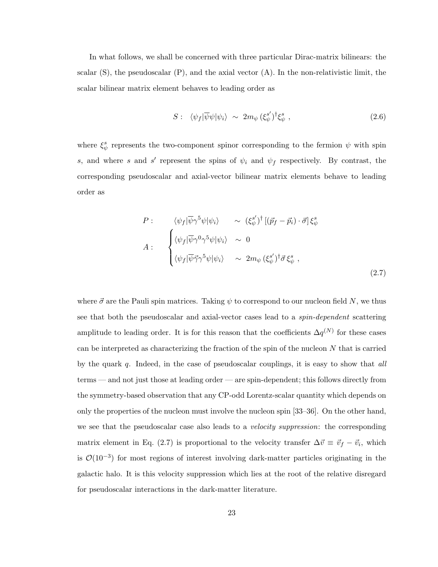In what follows, we shall be concerned with three particular Dirac-matrix bilinears: the scalar  $(S)$ , the pseudoscalar  $(P)$ , and the axial vector  $(A)$ . In the non-relativistic limit, the scalar bilinear matrix element behaves to leading order as

$$
S: \langle \psi_f | \overline{\psi} \psi | \psi_i \rangle \sim 2m_{\psi} (\xi_{\psi}^{s'})^{\dagger} \xi_{\psi}^{s} , \qquad (2.6)
$$

where  $\xi^s_{\psi}$  represents the two-component spinor corresponding to the fermion  $\psi$  with spin s, and where s and s' represent the spins of  $\psi_i$  and  $\psi_f$  respectively. By contrast, the corresponding pseudoscalar and axial-vector bilinear matrix elements behave to leading order as

$$
P: \langle \psi_f | \overline{\psi} \gamma^5 \psi | \psi_i \rangle \sim (\xi_{\psi}^{s'})^{\dagger} [(\vec{p}_f - \vec{p}_i) \cdot \vec{\sigma}] \xi_{\psi}^s
$$
  

$$
A: \begin{cases} \langle \psi_f | \overline{\psi} \gamma^0 \gamma^5 \psi | \psi_i \rangle & \sim 0 \\ \langle \psi_f | \overline{\psi} \vec{\gamma} \gamma^5 \psi | \psi_i \rangle & \sim 2m_{\psi} (\xi_{\psi}^{s'})^{\dagger} \vec{\sigma} \xi_{\psi}^s , \end{cases}
$$
  
(2.7)

where  $\vec{\sigma}$  are the Pauli spin matrices. Taking  $\psi$  to correspond to our nucleon field N, we thus see that both the pseudoscalar and axial-vector cases lead to a spin-dependent scattering amplitude to leading order. It is for this reason that the coefficients  $\Delta q^{(N)}$  for these cases can be interpreted as characterizing the fraction of the spin of the nucleon  $N$  that is carried by the quark  $q$ . Indeed, in the case of pseudoscalar couplings, it is easy to show that all terms — and not just those at leading order — are spin-dependent; this follows directly from the symmetry-based observation that any CP-odd Lorentz-scalar quantity which depends on only the properties of the nucleon must involve the nucleon spin [33–36]. On the other hand, we see that the pseudoscalar case also leads to a *velocity suppression*: the corresponding matrix element in Eq. (2.7) is proportional to the velocity transfer  $\Delta \vec{v} \equiv \vec{v}_f - \vec{v}_i$ , which is  $\mathcal{O}(10^{-3})$  for most regions of interest involving dark-matter particles originating in the galactic halo. It is this velocity suppression which lies at the root of the relative disregard for pseudoscalar interactions in the dark-matter literature.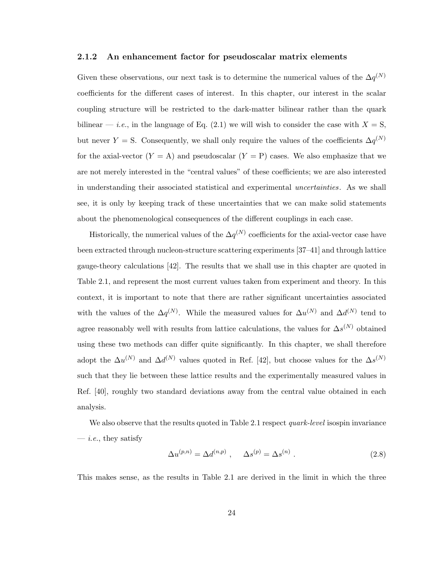#### 2.1.2 An enhancement factor for pseudoscalar matrix elements

Given these observations, our next task is to determine the numerical values of the  $\Delta q^{(N)}$ coefficients for the different cases of interest. In this chapter, our interest in the scalar coupling structure will be restricted to the dark-matter bilinear rather than the quark bilinear — *i.e.*, in the language of Eq. (2.1) we will wish to consider the case with  $X = S$ , but never Y = S. Consequently, we shall only require the values of the coefficients  $\Delta q^{(N)}$ for the axial-vector  $(Y = A)$  and pseudoscalar  $(Y = P)$  cases. We also emphasize that we are not merely interested in the "central values" of these coefficients; we are also interested in understanding their associated statistical and experimental uncertainties. As we shall see, it is only by keeping track of these uncertainties that we can make solid statements about the phenomenological consequences of the different couplings in each case.

Historically, the numerical values of the  $\Delta q^{(N)}$  coefficients for the axial-vector case have been extracted through nucleon-structure scattering experiments [37–41] and through lattice gauge-theory calculations [42]. The results that we shall use in this chapter are quoted in Table 2.1, and represent the most current values taken from experiment and theory. In this context, it is important to note that there are rather significant uncertainties associated with the values of the  $\Delta q^{(N)}$ . While the measured values for  $\Delta u^{(N)}$  and  $\Delta d^{(N)}$  tend to agree reasonably well with results from lattice calculations, the values for  $\Delta s^{(N)}$  obtained using these two methods can differ quite significantly. In this chapter, we shall therefore adopt the  $\Delta u^{(N)}$  and  $\Delta d^{(N)}$  values quoted in Ref. [42], but choose values for the  $\Delta s^{(N)}$ such that they lie between these lattice results and the experimentally measured values in Ref. [40], roughly two standard deviations away from the central value obtained in each analysis.

We also observe that the results quoted in Table 2.1 respect *quark-level* isospin invariance  $-$  *i.e.*, they satisfy

$$
\Delta u^{(p,n)} = \Delta d^{(n,p)} \,, \quad \Delta s^{(p)} = \Delta s^{(n)} \,. \tag{2.8}
$$

This makes sense, as the results in Table 2.1 are derived in the limit in which the three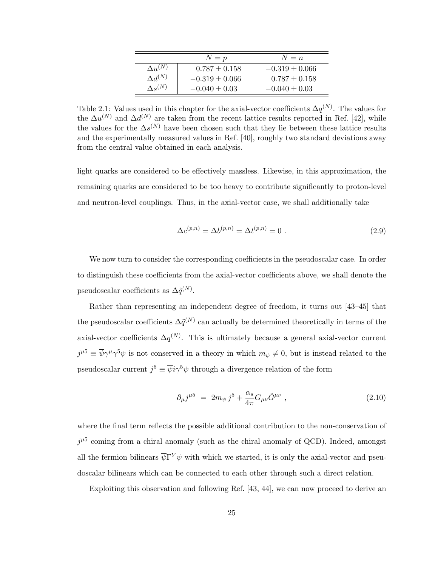|                  | $N=p$              | $N = n$            |
|------------------|--------------------|--------------------|
| $\Delta u^{(N)}$ | $0.787 \pm 0.158$  | $-0.319 \pm 0.066$ |
| $\Delta d^{(N)}$ | $-0.319 \pm 0.066$ | $0.787 \pm 0.158$  |
| $\Lambda_S(N)$   | $-0.040 \pm 0.03$  | $-0.040 \pm 0.03$  |

Table 2.1: Values used in this chapter for the axial-vector coefficients  $\Delta q^{(N)}$ . The values for the  $\Delta u^{(N)}$  and  $\Delta d^{(N)}$  are taken from the recent lattice results reported in Ref. [42], while the values for the  $\Delta s^{(N)}$  have been chosen such that they lie between these lattice results and the experimentally measured values in Ref. [40], roughly two standard deviations away from the central value obtained in each analysis.

light quarks are considered to be effectively massless. Likewise, in this approximation, the remaining quarks are considered to be too heavy to contribute significantly to proton-level and neutron-level couplings. Thus, in the axial-vector case, we shall additionally take

$$
\Delta c^{(p,n)} = \Delta b^{(p,n)} = \Delta t^{(p,n)} = 0.
$$
\n(2.9)

We now turn to consider the corresponding coefficients in the pseudoscalar case. In order to distinguish these coefficients from the axial-vector coefficients above, we shall denote the pseudoscalar coefficients as  $\Delta \tilde{q}^{(N)}$ .

Rather than representing an independent degree of freedom, it turns out [43–45] that the pseudoscalar coefficients  $\Delta \tilde{q}^{(N)}$  can actually be determined theoretically in terms of the axial-vector coefficients  $\Delta q^{(N)}$ . This is ultimately because a general axial-vector current  $j^{\mu 5} \equiv \overline{\psi} \gamma^{\mu} \gamma^{5} \psi$  is not conserved in a theory in which  $m_{\psi} \neq 0$ , but is instead related to the pseudoscalar current  $j^5 \equiv \overline{\psi} i \gamma^5 \psi$  through a divergence relation of the form

$$
\partial_{\mu}j^{\mu 5} = 2m_{\psi}j^{5} + \frac{\alpha_{s}}{4\pi}G_{\mu\nu}\tilde{G}^{\mu\nu} , \qquad (2.10)
$$

where the final term reflects the possible additional contribution to the non-conservation of  $j^{\mu 5}$  coming from a chiral anomaly (such as the chiral anomaly of QCD). Indeed, amongst all the fermion bilinears  $\overline{\psi} \Gamma^{Y} \psi$  with which we started, it is only the axial-vector and pseudoscalar bilinears which can be connected to each other through such a direct relation.

Exploiting this observation and following Ref. [43, 44], we can now proceed to derive an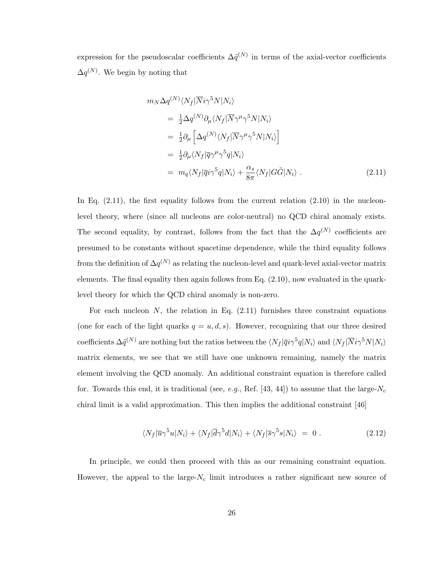expression for the pseudoscalar coefficients  $\Delta \tilde{q}^{(N)}$  in terms of the axial-vector coefficients  $\Delta q^{(N)}$ . We begin by noting that

$$
m_N \Delta q^{(N)} \langle N_f | \overline{N} i \gamma^5 N | N_i \rangle
$$
  
\n
$$
= \frac{1}{2} \Delta q^{(N)} \partial_\mu \langle N_f | \overline{N} \gamma^\mu \gamma^5 N | N_i \rangle
$$
  
\n
$$
= \frac{1}{2} \partial_\mu \left[ \Delta q^{(N)} \langle N_f | \overline{N} \gamma^\mu \gamma^5 N | N_i \rangle \right]
$$
  
\n
$$
= \frac{1}{2} \partial_\mu \langle N_f | \overline{q} \gamma^\mu \gamma^5 q | N_i \rangle
$$
  
\n
$$
= m_q \langle N_f | \overline{q} i \gamma^5 q | N_i \rangle + \frac{\alpha_s}{8\pi} \langle N_f | G \tilde{G} | N_i \rangle .
$$
 (2.11)

In Eq.  $(2.11)$ , the first equality follows from the current relation  $(2.10)$  in the nucleonlevel theory, where (since all nucleons are color-neutral) no QCD chiral anomaly exists. The second equality, by contrast, follows from the fact that the  $\Delta q^{(N)}$  coefficients are presumed to be constants without spacetime dependence, while the third equality follows from the definition of  $\Delta q^{(N)}$  as relating the nucleon-level and quark-level axial-vector matrix elements. The final equality then again follows from Eq. (2.10), now evaluated in the quarklevel theory for which the QCD chiral anomaly is non-zero.

For each nucleon  $N$ , the relation in Eq.  $(2.11)$  furnishes three constraint equations (one for each of the light quarks  $q = u, d, s$ ). However, recognizing that our three desired coefficients  $\Delta \tilde{q}^{(N)}$  are nothing but the ratios between the  $\langle N_f | \overline{q} i \gamma^5 q | N_i \rangle$  and  $\langle N_f | \overline{N} i \gamma^5 N | N_i \rangle$ matrix elements, we see that we still have one unknown remaining, namely the matrix element involving the QCD anomaly. An additional constraint equation is therefore called for. Towards this end, it is traditional (see, e.g., Ref. [43, 44]) to assume that the large- $N_c$ chiral limit is a valid approximation. This then implies the additional constraint [46]

$$
\langle N_f | \overline{u} \gamma^5 u | N_i \rangle + \langle N_f | \overline{d} \gamma^5 d | N_i \rangle + \langle N_f | \overline{s} \gamma^5 s | N_i \rangle = 0.
$$
 (2.12)

In principle, we could then proceed with this as our remaining constraint equation. However, the appeal to the large- $N_c$  limit introduces a rather significant new source of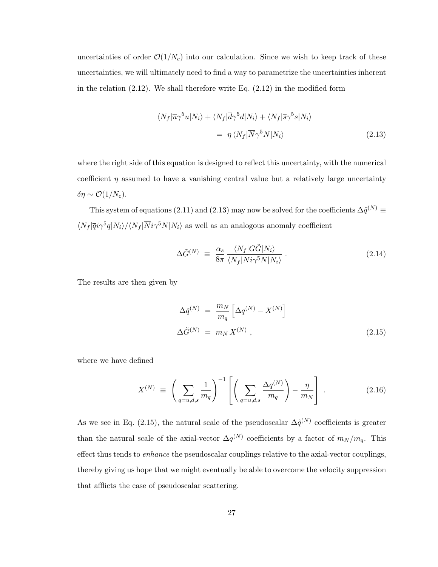uncertainties of order  $\mathcal{O}(1/N_c)$  into our calculation. Since we wish to keep track of these uncertainties, we will ultimately need to find a way to parametrize the uncertainties inherent in the relation  $(2.12)$ . We shall therefore write Eq.  $(2.12)$  in the modified form

$$
\langle N_f | \overline{u} \gamma^5 u | N_i \rangle + \langle N_f | \overline{d} \gamma^5 d | N_i \rangle + \langle N_f | \overline{s} \gamma^5 s | N_i \rangle
$$
  
= 
$$
\eta \langle N_f | \overline{N} \gamma^5 N | N_i \rangle
$$
 (2.13)

where the right side of this equation is designed to reflect this uncertainty, with the numerical coefficient  $\eta$  assumed to have a vanishing central value but a relatively large uncertainty  $\delta \eta \sim \mathcal{O}(1/N_c)$ .

This system of equations (2.11) and (2.13) may now be solved for the coefficients  $\Delta \tilde{q}^{(N)}$   $\equiv$  $\langle N_f | \overline{q} i\gamma^5 q | N_i \rangle / \langle N_f | \overline{N} i\gamma^5 N | N_i \rangle$  as well as an analogous anomaly coefficient

$$
\Delta \tilde{G}^{(N)} \equiv \frac{\alpha_s}{8\pi} \frac{\langle N_f | G\tilde{G} | N_i \rangle}{\langle N_f | \overline{N} i \gamma^5 N | N_i \rangle} . \tag{2.14}
$$

The results are then given by

$$
\Delta \tilde{q}^{(N)} = \frac{m_N}{m_q} \left[ \Delta q^{(N)} - X^{(N)} \right]
$$
  

$$
\Delta \tilde{G}^{(N)} = m_N X^{(N)},
$$
\n(2.15)

where we have defined

$$
X^{(N)} \equiv \left(\sum_{q=u,d,s} \frac{1}{m_q}\right)^{-1} \left[ \left(\sum_{q=u,d,s} \frac{\Delta q^{(N)}}{m_q}\right) - \frac{\eta}{m_N} \right] \,. \tag{2.16}
$$

As we see in Eq. (2.15), the natural scale of the pseudoscalar  $\Delta \tilde{q}^{(N)}$  coefficients is greater than the natural scale of the axial-vector  $\Delta q^{(N)}$  coefficients by a factor of  $m_N/m_q$ . This effect thus tends to enhance the pseudoscalar couplings relative to the axial-vector couplings, thereby giving us hope that we might eventually be able to overcome the velocity suppression that afflicts the case of pseudoscalar scattering.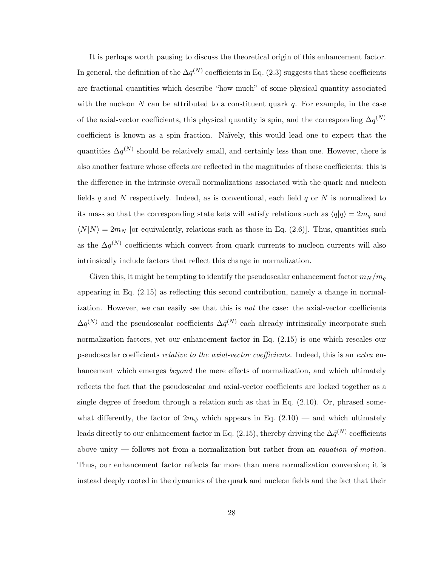It is perhaps worth pausing to discuss the theoretical origin of this enhancement factor. In general, the definition of the  $\Delta q^{(N)}$  coefficients in Eq. (2.3) suggests that these coefficients are fractional quantities which describe "how much" of some physical quantity associated with the nucleon N can be attributed to a constituent quark  $q$ . For example, in the case of the axial-vector coefficients, this physical quantity is spin, and the corresponding  $\Delta q^{(N)}$ coefficient is known as a spin fraction. Na¨ıvely, this would lead one to expect that the quantities  $\Delta q^{(N)}$  should be relatively small, and certainly less than one. However, there is also another feature whose effects are reflected in the magnitudes of these coefficients: this is the difference in the intrinsic overall normalizations associated with the quark and nucleon fields  $q$  and  $N$  respectively. Indeed, as is conventional, each field  $q$  or  $N$  is normalized to its mass so that the corresponding state kets will satisfy relations such as  $\langle q|q\rangle = 2m_q$  and  $\langle N|N\rangle = 2m_N$  [or equivalently, relations such as those in Eq. (2.6)]. Thus, quantities such as the  $\Delta q^{(N)}$  coefficients which convert from quark currents to nucleon currents will also intrinsically include factors that reflect this change in normalization.

Given this, it might be tempting to identify the pseudoscalar enhancement factor  $m_N/m_q$ appearing in Eq. (2.15) as reflecting this second contribution, namely a change in normalization. However, we can easily see that this is *not* the case: the axial-vector coefficients  $\Delta q^{(N)}$  and the pseudoscalar coefficients  $\Delta \tilde{q}^{(N)}$  each already intrinsically incorporate such normalization factors, yet our enhancement factor in Eq. (2.15) is one which rescales our pseudoscalar coefficients relative to the axial-vector coefficients. Indeed, this is an extra enhancement which emerges *beyond* the mere effects of normalization, and which ultimately reflects the fact that the pseudoscalar and axial-vector coefficients are locked together as a single degree of freedom through a relation such as that in Eq.  $(2.10)$ . Or, phrased somewhat differently, the factor of  $2m_{\psi}$  which appears in Eq. (2.10) — and which ultimately leads directly to our enhancement factor in Eq. (2.15), thereby driving the  $\Delta \tilde{q}^{(N)}$  coefficients above unity  $-$  follows not from a normalization but rather from an *equation of motion*. Thus, our enhancement factor reflects far more than mere normalization conversion; it is instead deeply rooted in the dynamics of the quark and nucleon fields and the fact that their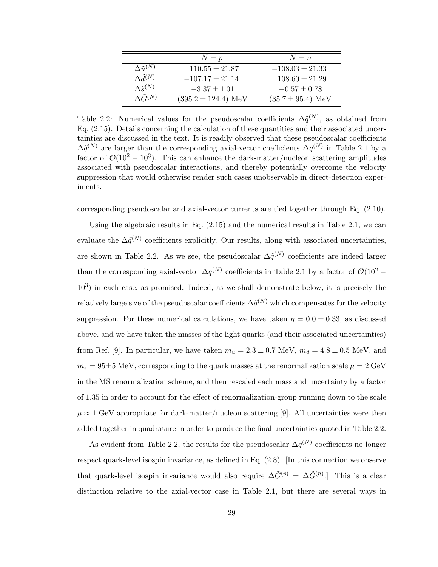|                           | $N = p$                 | $N = n$               |
|---------------------------|-------------------------|-----------------------|
| $\Delta \tilde{u}^{(N)}$  | $110.55 \pm 21.87$      | $-108.03 \pm 21.33$   |
| $\Delta \tilde{d}^{(N)}$  | $-107.17 \pm 21.14$     | $108.60 \pm 21.29$    |
| $\Lambda \tilde{s}^{(N)}$ | $-3.37 \pm 1.01$        | $-0.57 \pm 0.78$      |
| $\Lambda \tilde{G}^{(N)}$ | $(395.2 \pm 124.4)$ MeV | $(35.7 \pm 95.4)$ MeV |

Table 2.2: Numerical values for the pseudoscalar coefficients  $\Delta \tilde{q}^{(N)}$ , as obtained from Eq. (2.15). Details concerning the calculation of these quantities and their associated uncertainties are discussed in the text. It is readily observed that these pseudoscalar coefficients  $\Delta \tilde{q}^{(N)}$  are larger than the corresponding axial-vector coefficients  $\Delta q^{(N)}$  in Table 2.1 by a factor of  $\mathcal{O}(10^2 - 10^3)$ . This can enhance the dark-matter/nucleon scattering amplitudes associated with pseudoscalar interactions, and thereby potentially overcome the velocity suppression that would otherwise render such cases unobservable in direct-detection experiments.

corresponding pseudoscalar and axial-vector currents are tied together through Eq. (2.10).

Using the algebraic results in Eq.  $(2.15)$  and the numerical results in Table 2.1, we can evaluate the  $\Delta \tilde{q}^{(N)}$  coefficients explicitly. Our results, along with associated uncertainties, are shown in Table 2.2. As we see, the pseudoscalar  $\Delta \tilde{q}^{(N)}$  coefficients are indeed larger than the corresponding axial-vector  $\Delta q^{(N)}$  coefficients in Table 2.1 by a factor of  $\mathcal{O}(10^2 -$ 10<sup>3</sup> ) in each case, as promised. Indeed, as we shall demonstrate below, it is precisely the relatively large size of the pseudoscalar coefficients  $\Delta \tilde{q}^{(N)}$  which compensates for the velocity suppression. For these numerical calculations, we have taken  $\eta = 0.0 \pm 0.33$ , as discussed above, and we have taken the masses of the light quarks (and their associated uncertainties) from Ref. [9]. In particular, we have taken  $m_u = 2.3 \pm 0.7$  MeV,  $m_d = 4.8 \pm 0.5$  MeV, and  $m_s = 95 \pm 5$  MeV, corresponding to the quark masses at the renormalization scale  $\mu = 2 \text{ GeV}$ in the  $\overline{\text{MS}}$  renormalization scheme, and then rescaled each mass and uncertainty by a factor of 1.35 in order to account for the effect of renormalization-group running down to the scale  $\mu \approx 1$  GeV appropriate for dark-matter/nucleon scattering [9]. All uncertainties were then added together in quadrature in order to produce the final uncertainties quoted in Table 2.2.

As evident from Table 2.2, the results for the pseudoscalar  $\Delta \tilde{q}^{(N)}$  coefficients no longer respect quark-level isospin invariance, as defined in Eq. (2.8). [In this connection we observe that quark-level isospin invariance would also require  $\Delta \tilde{G}^{(p)} = \Delta \tilde{G}^{(n)}$ . This is a clear distinction relative to the axial-vector case in Table 2.1, but there are several ways in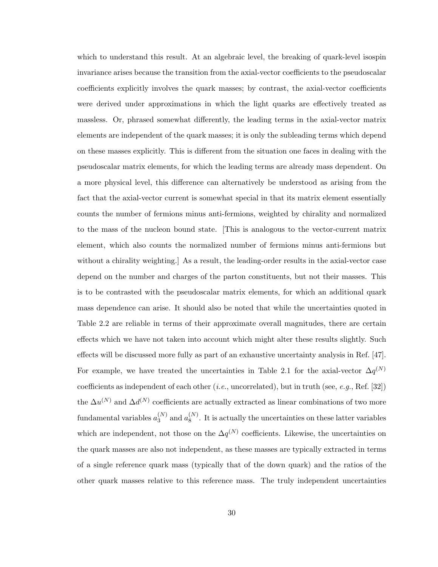which to understand this result. At an algebraic level, the breaking of quark-level isospin invariance arises because the transition from the axial-vector coefficients to the pseudoscalar coefficients explicitly involves the quark masses; by contrast, the axial-vector coefficients were derived under approximations in which the light quarks are effectively treated as massless. Or, phrased somewhat differently, the leading terms in the axial-vector matrix elements are independent of the quark masses; it is only the subleading terms which depend on these masses explicitly. This is different from the situation one faces in dealing with the pseudoscalar matrix elements, for which the leading terms are already mass dependent. On a more physical level, this difference can alternatively be understood as arising from the fact that the axial-vector current is somewhat special in that its matrix element essentially counts the number of fermions minus anti-fermions, weighted by chirality and normalized to the mass of the nucleon bound state. [This is analogous to the vector-current matrix element, which also counts the normalized number of fermions minus anti-fermions but without a chirality weighting.] As a result, the leading-order results in the axial-vector case depend on the number and charges of the parton constituents, but not their masses. This is to be contrasted with the pseudoscalar matrix elements, for which an additional quark mass dependence can arise. It should also be noted that while the uncertainties quoted in Table 2.2 are reliable in terms of their approximate overall magnitudes, there are certain effects which we have not taken into account which might alter these results slightly. Such effects will be discussed more fully as part of an exhaustive uncertainty analysis in Ref. [47]. For example, we have treated the uncertainties in Table 2.1 for the axial-vector  $\Delta q^{(N)}$ coefficients as independent of each other  $(i.e.,$  uncorrelated), but in truth (see, e.g., Ref. [32]) the  $\Delta u^{(N)}$  and  $\Delta d^{(N)}$  coefficients are actually extracted as linear combinations of two more fundamental variables  $a_3^{(N)}$  $_3^{(N)}$  and  $a_8^{(N)}$  $8^{(N)}$ . It is actually the uncertainties on these latter variables which are independent, not those on the  $\Delta q^{(N)}$  coefficients. Likewise, the uncertainties on the quark masses are also not independent, as these masses are typically extracted in terms of a single reference quark mass (typically that of the down quark) and the ratios of the other quark masses relative to this reference mass. The truly independent uncertainties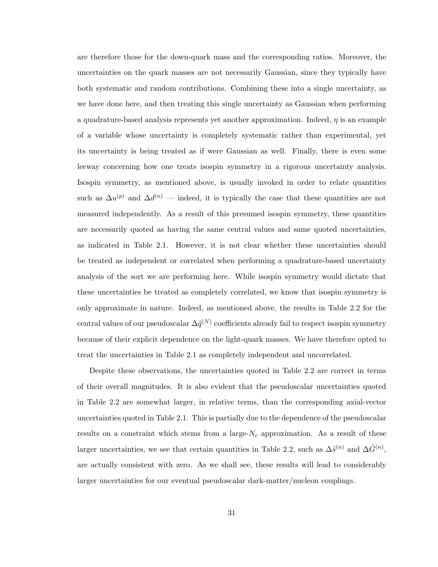are therefore those for the down-quark mass and the corresponding ratios. Moreover, the uncertainties on the quark masses are not necessarily Gaussian, since they typically have both systematic and random contributions. Combining these into a single uncertainty, as we have done here, and then treating this single uncertainty as Gaussian when performing a quadrature-based analysis represents yet another approximation. Indeed,  $\eta$  is an example of a variable whose uncertainty is completely systematic rather than experimental, yet its uncertainty is being treated as if were Gaussian as well. Finally, there is even some leeway concerning how one treats isospin symmetry in a rigorous uncertainty analysis. Isospin symmetry, as mentioned above, is usually invoked in order to relate quantities such as  $\Delta u^{(p)}$  and  $\Delta d^{(n)}$  — indeed, it is typically the case that these quantities are not measured independently. As a result of this presumed isospin symmetry, these quantities are necessarily quoted as having the same central values and same quoted uncertainties, as indicated in Table 2.1. However, it is not clear whether these uncertainties should be treated as independent or correlated when performing a quadrature-based uncertainty analysis of the sort we are performing here. While isospin symmetry would dictate that these uncertainties be treated as completely correlated, we know that isospin symmetry is only approximate in nature. Indeed, as mentioned above, the results in Table 2.2 for the central values of our pseudoscalar  $\Delta \tilde{q}^{(N)}$  coefficients already fail to respect isospin symmetry because of their explicit dependence on the light-quark masses. We have therefore opted to treat the uncertainties in Table 2.1 as completely independent and uncorrelated.

Despite these observations, the uncertainties quoted in Table 2.2 are correct in terms of their overall magnitudes. It is also evident that the pseudoscalar uncertainties quoted in Table 2.2 are somewhat larger, in relative terms, than the corresponding axial-vector uncertainties quoted in Table 2.1. This is partially due to the dependence of the pseudoscalar results on a constraint which stems from a large- $N_c$  approximation. As a result of these larger uncertainties, we see that certain quantities in Table 2.2, such as  $\Delta \tilde{s}^{(n)}$  and  $\Delta \tilde{G}^{(n)}$ , are actually consistent with zero. As we shall see, these results will lead to considerably larger uncertainties for our eventual pseudoscalar dark-matter/nucleon couplings.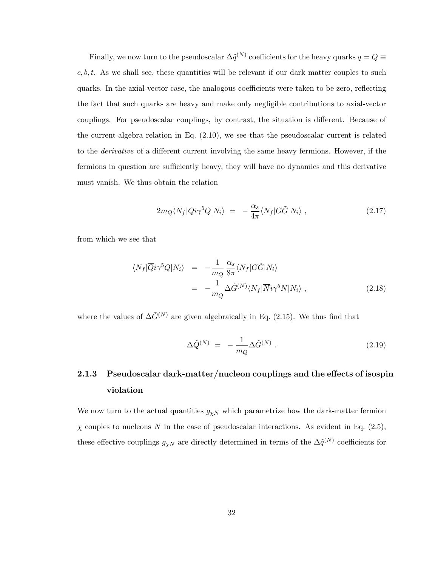Finally, we now turn to the pseudoscalar  $\Delta \tilde{q}^{(N)}$  coefficients for the heavy quarks  $q=Q\equiv$  $c, b, t$ . As we shall see, these quantities will be relevant if our dark matter couples to such quarks. In the axial-vector case, the analogous coefficients were taken to be zero, reflecting the fact that such quarks are heavy and make only negligible contributions to axial-vector couplings. For pseudoscalar couplings, by contrast, the situation is different. Because of the current-algebra relation in Eq. (2.10), we see that the pseudoscalar current is related to the derivative of a different current involving the same heavy fermions. However, if the fermions in question are sufficiently heavy, they will have no dynamics and this derivative must vanish. We thus obtain the relation

$$
2m_Q \langle N_f | \overline{Q} i \gamma^5 Q | N_i \rangle = -\frac{\alpha_s}{4\pi} \langle N_f | G \tilde{G} | N_i \rangle , \qquad (2.17)
$$

from which we see that

$$
\langle N_f | \overline{Q} i \gamma^5 Q | N_i \rangle = -\frac{1}{m_Q} \frac{\alpha_s}{8\pi} \langle N_f | G \tilde{G} | N_i \rangle
$$
  
= 
$$
-\frac{1}{m_Q} \Delta \tilde{G}^{(N)} \langle N_f | \overline{N} i \gamma^5 N | N_i \rangle ,
$$
 (2.18)

where the values of  $\Delta \tilde{G}^{(N)}$  are given algebraically in Eq. (2.15). We thus find that

$$
\Delta \tilde{Q}^{(N)} = -\frac{1}{m_Q} \Delta \tilde{G}^{(N)} . \qquad (2.19)
$$

## 2.1.3 Pseudoscalar dark-matter/nucleon couplings and the effects of isospin violation

We now turn to the actual quantities  $g_{\chi N}$  which parametrize how the dark-matter fermion  $\chi$  couples to nucleons N in the case of pseudoscalar interactions. As evident in Eq. (2.5), these effective couplings  $g_{\chi N}$  are directly determined in terms of the  $\Delta \tilde{q}^{(N)}$  coefficients for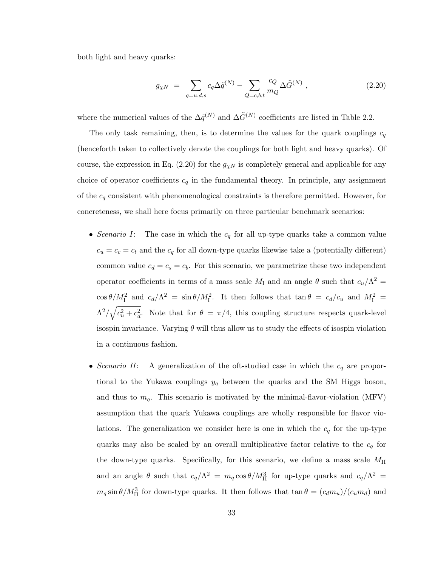both light and heavy quarks:

$$
g_{\chi N} = \sum_{q=u,d,s} c_q \Delta \tilde{q}^{(N)} - \sum_{Q=c,b,t} \frac{c_Q}{m_Q} \Delta \tilde{G}^{(N)} , \qquad (2.20)
$$

where the numerical values of the  $\Delta \tilde{q}^{(N)}$  and  $\Delta \tilde{G}^{(N)}$  coefficients are listed in Table 2.2.

The only task remaining, then, is to determine the values for the quark couplings  $c_q$ (henceforth taken to collectively denote the couplings for both light and heavy quarks). Of course, the expression in Eq. (2.20) for the  $g_{\chi N}$  is completely general and applicable for any choice of operator coefficients  $c_q$  in the fundamental theory. In principle, any assignment of the  $c_q$  consistent with phenomenological constraints is therefore permitted. However, for concreteness, we shall here focus primarily on three particular benchmark scenarios:

- Scenario I: The case in which the  $c_q$  for all up-type quarks take a common value  $c_u = c_c = c_t$  and the  $c_q$  for all down-type quarks likewise take a (potentially different) common value  $c_d = c_s = c_b$ . For this scenario, we parametrize these two independent operator coefficients in terms of a mass scale  $M_I$  and an angle  $\theta$  such that  $c_u/\Lambda^2 =$  $\cos \theta / M_{\rm I}^2$  and  $c_d / \Lambda^2 = \sin \theta / M_{\rm I}^2$ . It then follows that  $\tan \theta = c_d / c_u$  and  $M_{\rm I}^2 =$  $\Lambda^2/\sqrt{c_u^2+c_d^2}$ . Note that for  $\theta = \pi/4$ , this coupling structure respects quark-level isospin invariance. Varying  $\theta$  will thus allow us to study the effects of isospin violation in a continuous fashion.
- Scenario II: A generalization of the oft-studied case in which the  $c_q$  are proportional to the Yukawa couplings  $y_q$  between the quarks and the SM Higgs boson, and thus to  $m_q$ . This scenario is motivated by the minimal-flavor-violation (MFV) assumption that the quark Yukawa couplings are wholly responsible for flavor violations. The generalization we consider here is one in which the  $c_q$  for the up-type quarks may also be scaled by an overall multiplicative factor relative to the  $c_q$  for the down-type quarks. Specifically, for this scenario, we define a mass scale  $M_{\text{II}}$ and an angle  $\theta$  such that  $c_q/\Lambda^2 = m_q \cos \theta / M_{\rm II}^3$  for up-type quarks and  $c_q/\Lambda^2 =$  $m_q \sin \theta / M_{\text{II}}^3$  for down-type quarks. It then follows that  $\tan \theta = (c_d m_u)/(c_u m_d)$  and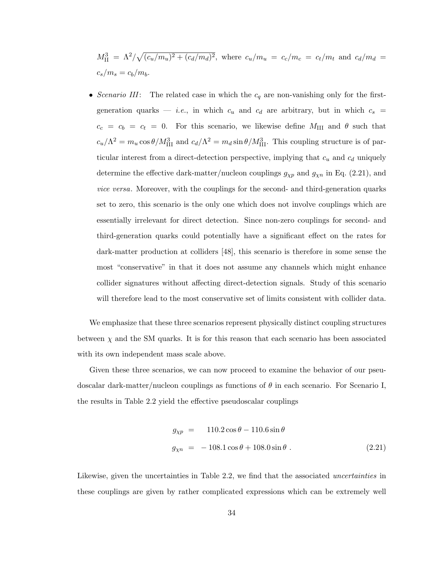$M_{\rm II}^3 = \Lambda^2/\sqrt{(c_u/m_u)^2 + (c_d/m_d)^2}$ , where  $c_u/m_u = c_c/m_c = c_t/m_t$  and  $c_d/m_d = c_d/m_t$  $c_s/m_s = c_b/m_b.$ 

• Scenario III: The related case in which the  $c_q$  are non-vanishing only for the firstgeneration quarks — *i.e.*, in which  $c_u$  and  $c_d$  are arbitrary, but in which  $c_s$  =  $c_c = c_b = c_t = 0$ . For this scenario, we likewise define  $M_{\rm III}$  and  $\theta$  such that  $c_u/\Lambda^2 = m_u \cos \theta / M_{\text{III}}^3$  and  $c_d/\Lambda^2 = m_d \sin \theta / M_{\text{III}}^3$ . This coupling structure is of particular interest from a direct-detection perspective, implying that  $c_u$  and  $c_d$  uniquely determine the effective dark-matter/nucleon couplings  $g_{\chi p}$  and  $g_{\chi n}$  in Eq. (2.21), and vice versa. Moreover, with the couplings for the second- and third-generation quarks set to zero, this scenario is the only one which does not involve couplings which are essentially irrelevant for direct detection. Since non-zero couplings for second- and third-generation quarks could potentially have a significant effect on the rates for dark-matter production at colliders [48], this scenario is therefore in some sense the most "conservative" in that it does not assume any channels which might enhance collider signatures without affecting direct-detection signals. Study of this scenario will therefore lead to the most conservative set of limits consistent with collider data.

We emphasize that these three scenarios represent physically distinct coupling structures between  $\chi$  and the SM quarks. It is for this reason that each scenario has been associated with its own independent mass scale above.

Given these three scenarios, we can now proceed to examine the behavior of our pseudoscalar dark-matter/nucleon couplings as functions of  $\theta$  in each scenario. For Scenario I, the results in Table 2.2 yield the effective pseudoscalar couplings

$$
g_{\chi p} = 110.2 \cos \theta - 110.6 \sin \theta
$$
  

$$
g_{\chi n} = -108.1 \cos \theta + 108.0 \sin \theta
$$
 (2.21)

Likewise, given the uncertainties in Table 2.2, we find that the associated *uncertainties* in these couplings are given by rather complicated expressions which can be extremely well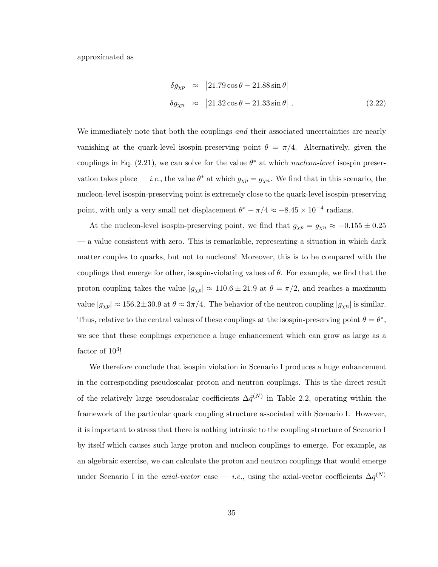approximated as

$$
\delta g_{\chi p} \approx |21.79 \cos \theta - 21.88 \sin \theta|
$$
  

$$
\delta g_{\chi n} \approx |21.32 \cos \theta - 21.33 \sin \theta|.
$$
 (2.22)

We immediately note that both the couplings and their associated uncertainties are nearly vanishing at the quark-level isospin-preserving point  $\theta = \pi/4$ . Alternatively, given the couplings in Eq.  $(2.21)$ , we can solve for the value  $\theta^*$  at which *nucleon-level* isospin preservation takes place — *i.e.*, the value  $\theta^*$  at which  $g_{\chi p} = g_{\chi n}$ . We find that in this scenario, the nucleon-level isospin-preserving point is extremely close to the quark-level isospin-preserving point, with only a very small net displacement  $\theta^* - \pi/4 \approx -8.45 \times 10^{-4}$  radians.

At the nucleon-level isospin-preserving point, we find that  $g_{\chi p} = g_{\chi n} \approx -0.155 \pm 0.25$ — a value consistent with zero. This is remarkable, representing a situation in which dark matter couples to quarks, but not to nucleons! Moreover, this is to be compared with the couplings that emerge for other, isospin-violating values of  $\theta$ . For example, we find that the proton coupling takes the value  $|g_{\chi p}| \approx 110.6 \pm 21.9$  at  $\theta = \pi/2$ , and reaches a maximum value  $|g_{\chi p}| \approx 156.2 \pm 30.9$  at  $\theta \approx 3\pi/4$ . The behavior of the neutron coupling  $|g_{\chi n}|$  is similar. Thus, relative to the central values of these couplings at the isospin-preserving point  $\theta = \theta^*$ , we see that these couplings experience a huge enhancement which can grow as large as a factor of  $10^3$ !

We therefore conclude that isospin violation in Scenario I produces a huge enhancement in the corresponding pseudoscalar proton and neutron couplings. This is the direct result of the relatively large pseudoscalar coefficients  $\Delta \tilde{q}^{(N)}$  in Table 2.2, operating within the framework of the particular quark coupling structure associated with Scenario I. However, it is important to stress that there is nothing intrinsic to the coupling structure of Scenario I by itself which causes such large proton and nucleon couplings to emerge. For example, as an algebraic exercise, we can calculate the proton and neutron couplings that would emerge under Scenario I in the *axial-vector* case — *i.e.*, using the axial-vector coefficients  $\Delta q^{(N)}$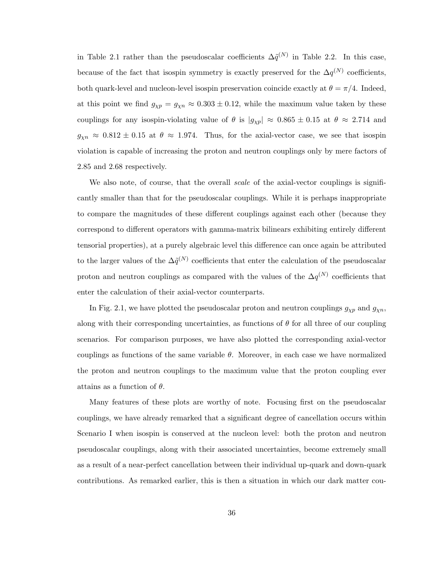in Table 2.1 rather than the pseudoscalar coefficients  $\Delta \tilde{q}^{(N)}$  in Table 2.2. In this case, because of the fact that isospin symmetry is exactly preserved for the  $\Delta q^{(N)}$  coefficients, both quark-level and nucleon-level isospin preservation coincide exactly at  $\theta = \pi/4$ . Indeed, at this point we find  $g_{\chi p} = g_{\chi n} \approx 0.303 \pm 0.12$ , while the maximum value taken by these couplings for any isospin-violating value of  $\theta$  is  $|g_{\chi p}| \approx 0.865 \pm 0.15$  at  $\theta \approx 2.714$  and  $g_{\chi n} \approx 0.812 \pm 0.15$  at  $\theta \approx 1.974$ . Thus, for the axial-vector case, we see that isospin violation is capable of increasing the proton and neutron couplings only by mere factors of 2.85 and 2.68 respectively.

We also note, of course, that the overall *scale* of the axial-vector couplings is significantly smaller than that for the pseudoscalar couplings. While it is perhaps inappropriate to compare the magnitudes of these different couplings against each other (because they correspond to different operators with gamma-matrix bilinears exhibiting entirely different tensorial properties), at a purely algebraic level this difference can once again be attributed to the larger values of the  $\Delta \tilde{q}^{(N)}$  coefficients that enter the calculation of the pseudoscalar proton and neutron couplings as compared with the values of the  $\Delta q^{(N)}$  coefficients that enter the calculation of their axial-vector counterparts.

In Fig. 2.1, we have plotted the pseudoscalar proton and neutron couplings  $g_{\chi p}$  and  $g_{\chi n}$ , along with their corresponding uncertainties, as functions of  $\theta$  for all three of our coupling scenarios. For comparison purposes, we have also plotted the corresponding axial-vector couplings as functions of the same variable  $\theta$ . Moreover, in each case we have normalized the proton and neutron couplings to the maximum value that the proton coupling ever attains as a function of  $\theta$ .

Many features of these plots are worthy of note. Focusing first on the pseudoscalar couplings, we have already remarked that a significant degree of cancellation occurs within Scenario I when isospin is conserved at the nucleon level: both the proton and neutron pseudoscalar couplings, along with their associated uncertainties, become extremely small as a result of a near-perfect cancellation between their individual up-quark and down-quark contributions. As remarked earlier, this is then a situation in which our dark matter cou-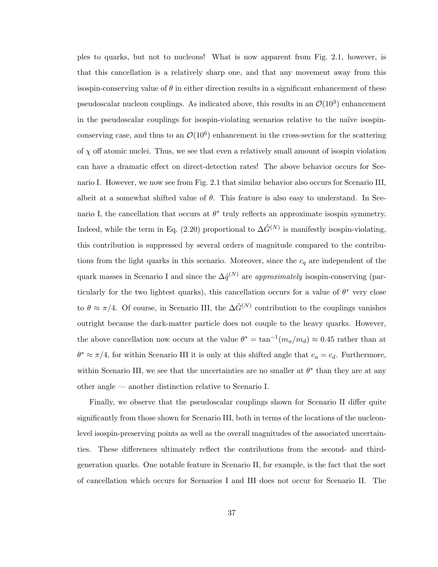ples to quarks, but not to nucleons! What is now apparent from Fig. 2.1, however, is that this cancellation is a relatively sharp one, and that any movement away from this isospin-conserving value of  $\theta$  in either direction results in a significant enhancement of these pseudoscalar nucleon couplings. As indicated above, this results in an  $\mathcal{O}(10^3)$  enhancement in the pseudoscalar couplings for isospin-violating scenarios relative to the naïve isospinconserving case, and thus to an  $\mathcal{O}(10^6)$  enhancement in the cross-section for the scattering of  $\chi$  off atomic nuclei. Thus, we see that even a relatively small amount of isospin violation can have a dramatic effect on direct-detection rates! The above behavior occurs for Scenario I. However, we now see from Fig. 2.1 that similar behavior also occurs for Scenario III, albeit at a somewhat shifted value of  $\theta$ . This feature is also easy to understand. In Scenario I, the cancellation that occurs at  $\theta^*$  truly reflects an approximate isospin symmetry. Indeed, while the term in Eq. (2.20) proportional to  $\Delta \tilde{G}^{(N)}$  is manifestly isospin-violating, this contribution is suppressed by several orders of magnitude compared to the contributions from the light quarks in this scenario. Moreover, since the  $c_q$  are independent of the quark masses in Scenario I and since the  $\Delta \tilde{q}^{(N)}$  are approximately isospin-conserving (particularly for the two lightest quarks), this cancellation occurs for a value of  $\theta^*$  very close to  $\theta \approx \pi/4$ . Of course, in Scenario III, the  $\Delta \tilde{G}^{(N)}$  contribution to the couplings vanishes outright because the dark-matter particle does not couple to the heavy quarks. However, the above cancellation now occurs at the value  $\theta^* = \tan^{-1}(m_u/m_d) \approx 0.45$  rather than at  $\theta^* \approx \pi/4$ , for within Scenario III it is only at this shifted angle that  $c_u = c_d$ . Furthermore, within Scenario III, we see that the uncertainties are no smaller at  $\theta^*$  than they are at any other angle — another distinction relative to Scenario I.

Finally, we observe that the pseudoscalar couplings shown for Scenario II differ quite significantly from those shown for Scenario III, both in terms of the locations of the nucleonlevel isospin-preserving points as well as the overall magnitudes of the associated uncertainties. These differences ultimately reflect the contributions from the second- and thirdgeneration quarks. One notable feature in Scenario II, for example, is the fact that the sort of cancellation which occurs for Scenarios I and III does not occur for Scenario II. The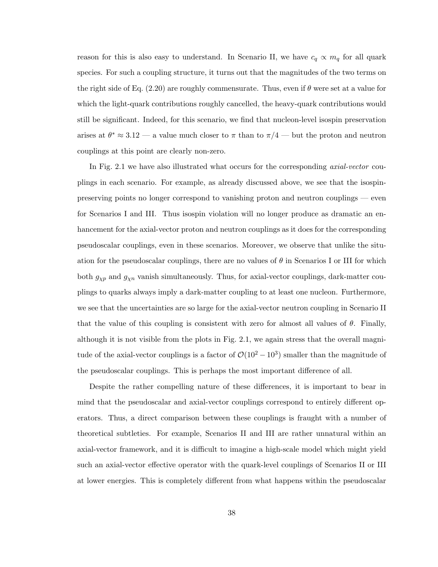reason for this is also easy to understand. In Scenario II, we have  $c_q \propto m_q$  for all quark species. For such a coupling structure, it turns out that the magnitudes of the two terms on the right side of Eq. (2.20) are roughly commensurate. Thus, even if  $\theta$  were set at a value for which the light-quark contributions roughly cancelled, the heavy-quark contributions would still be significant. Indeed, for this scenario, we find that nucleon-level isospin preservation arises at  $\theta^* \approx 3.12$  — a value much closer to  $\pi$  than to  $\pi/4$  — but the proton and neutron couplings at this point are clearly non-zero.

In Fig. 2.1 we have also illustrated what occurs for the corresponding *axial-vector* couplings in each scenario. For example, as already discussed above, we see that the isospinpreserving points no longer correspond to vanishing proton and neutron couplings — even for Scenarios I and III. Thus isospin violation will no longer produce as dramatic an enhancement for the axial-vector proton and neutron couplings as it does for the corresponding pseudoscalar couplings, even in these scenarios. Moreover, we observe that unlike the situation for the pseudoscalar couplings, there are no values of  $\theta$  in Scenarios I or III for which both  $g_{\chi p}$  and  $g_{\chi n}$  vanish simultaneously. Thus, for axial-vector couplings, dark-matter couplings to quarks always imply a dark-matter coupling to at least one nucleon. Furthermore, we see that the uncertainties are so large for the axial-vector neutron coupling in Scenario II that the value of this coupling is consistent with zero for almost all values of  $\theta$ . Finally, although it is not visible from the plots in Fig. 2.1, we again stress that the overall magnitude of the axial-vector couplings is a factor of  $\mathcal{O}(10^2 - 10^3)$  smaller than the magnitude of the pseudoscalar couplings. This is perhaps the most important difference of all.

Despite the rather compelling nature of these differences, it is important to bear in mind that the pseudoscalar and axial-vector couplings correspond to entirely different operators. Thus, a direct comparison between these couplings is fraught with a number of theoretical subtleties. For example, Scenarios II and III are rather unnatural within an axial-vector framework, and it is difficult to imagine a high-scale model which might yield such an axial-vector effective operator with the quark-level couplings of Scenarios II or III at lower energies. This is completely different from what happens within the pseudoscalar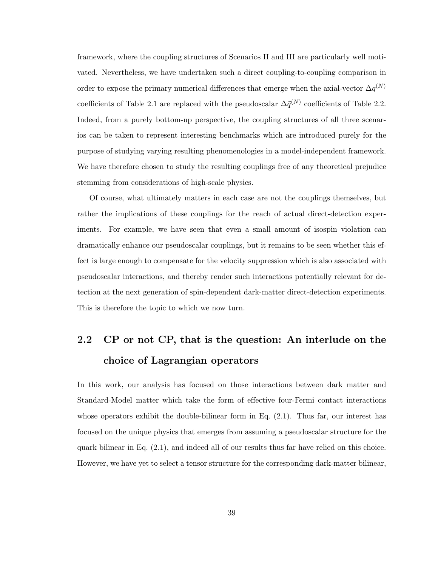framework, where the coupling structures of Scenarios II and III are particularly well motivated. Nevertheless, we have undertaken such a direct coupling-to-coupling comparison in order to expose the primary numerical differences that emerge when the axial-vector  $\Delta q^{(N)}$ coefficients of Table 2.1 are replaced with the pseudoscalar  $\Delta \tilde{q}^{(N)}$  coefficients of Table 2.2. Indeed, from a purely bottom-up perspective, the coupling structures of all three scenarios can be taken to represent interesting benchmarks which are introduced purely for the purpose of studying varying resulting phenomenologies in a model-independent framework. We have therefore chosen to study the resulting couplings free of any theoretical prejudice stemming from considerations of high-scale physics.

Of course, what ultimately matters in each case are not the couplings themselves, but rather the implications of these couplings for the reach of actual direct-detection experiments. For example, we have seen that even a small amount of isospin violation can dramatically enhance our pseudoscalar couplings, but it remains to be seen whether this effect is large enough to compensate for the velocity suppression which is also associated with pseudoscalar interactions, and thereby render such interactions potentially relevant for detection at the next generation of spin-dependent dark-matter direct-detection experiments. This is therefore the topic to which we now turn.

# 2.2 CP or not CP, that is the question: An interlude on the choice of Lagrangian operators

In this work, our analysis has focused on those interactions between dark matter and Standard-Model matter which take the form of effective four-Fermi contact interactions whose operators exhibit the double-bilinear form in Eq.  $(2.1)$ . Thus far, our interest has focused on the unique physics that emerges from assuming a pseudoscalar structure for the quark bilinear in Eq. (2.1), and indeed all of our results thus far have relied on this choice. However, we have yet to select a tensor structure for the corresponding dark-matter bilinear,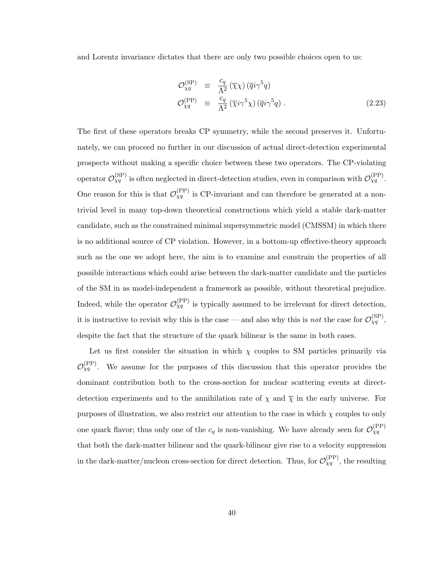and Lorentz invariance dictates that there are only two possible choices open to us:

$$
\mathcal{O}_{\chi q}^{(\rm SP)} \equiv \frac{c_q}{\Lambda^2} (\overline{\chi}\chi) (\overline{q}i\gamma^5 q) \n\mathcal{O}_{\chi q}^{(\rm PP)} \equiv \frac{c_q}{\Lambda^2} (\overline{\chi}i\gamma^5 \chi) (\overline{q}i\gamma^5 q) .
$$
\n(2.23)

The first of these operators breaks CP symmetry, while the second preserves it. Unfortunately, we can proceed no further in our discussion of actual direct-detection experimental prospects without making a specific choice between these two operators. The CP-violating operator  $\mathcal{O}_{\chi q}^{(\rm SP)}$  is often neglected in direct-detection studies, even in comparison with  $\mathcal{O}_{\chi q}^{(\rm PP)}$ . One reason for this is that  $\mathcal{O}_{Xq}^{(PP)}$  is CP-invariant and can therefore be generated at a nontrivial level in many top-down theoretical constructions which yield a stable dark-matter candidate, such as the constrained minimal supersymmetric model (CMSSM) in which there is no additional source of CP violation. However, in a bottom-up effective-theory approach such as the one we adopt here, the aim is to examine and constrain the properties of all possible interactions which could arise between the dark-matter candidate and the particles of the SM in as model-independent a framework as possible, without theoretical prejudice. Indeed, while the operator  $\mathcal{O}_{Xq}^{(PP)}$  is typically assumed to be irrelevant for direct detection, it is instructive to revisit why this is the case — and also why this is *not* the case for  $\mathcal{O}_{\chi q}^{(\rm SP)}$ , despite the fact that the structure of the quark bilinear is the same in both cases.

Let us first consider the situation in which  $\chi$  couples to SM particles primarily via  $\mathcal{O}_{\chi q}^{(\text{PP})}$ . We assume for the purposes of this discussion that this operator provides the dominant contribution both to the cross-section for nuclear scattering events at directdetection experiments and to the annihilation rate of  $\chi$  and  $\overline{\chi}$  in the early universe. For purposes of illustration, we also restrict our attention to the case in which  $\chi$  couples to only one quark flavor; thus only one of the  $c_q$  is non-vanishing. We have already seen for  $\mathcal{O}_{\chi q}^{(\rm PP)}$ that both the dark-matter bilinear and the quark-bilinear give rise to a velocity suppression in the dark-matter/nucleon cross-section for direct detection. Thus, for  $\mathcal{O}_{\chi q}^{(\text{PP})}$ , the resulting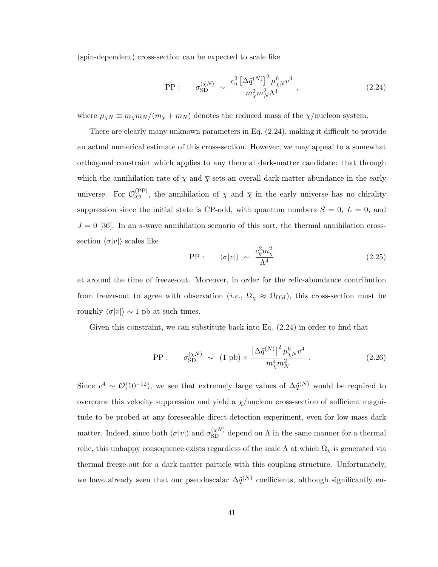(spin-dependent) cross-section can be expected to scale like

$$
\text{PP}: \quad \sigma_{\text{SD}}^{(\chi N)} \sim \frac{c_q^2 \left[\Delta \tilde{q}^{(N)}\right]^2 \mu_{\chi N}^6 v^4}{m_{\chi}^2 m_N^2 \Lambda^4} \,, \tag{2.24}
$$

where  $\mu_{\chi N} \equiv m_{\chi} m_N / (m_{\chi} + m_N)$  denotes the reduced mass of the  $\chi$ /nucleon system.

There are clearly many unknown parameters in Eq. (2.24), making it difficult to provide an actual numerical estimate of this cross-section. However, we may appeal to a somewhat orthogonal constraint which applies to any thermal dark-matter candidate: that through which the annihilation rate of  $\chi$  and  $\overline{\chi}$  sets an overall dark-matter abundance in the early universe. For  $\mathcal{O}_{\chi q}^{(\text{PP})}$ , the annihilation of  $\chi$  and  $\overline{\chi}$  in the early universe has no chirality suppression since the initial state is CP-odd, with quantum numbers  $S = 0, L = 0$ , and  $J = 0$  [36]. In an s-wave annihilation scenario of this sort, the thermal annihilation crosssection  $\langle \sigma |v| \rangle$  scales like

$$
\text{PP} : \qquad \langle \sigma |v| \rangle \sim \frac{c_q^2 m_\chi^2}{\Lambda^4} \tag{2.25}
$$

at around the time of freeze-out. Moreover, in order for the relic-abundance contribution from freeze-out to agree with observation (*i.e.*,  $\Omega_{\chi} \approx \Omega_{DM}$ ), this cross-section must be roughly  $\langle \sigma |v| \rangle \sim 1$  pb at such times.

Given this constraint, we can substitute back into Eq.  $(2.24)$  in order to find that

$$
\text{PP}: \quad \sigma_{\text{SD}}^{(\chi N)} \sim (1 \text{ pb}) \times \frac{\left[\Delta \tilde{q}^{(N)}\right]^2 \mu_{\chi N}^6 v^4}{m_{\chi}^4 m_N^2} \,. \tag{2.26}
$$

Since  $v^4 \sim \mathcal{O}(10^{-12})$ , we see that extremely large values of  $\Delta \tilde{q}^{(N)}$  would be required to overcome this velocity suppression and yield a  $\chi$ /nucleon cross-section of sufficient magnitude to be probed at any foreseeable direct-detection experiment, even for low-mass dark matter. Indeed, since both  $\langle \sigma |v| \rangle$  and  $\sigma_{SD}^{(\chi N)}$  depend on  $\Lambda$  in the same manner for a thermal relic, this unhappy consequence exists regardless of the scale  $\Lambda$  at which  $\Omega_{\chi}$  is generated via thermal freeze-out for a dark-matter particle with this coupling structure. Unfortunately, we have already seen that our pseudoscalar  $\Delta \tilde{q}^{(N)}$  coefficients, although significantly en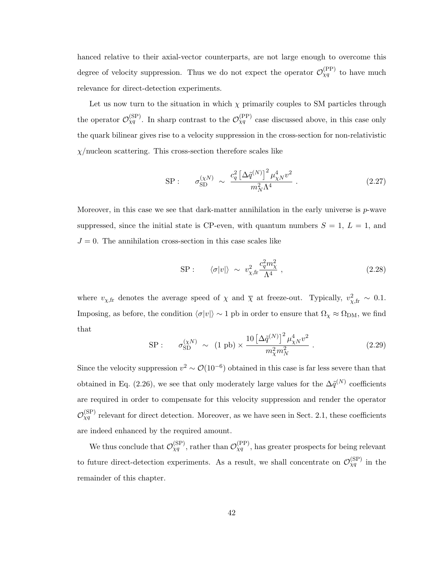hanced relative to their axial-vector counterparts, are not large enough to overcome this degree of velocity suppression. Thus we do not expect the operator  $\mathcal{O}_{\chi q}^{(\text{PP})}$  to have much relevance for direct-detection experiments.

Let us now turn to the situation in which  $\chi$  primarily couples to SM particles through the operator  $\mathcal{O}_{\chi q}^{(\rm SP)}$ . In sharp contrast to the  $\mathcal{O}_{\chi q}^{(\rm PP)}$  case discussed above, in this case only the quark bilinear gives rise to a velocity suppression in the cross-section for non-relativistic  $\chi$ /nucleon scattering. This cross-section therefore scales like

SP: 
$$
\sigma_{\text{SD}}^{(\chi N)} \sim \frac{c_q^2 \left[\Delta \tilde{q}^{(N)}\right]^2 \mu_{\chi N}^4 v^2}{m_N^2 \Lambda^4}
$$
 (2.27)

Moreover, in this case we see that dark-matter annihilation in the early universe is  $p$ -wave suppressed, since the initial state is CP-even, with quantum numbers  $S = 1, L = 1$ , and  $J = 0$ . The annihilation cross-section in this case scales like

SP: 
$$
\langle \sigma | v | \rangle \sim v_{\chi, \text{fr}}^2 \frac{c_q^2 m_\chi^2}{\Lambda^4},
$$
 (2.28)

where  $v_{\chi,\text{fr}}$  denotes the average speed of  $\chi$  and  $\overline{\chi}$  at freeze-out. Typically,  $v_{\chi,\text{fr}}^2 \sim 0.1$ . Imposing, as before, the condition  $\langle \sigma |v| \rangle \sim 1$  pb in order to ensure that  $\Omega_{\chi} \approx \Omega_{DM}$ , we find that

SP: 
$$
\sigma_{SD}^{(\chi N)} \sim (1 \text{ pb}) \times \frac{10 \left[\Delta \tilde{q}^{(N)}\right]^2 \mu_{\chi N}^4 v^2}{m_{\chi}^2 m_N^2}
$$
 (2.29)

Since the velocity suppression  $v^2 \sim \mathcal{O}(10^{-6})$  obtained in this case is far less severe than that obtained in Eq. (2.26), we see that only moderately large values for the  $\Delta \tilde{q}^{(N)}$  coefficients are required in order to compensate for this velocity suppression and render the operator  $\mathcal{O}_{\chi q}^{(\rm SP)}$  relevant for direct detection. Moreover, as we have seen in Sect. 2.1, these coefficients are indeed enhanced by the required amount.

We thus conclude that  $\mathcal{O}_{\chi q}^{(\rm SP)}$ , rather than  $\mathcal{O}_{\chi q}^{(\rm PP)}$ , has greater prospects for being relevant to future direct-detection experiments. As a result, we shall concentrate on  $\mathcal{O}_{\chi q}^{(\rm SP)}$  in the remainder of this chapter.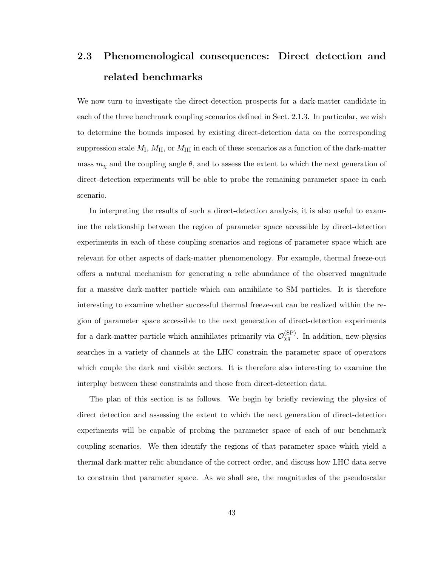# 2.3 Phenomenological consequences: Direct detection and related benchmarks

We now turn to investigate the direct-detection prospects for a dark-matter candidate in each of the three benchmark coupling scenarios defined in Sect. 2.1.3. In particular, we wish to determine the bounds imposed by existing direct-detection data on the corresponding suppression scale  $M_I$ ,  $M_{II}$ , or  $M_{III}$  in each of these scenarios as a function of the dark-matter mass  $m<sub>\chi</sub>$  and the coupling angle  $\theta$ , and to assess the extent to which the next generation of direct-detection experiments will be able to probe the remaining parameter space in each scenario.

In interpreting the results of such a direct-detection analysis, it is also useful to examine the relationship between the region of parameter space accessible by direct-detection experiments in each of these coupling scenarios and regions of parameter space which are relevant for other aspects of dark-matter phenomenology. For example, thermal freeze-out offers a natural mechanism for generating a relic abundance of the observed magnitude for a massive dark-matter particle which can annihilate to SM particles. It is therefore interesting to examine whether successful thermal freeze-out can be realized within the region of parameter space accessible to the next generation of direct-detection experiments for a dark-matter particle which annihilates primarily via  $\mathcal{O}_{\chi q}^{(\rm SP)}$ . In addition, new-physics searches in a variety of channels at the LHC constrain the parameter space of operators which couple the dark and visible sectors. It is therefore also interesting to examine the interplay between these constraints and those from direct-detection data.

The plan of this section is as follows. We begin by briefly reviewing the physics of direct detection and assessing the extent to which the next generation of direct-detection experiments will be capable of probing the parameter space of each of our benchmark coupling scenarios. We then identify the regions of that parameter space which yield a thermal dark-matter relic abundance of the correct order, and discuss how LHC data serve to constrain that parameter space. As we shall see, the magnitudes of the pseudoscalar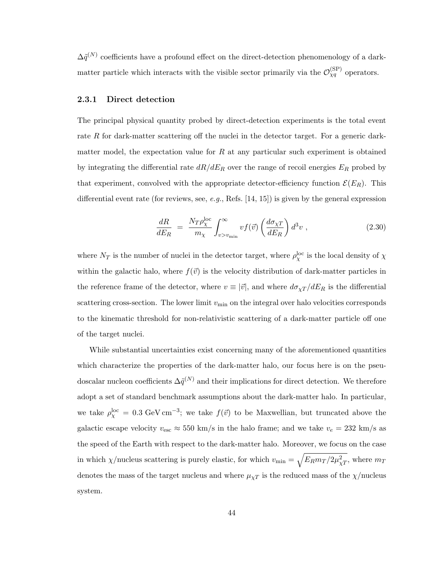$\Delta \tilde{q}^{(N)}$  coefficients have a profound effect on the direct-detection phenomenology of a darkmatter particle which interacts with the visible sector primarily via the  $\mathcal{O}_{\chi q}^{(\rm SP)}$  operators.

#### 2.3.1 Direct detection

The principal physical quantity probed by direct-detection experiments is the total event rate R for dark-matter scattering off the nuclei in the detector target. For a generic darkmatter model, the expectation value for  $R$  at any particular such experiment is obtained by integrating the differential rate  $dR/dE_R$  over the range of recoil energies  $E_R$  probed by that experiment, convolved with the appropriate detector-efficiency function  $\mathcal{E}(E_R)$ . This differential event rate (for reviews, see, e.g., Refs.  $[14, 15]$ ) is given by the general expression

$$
\frac{dR}{dE_R} = \frac{N_T \rho_{\chi}^{\text{loc}}}{m_{\chi}} \int_{v>v_{\text{min}}}^{\infty} v f(\vec{v}) \left(\frac{d\sigma_{\chi T}}{dE_R}\right) d^3 v \;, \tag{2.30}
$$

where  $N_T$  is the number of nuclei in the detector target, where  $\rho_{\chi}^{\rm loc}$  is the local density of  $\chi$ within the galactic halo, where  $f(\vec{v})$  is the velocity distribution of dark-matter particles in the reference frame of the detector, where  $v \equiv |\vec{v}|$ , and where  $d\sigma_{\chi T}/dE_R$  is the differential scattering cross-section. The lower limit  $v_{\text{min}}$  on the integral over halo velocities corresponds to the kinematic threshold for non-relativistic scattering of a dark-matter particle off one of the target nuclei.

While substantial uncertainties exist concerning many of the aforementioned quantities which characterize the properties of the dark-matter halo, our focus here is on the pseudoscalar nucleon coefficients  $\Delta \tilde{q}^{(N)}$  and their implications for direct detection. We therefore adopt a set of standard benchmark assumptions about the dark-matter halo. In particular, we take  $\rho_{\chi}^{\rm loc} = 0.3 \text{ GeV cm}^{-3}$ ; we take  $f(\vec{v})$  to be Maxwellian, but truncated above the galactic escape velocity  $v_{\text{esc}} \approx 550 \text{ km/s}$  in the halo frame; and we take  $v_e = 232 \text{ km/s}$  as the speed of the Earth with respect to the dark-matter halo. Moreover, we focus on the case in which  $\chi$ /nucleus scattering is purely elastic, for which  $v_{\rm min} = \sqrt{E_R m_T / 2 \mu_{\chi T}^2}$ , where  $m_T$ denotes the mass of the target nucleus and where  $\mu_{\chi}$  is the reduced mass of the  $\chi$ /nucleus system.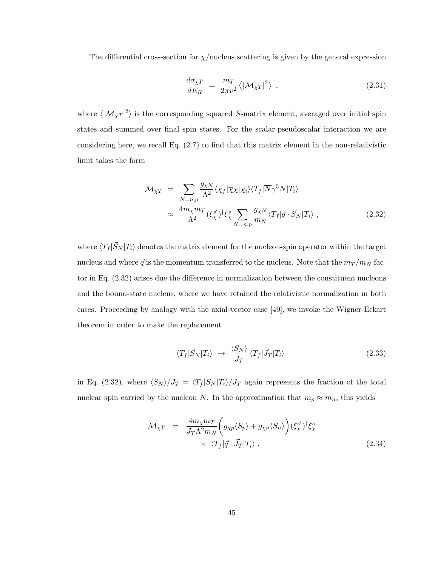The differential cross-section for  $\chi$ /nucleus scattering is given by the general expression

$$
\frac{d\sigma_{\chi T}}{dE_R} = \frac{m_T}{2\pi v^2} \langle |\mathcal{M}_{\chi T}|^2 \rangle \tag{2.31}
$$

where  $\langle |M_{\chi}r|^2 \rangle$  is the corresponding squared S-matrix element, averaged over initial spin states and summed over final spin states. For the scalar-pseudoscalar interaction we are considering here, we recall Eq.  $(2.7)$  to find that this matrix element in the non-relativistic limit takes the form

$$
\mathcal{M}_{\chi T} = \sum_{N=n,p} \frac{g_{\chi N}}{\Lambda^2} \langle \chi_f | \overline{\chi} \chi | \chi_i \rangle \langle T_f | \overline{N} \gamma^5 N | T_i \rangle
$$
  

$$
\approx \frac{4m_{\chi} m_T}{\Lambda^2} (\xi_{\chi}^{s'})^{\dagger} \xi_{\chi}^s \sum_{N=n,p} \frac{g_{\chi N}}{m_N} \langle T_f | \vec{q} \cdot \vec{S}_N | T_i \rangle , \qquad (2.32)
$$

where  $\langle T_f | \vec{S}_N | T_i \rangle$  denotes the matrix element for the nucleon-spin operator within the target nucleus and where  $\vec{q}$  is the momentum transferred to the nucleus. Note that the  $m_T/m_N$  factor in Eq. (2.32) arises due the difference in normalization between the constituent nucleons and the bound-state nucleus, where we have retained the relativistic normalization in both cases. Proceeding by analogy with the axial-vector case [49], we invoke the Wigner-Eckart theorem in order to make the replacement

$$
\langle T_f | \vec{S}_N | T_i \rangle \rightarrow \frac{\langle S_N \rangle}{J_T} \langle T_f | \vec{J}_T | T_i \rangle \tag{2.33}
$$

in Eq. (2.32), where  $\langle S_N \rangle /J_T = \langle T_f |S_N |T_i \rangle /J_T$  again represents the fraction of the total nuclear spin carried by the nucleon N. In the approximation that  $m_p \approx m_n$ , this yields

$$
\mathcal{M}_{\chi T} = \frac{4m_{\chi}m_{T}}{J_{T}\Lambda^{2}m_{N}} \left(g_{\chi p} \langle S_{p} \rangle + g_{\chi n} \langle S_{n} \rangle\right) (\xi_{\chi}^{s'})^{\dagger} \xi_{\chi}^{s}
$$
\n
$$
\times \langle T_{f} | \vec{q} \cdot \vec{J}_{T} | T_{i} \rangle . \tag{2.34}
$$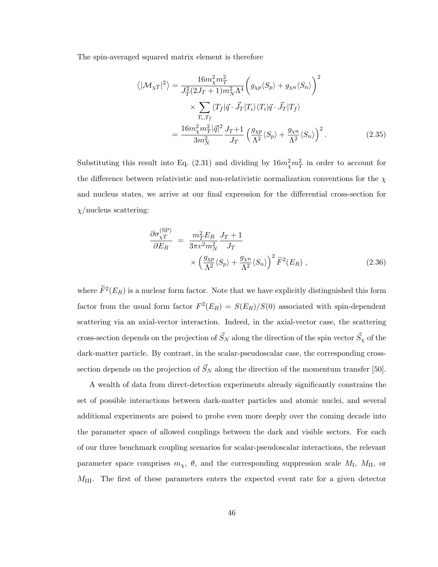The spin-averaged squared matrix element is therefore

$$
\langle |\mathcal{M}_{\chi T}|^2 \rangle = \frac{16m_{\chi}^2 m_T^2}{J_T^2 (2J_T + 1) m_N^2 \Lambda^4} \left( g_{\chi p} \langle S_p \rangle + g_{\chi n} \langle S_n \rangle \right)^2
$$
  
 
$$
\times \sum_{T_i, T_f} \langle T_f | \vec{q} \cdot \vec{J}_T | T_i \rangle \langle T_i | \vec{q} \cdot \vec{J}_T | T_f \rangle
$$
  
= 
$$
\frac{16m_{\chi}^2 m_T^2 |\vec{q}|^2}{3m_N^2} \frac{J_T + 1}{J_T} \left( \frac{g_{\chi p}}{\Lambda^2} \langle S_p \rangle + \frac{g_{\chi n}}{\Lambda^2} \langle S_n \rangle \right)^2.
$$
 (2.35)

Substituting this result into Eq. (2.31) and dividing by  $16m_{\chi}^2m_T^2$  in order to account for the difference between relativistic and non-relativistic normalization conventions for the  $\chi$ and nucleus states, we arrive at our final expression for the differential cross-section for  $\chi$ /nucleus scattering:

$$
\frac{\partial \sigma_{\chi T}^{(\rm SP)}}{\partial E_R} = \frac{m_T^2 E_R}{3\pi v^2 m_N^2} \frac{J_T + 1}{J_T} \times \left(\frac{g_{\chi p}}{\Lambda^2} \langle S_p \rangle + \frac{g_{\chi n}}{\Lambda^2} \langle S_n \rangle\right)^2 \tilde{F}^2(E_R) ,
$$
\n(2.36)

where  $\widetilde{F}^2(E_R)$  is a nuclear form factor. Note that we have explicitly distinguished this form factor from the usual form factor  $F^2(E_R) = S(E_R)/S(0)$  associated with spin-dependent scattering via an axial-vector interaction. Indeed, in the axial-vector case, the scattering cross-section depends on the projection of  $\vec{S}_N$  along the direction of the spin vector  $\vec{S}_\chi$  of the dark-matter particle. By contrast, in the scalar-pseudoscalar case, the corresponding crosssection depends on the projection of  $\vec{S}_N$  along the direction of the momentum transfer [50].

A wealth of data from direct-detection experiments already significantly constrains the set of possible interactions between dark-matter particles and atomic nuclei, and several additional experiments are poised to probe even more deeply over the coming decade into the parameter space of allowed couplings between the dark and visible sectors. For each of our three benchmark coupling scenarios for scalar-pseudoscalar interactions, the relevant parameter space comprises  $m_{\chi}, \theta$ , and the corresponding suppression scale  $M_{\rm I}$ ,  $M_{\rm II}$ , or  $M_{\text{III}}$ . The first of these parameters enters the expected event rate for a given detector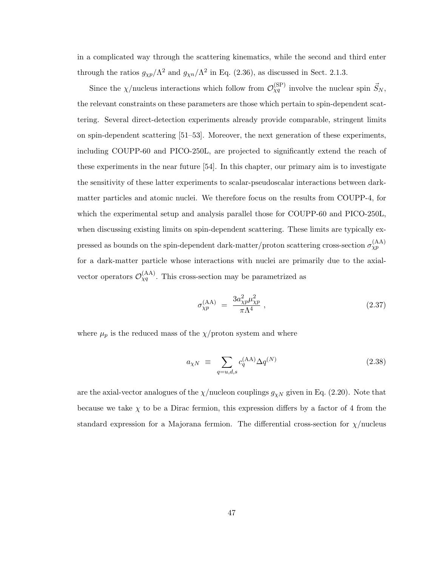in a complicated way through the scattering kinematics, while the second and third enter through the ratios  $g_{\chi p}/\Lambda^2$  and  $g_{\chi n}/\Lambda^2$  in Eq. (2.36), as discussed in Sect. 2.1.3.

Since the  $\chi$ /nucleus interactions which follow from  $\mathcal{O}_{\chi q}^{(\rm SP)}$  involve the nuclear spin  $\vec{S}_N$ , the relevant constraints on these parameters are those which pertain to spin-dependent scattering. Several direct-detection experiments already provide comparable, stringent limits on spin-dependent scattering [51–53]. Moreover, the next generation of these experiments, including COUPP-60 and PICO-250L, are projected to significantly extend the reach of these experiments in the near future [54]. In this chapter, our primary aim is to investigate the sensitivity of these latter experiments to scalar-pseudoscalar interactions between darkmatter particles and atomic nuclei. We therefore focus on the results from COUPP-4, for which the experimental setup and analysis parallel those for COUPP-60 and PICO-250L, when discussing existing limits on spin-dependent scattering. These limits are typically expressed as bounds on the spin-dependent dark-matter/proton scattering cross-section  $\sigma_{\chi p}^{(\text{AA})}$ for a dark-matter particle whose interactions with nuclei are primarily due to the axialvector operators  $\mathcal{O}_{Xq}^{(AA)}$ . This cross-section may be parametrized as

$$
\sigma_{\chi p}^{(\rm AA)} = \frac{3a_{\chi p}^2 \mu_{\chi p}^2}{\pi \Lambda^4} \,, \tag{2.37}
$$

where  $\mu_p$  is the reduced mass of the  $\chi/\text{proton}$  system and where

$$
a_{\chi N} \equiv \sum_{q=u,d,s} c_q^{(\text{AA})} \Delta q^{(N)} \tag{2.38}
$$

are the axial-vector analogues of the  $\chi$ /nucleon couplings  $g_{\chi N}$  given in Eq. (2.20). Note that because we take  $\chi$  to be a Dirac fermion, this expression differs by a factor of 4 from the standard expression for a Majorana fermion. The differential cross-section for  $\chi$ /nucleus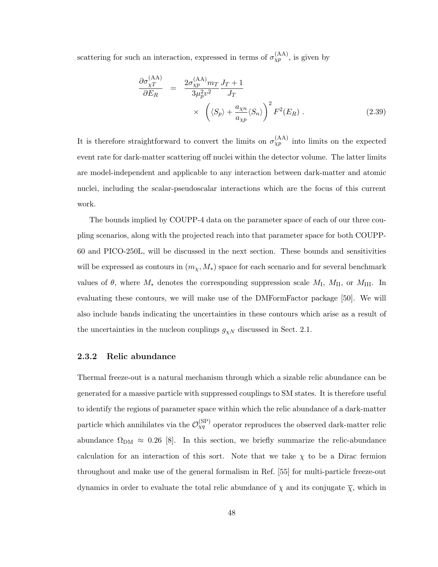scattering for such an interaction, expressed in terms of  $\sigma_{\chi p}^{(AA)}$ , is given by

$$
\frac{\partial \sigma_{\chi}^{(\text{AA})}}{\partial E_R} = \frac{2\sigma_{\chi p}^{(\text{AA})}m_T J_T + 1}{3\mu_p^2 v^2 J_T} \times \left(\langle S_p \rangle + \frac{a_{\chi n}}{a_{\chi p}} \langle S_n \rangle\right)^2 F^2(E_R) .
$$
\n(2.39)

It is therefore straightforward to convert the limits on  $\sigma_{\chi p}^{(\text{AA})}$  into limits on the expected event rate for dark-matter scattering off nuclei within the detector volume. The latter limits are model-independent and applicable to any interaction between dark-matter and atomic nuclei, including the scalar-pseudoscalar interactions which are the focus of this current work.

The bounds implied by COUPP-4 data on the parameter space of each of our three coupling scenarios, along with the projected reach into that parameter space for both COUPP-60 and PICO-250L, will be discussed in the next section. These bounds and sensitivities will be expressed as contours in  $(m<sub>x</sub>, M<sub>*</sub>)$  space for each scenario and for several benchmark values of  $\theta$ , where  $M_*$  denotes the corresponding suppression scale  $M_I$ ,  $M_{II}$ , or  $M_{III}$ . In evaluating these contours, we will make use of the DMFormFactor package [50]. We will also include bands indicating the uncertainties in these contours which arise as a result of the uncertainties in the nucleon couplings  $g_{\chi N}$  discussed in Sect. 2.1.

#### 2.3.2 Relic abundance

Thermal freeze-out is a natural mechanism through which a sizable relic abundance can be generated for a massive particle with suppressed couplings to SM states. It is therefore useful to identify the regions of parameter space within which the relic abundance of a dark-matter particle which annihilates via the  $\mathcal{O}_{\chi q}^{(\rm SP)}$  operator reproduces the observed dark-matter relic abundance  $\Omega_{\rm DM} \approx 0.26$  [8]. In this section, we briefly summarize the relic-abundance calculation for an interaction of this sort. Note that we take  $\chi$  to be a Dirac fermion throughout and make use of the general formalism in Ref. [55] for multi-particle freeze-out dynamics in order to evaluate the total relic abundance of  $\chi$  and its conjugate  $\overline{\chi}$ , which in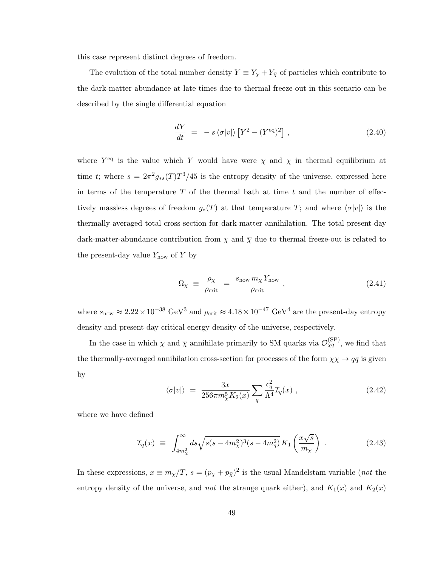this case represent distinct degrees of freedom.

The evolution of the total number density  $Y \equiv Y_{\chi} + Y_{\bar{\chi}}$  of particles which contribute to the dark-matter abundance at late times due to thermal freeze-out in this scenario can be described by the single differential equation

$$
\frac{dY}{dt} = -s \langle \sigma | v | \rangle \left[ Y^2 - (Y^{\text{eq}})^2 \right], \qquad (2.40)
$$

where  $Y^{\text{eq}}$  is the value which Y would have were  $\chi$  and  $\overline{\chi}$  in thermal equilibrium at time t; where  $s = 2\pi^2 g_{*s}(T) T^3/45$  is the entropy density of the universe, expressed here in terms of the temperature  $T$  of the thermal bath at time  $t$  and the number of effectively massless degrees of freedom  $g_*(T)$  at that temperature T; and where  $\langle \sigma |v| \rangle$  is the thermally-averaged total cross-section for dark-matter annihilation. The total present-day dark-matter-abundance contribution from  $\chi$  and  $\overline{\chi}$  due to thermal freeze-out is related to the present-day value  $Y_{\text{now}}$  of Y by

$$
\Omega_{\chi} \equiv \frac{\rho_{\chi}}{\rho_{\text{crit}}} = \frac{s_{\text{now}} m_{\chi} Y_{\text{now}}}{\rho_{\text{crit}}} , \qquad (2.41)
$$

where  $s_{\text{now}} \approx 2.22 \times 10^{-38} \text{ GeV}^3$  and  $\rho_{\text{crit}} \approx 4.18 \times 10^{-47} \text{ GeV}^4$  are the present-day entropy density and present-day critical energy density of the universe, respectively.

In the case in which  $\chi$  and  $\overline{\chi}$  annihilate primarily to SM quarks via  $\mathcal{O}_{\chi q}^{(\rm SP)}$ , we find that the thermally-averaged annihilation cross-section for processes of the form  $\overline{\chi}\chi \to \overline{q}q$  is given by

$$
\langle \sigma | v | \rangle = \frac{3x}{256\pi m_{\chi}^5 K_2(x)} \sum_{q} \frac{c_q^2}{\Lambda^4} \mathcal{I}_q(x) , \qquad (2.42)
$$

where we have defined

$$
\mathcal{I}_q(x) \equiv \int_{4m_\chi^2}^{\infty} ds \sqrt{s(s-4m_\chi^2)^3(s-4m_q^2)} \, K_1\left(\frac{x\sqrt{s}}{m_\chi}\right) \,. \tag{2.43}
$$

In these expressions,  $x \equiv m_\chi/T$ ,  $s = (p_\chi + p_{\bar{\chi}})^2$  is the usual Mandelstam variable (*not* the entropy density of the universe, and *not* the strange quark either), and  $K_1(x)$  and  $K_2(x)$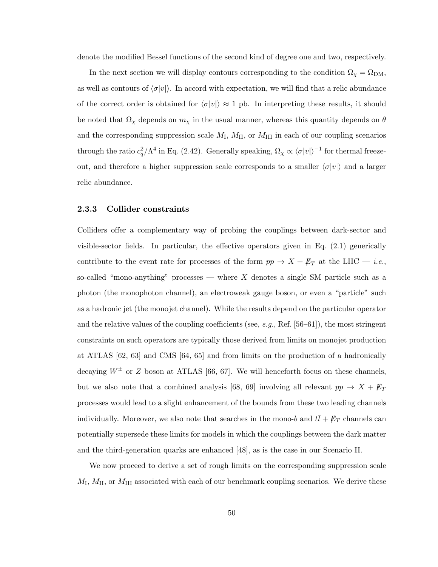denote the modified Bessel functions of the second kind of degree one and two, respectively.

In the next section we will display contours corresponding to the condition  $\Omega_{\chi} = \Omega_{DM}$ , as well as contours of  $\langle \sigma |v| \rangle$ . In accord with expectation, we will find that a relic abundance of the correct order is obtained for  $\langle \sigma |v| \rangle \approx 1$  pb. In interpreting these results, it should be noted that  $\Omega_{\chi}$  depends on  $m_{\chi}$  in the usual manner, whereas this quantity depends on  $\theta$ and the corresponding suppression scale  $M_I$ ,  $M_{II}$ , or  $M_{III}$  in each of our coupling scenarios through the ratio  $c_q^2/\Lambda^4$  in Eq. (2.42). Generally speaking,  $\Omega_\chi \propto \langle \sigma |v| \rangle^{-1}$  for thermal freezeout, and therefore a higher suppression scale corresponds to a smaller  $\langle \sigma |v| \rangle$  and a larger relic abundance.

#### 2.3.3 Collider constraints

Colliders offer a complementary way of probing the couplings between dark-sector and visible-sector fields. In particular, the effective operators given in Eq. (2.1) generically contribute to the event rate for processes of the form  $pp \rightarrow X + \not\!\! E_T$  at the LHC — *i.e.*, so-called "mono-anything" processes — where  $X$  denotes a single SM particle such as a photon (the monophoton channel), an electroweak gauge boson, or even a "particle" such as a hadronic jet (the monojet channel). While the results depend on the particular operator and the relative values of the coupling coefficients (see, e.g., Ref. [56–61]), the most stringent constraints on such operators are typically those derived from limits on monojet production at ATLAS [62, 63] and CMS [64, 65] and from limits on the production of a hadronically decaying  $W^{\pm}$  or Z boson at ATLAS [66, 67]. We will henceforth focus on these channels, but we also note that a combined analysis [68, 69] involving all relevant  $pp \rightarrow X + \not\!\!E_T$ processes would lead to a slight enhancement of the bounds from these two leading channels individually. Moreover, we also note that searches in the mono-b and  $t\bar{t} + \not{E}_T$  channels can potentially supersede these limits for models in which the couplings between the dark matter and the third-generation quarks are enhanced [48], as is the case in our Scenario II.

We now proceed to derive a set of rough limits on the corresponding suppression scale  $M_{\rm I}$ ,  $M_{\rm II}$ , or  $M_{\rm III}$  associated with each of our benchmark coupling scenarios. We derive these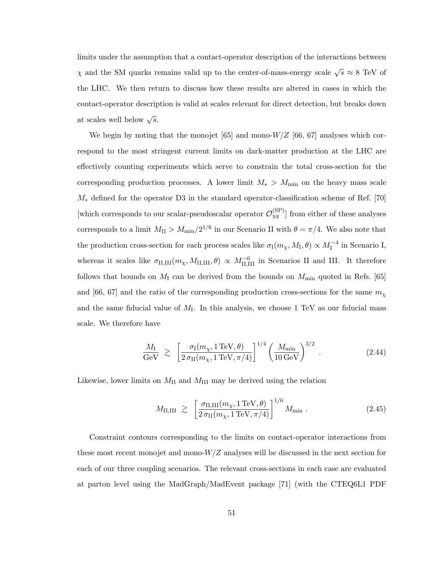limits under the assumption that a contact-operator description of the interactions between  $\chi$  and the SM quarks remains valid up to the center-of-mass-energy scale  $\sqrt{s} \approx 8$  TeV of the LHC. We then return to discuss how these results are altered in cases in which the contact-operator description is valid at scales relevant for direct detection, but breaks down at scales well below  $\sqrt{s}$ .

We begin by noting that the monojet [65] and mono- $W/Z$  [66, 67] analyses which correspond to the most stringent current limits on dark-matter production at the LHC are effectively counting experiments which serve to constrain the total cross-section for the corresponding production processes. A lower limit  $M_* > M_{\text{min}}$  on the heavy mass scale  $M_*$  defined for the operator D3 in the standard operator-classification scheme of Ref. [70] [which corresponds to our scalar-pseudoscalar operator  $\mathcal{O}_{Xq}^{(SP)}$ ] from either of these analyses corresponds to a limit  $M_{\rm II} > M_{\rm min}/2^{1/6}$  in our Scenario II with  $\theta = \pi/4$ . We also note that the production cross-section for each process scales like  $\sigma_1(m_\chi, M_I, \theta) \propto M_I^{-4}$  in Scenario I, whereas it scales like  $\sigma_{\text{II,III}}(m_{\chi}, M_{\text{II,III}}, \theta) \propto M_{\text{II,III}}^{-6}$  in Scenarios II and III. It therefore follows that bounds on  $M<sub>I</sub>$  can be derived from the bounds on  $M<sub>min</sub>$  quoted in Refs. [65] and [66, 67] and the ratio of the corresponding production cross-sections for the same  $m_{\chi}$ and the same fiducial value of  $M<sub>I</sub>$ . In this analysis, we choose 1 TeV as our fiducial mass scale. We therefore have

$$
\frac{M_{\rm I}}{\rm GeV} \ \gtrsim \ \left[ \frac{\sigma_{\rm I}(m_{\chi}, 1 \, \text{TeV}, \theta)}{2 \, \sigma_{\rm II}(m_{\chi}, 1 \, \text{TeV}, \pi/4)} \right]^{1/4} \left( \frac{M_{\rm min}}{10 \, \text{GeV}} \right)^{3/2} \ . \tag{2.44}
$$

Likewise, lower limits on  $M_{\text{II}}$  and  $M_{\text{III}}$  may be derived using the relation

$$
M_{\rm II,III} \geq \left[ \frac{\sigma_{\rm II,III}(m_{\chi}, 1 \,\text{TeV}, \theta)}{2 \,\sigma_{\rm II}(m_{\chi}, 1 \,\text{TeV}, \pi/4)} \right]^{1/6} M_{\rm min} \,. \tag{2.45}
$$

Constraint contours corresponding to the limits on contact-operator interactions from these most recent monojet and mono- $W/Z$  analyses will be discussed in the next section for each of our three coupling scenarios. The relevant cross-sections in each case are evaluated at parton level using the MadGraph/MadEvent package [71] (with the CTEQ6L1 PDF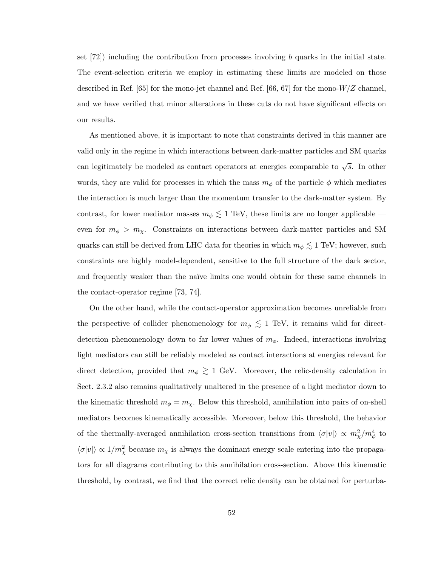set [72]) including the contribution from processes involving b quarks in the initial state. The event-selection criteria we employ in estimating these limits are modeled on those described in Ref. [65] for the mono-jet channel and Ref. [66, 67] for the mono- $W/Z$  channel. and we have verified that minor alterations in these cuts do not have significant effects on our results.

As mentioned above, it is important to note that constraints derived in this manner are valid only in the regime in which interactions between dark-matter particles and SM quarks can legitimately be modeled as contact operators at energies comparable to  $\sqrt{s}$ . In other words, they are valid for processes in which the mass  $m_{\phi}$  of the particle  $\phi$  which mediates the interaction is much larger than the momentum transfer to the dark-matter system. By contrast, for lower mediator masses  $m_{\phi} \lesssim 1$  TeV, these limits are no longer applicable even for  $m_{\phi} > m_{\chi}$ . Constraints on interactions between dark-matter particles and SM quarks can still be derived from LHC data for theories in which  $m_{\phi} \lesssim 1$  TeV; however, such constraints are highly model-dependent, sensitive to the full structure of the dark sector, and frequently weaker than the naïve limits one would obtain for these same channels in the contact-operator regime [73, 74].

On the other hand, while the contact-operator approximation becomes unreliable from the perspective of collider phenomenology for  $m_{\phi} \lesssim 1$  TeV, it remains valid for directdetection phenomenology down to far lower values of  $m_{\phi}$ . Indeed, interactions involving light mediators can still be reliably modeled as contact interactions at energies relevant for direct detection, provided that  $m_{\phi} \gtrsim 1$  GeV. Moreover, the relic-density calculation in Sect. 2.3.2 also remains qualitatively unaltered in the presence of a light mediator down to the kinematic threshold  $m_{\phi} = m_{\chi}$ . Below this threshold, annihilation into pairs of on-shell mediators becomes kinematically accessible. Moreover, below this threshold, the behavior of the thermally-averaged annihilation cross-section transitions from  $\langle \sigma |v| \rangle \propto m_{\chi}^2/m_{\phi}^4$  to  $\langle \sigma |v| \rangle \propto 1/m_{\chi}^2$  because  $m_{\chi}$  is always the dominant energy scale entering into the propagators for all diagrams contributing to this annihilation cross-section. Above this kinematic threshold, by contrast, we find that the correct relic density can be obtained for perturba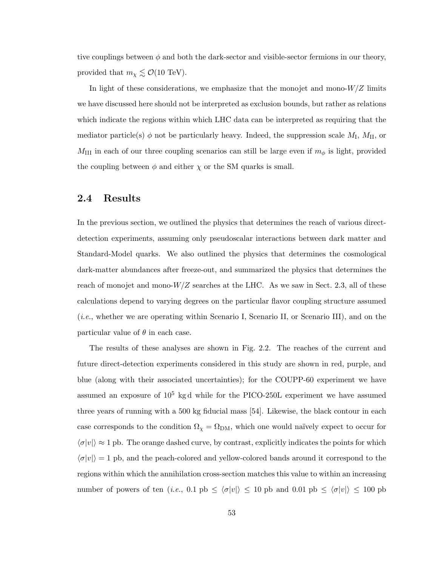tive couplings between  $\phi$  and both the dark-sector and visible-sector fermions in our theory, provided that  $m_{\chi} \lesssim \mathcal{O}(10 \text{ TeV}).$ 

In light of these considerations, we emphasize that the monojet and mono- $W/Z$  limits we have discussed here should not be interpreted as exclusion bounds, but rather as relations which indicate the regions within which LHC data can be interpreted as requiring that the mediator particle(s)  $\phi$  not be particularly heavy. Indeed, the suppression scale  $M_I$ ,  $M_{II}$ , or  $M_{\text{III}}$  in each of our three coupling scenarios can still be large even if  $m_{\phi}$  is light, provided the coupling between  $\phi$  and either  $\chi$  or the SM quarks is small.

### 2.4 Results

In the previous section, we outlined the physics that determines the reach of various directdetection experiments, assuming only pseudoscalar interactions between dark matter and Standard-Model quarks. We also outlined the physics that determines the cosmological dark-matter abundances after freeze-out, and summarized the physics that determines the reach of monojet and mono- $W/Z$  searches at the LHC. As we saw in Sect. 2.3, all of these calculations depend to varying degrees on the particular flavor coupling structure assumed (i.e., whether we are operating within Scenario I, Scenario II, or Scenario III), and on the particular value of  $\theta$  in each case.

The results of these analyses are shown in Fig. 2.2. The reaches of the current and future direct-detection experiments considered in this study are shown in red, purple, and blue (along with their associated uncertainties); for the COUPP-60 experiment we have assumed an exposure of  $10^5$  kg d while for the PICO-250L experiment we have assumed three years of running with a 500 kg fiducial mass [54]. Likewise, the black contour in each case corresponds to the condition  $\Omega_{\chi} = \Omega_{DM}$ , which one would naïvely expect to occur for  $\langle \sigma |v| \rangle \approx 1$  pb. The orange dashed curve, by contrast, explicitly indicates the points for which  $\langle \sigma |v| \rangle = 1$  pb, and the peach-colored and yellow-colored bands around it correspond to the regions within which the annihilation cross-section matches this value to within an increasing number of powers of ten (i.e., 0.1 pb  $\leq \langle \sigma |v| \rangle \leq 10$  pb and 0.01 pb  $\leq \langle \sigma |v| \rangle \leq 100$  pb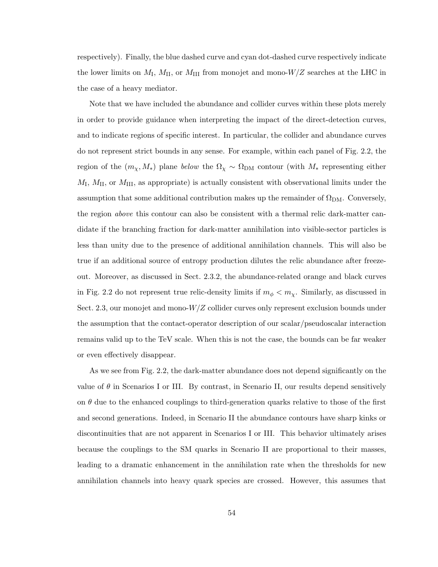respectively). Finally, the blue dashed curve and cyan dot-dashed curve respectively indicate the lower limits on  $M_{\rm I}$ ,  $M_{\rm II}$ , or  $M_{\rm III}$  from monojet and mono- $W/Z$  searches at the LHC in the case of a heavy mediator.

Note that we have included the abundance and collider curves within these plots merely in order to provide guidance when interpreting the impact of the direct-detection curves, and to indicate regions of specific interest. In particular, the collider and abundance curves do not represent strict bounds in any sense. For example, within each panel of Fig. 2.2, the region of the  $(m_\chi, M_*)$  plane below the  $\Omega_\chi \sim \Omega_{\rm DM}$  contour (with  $M_*$  representing either  $M_{\rm I}$ ,  $M_{\rm II}$ , or  $M_{\rm III}$ , as appropriate) is actually consistent with observational limits under the assumption that some additional contribution makes up the remainder of  $\Omega_{DM}$ . Conversely, the region above this contour can also be consistent with a thermal relic dark-matter candidate if the branching fraction for dark-matter annihilation into visible-sector particles is less than unity due to the presence of additional annihilation channels. This will also be true if an additional source of entropy production dilutes the relic abundance after freezeout. Moreover, as discussed in Sect. 2.3.2, the abundance-related orange and black curves in Fig. 2.2 do not represent true relic-density limits if  $m_{\phi} < m_{\chi}$ . Similarly, as discussed in Sect. 2.3, our monojet and mono-W/Z collider curves only represent exclusion bounds under the assumption that the contact-operator description of our scalar/pseudoscalar interaction remains valid up to the TeV scale. When this is not the case, the bounds can be far weaker or even effectively disappear.

As we see from Fig. 2.2, the dark-matter abundance does not depend significantly on the value of  $\theta$  in Scenarios I or III. By contrast, in Scenario II, our results depend sensitively on  $\theta$  due to the enhanced couplings to third-generation quarks relative to those of the first and second generations. Indeed, in Scenario II the abundance contours have sharp kinks or discontinuities that are not apparent in Scenarios I or III. This behavior ultimately arises because the couplings to the SM quarks in Scenario II are proportional to their masses, leading to a dramatic enhancement in the annihilation rate when the thresholds for new annihilation channels into heavy quark species are crossed. However, this assumes that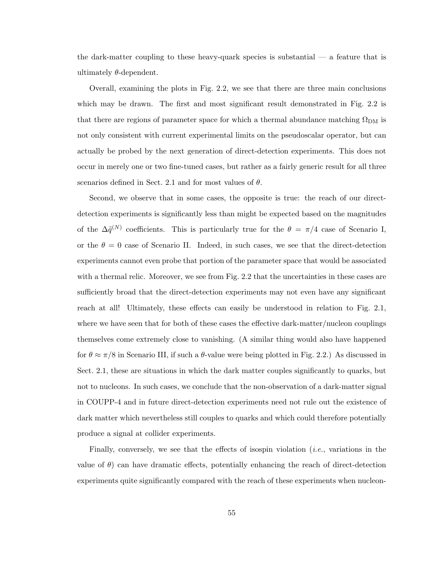the dark-matter coupling to these heavy-quark species is substantial — a feature that is ultimately  $\theta$ -dependent.

Overall, examining the plots in Fig. 2.2, we see that there are three main conclusions which may be drawn. The first and most significant result demonstrated in Fig. 2.2 is that there are regions of parameter space for which a thermal abundance matching  $\Omega_{\text{DM}}$  is not only consistent with current experimental limits on the pseudoscalar operator, but can actually be probed by the next generation of direct-detection experiments. This does not occur in merely one or two fine-tuned cases, but rather as a fairly generic result for all three scenarios defined in Sect. 2.1 and for most values of  $\theta$ .

Second, we observe that in some cases, the opposite is true: the reach of our directdetection experiments is significantly less than might be expected based on the magnitudes of the  $\Delta \tilde{q}^{(N)}$  coefficients. This is particularly true for the  $\theta = \pi/4$  case of Scenario I, or the  $\theta = 0$  case of Scenario II. Indeed, in such cases, we see that the direct-detection experiments cannot even probe that portion of the parameter space that would be associated with a thermal relic. Moreover, we see from Fig. 2.2 that the uncertainties in these cases are sufficiently broad that the direct-detection experiments may not even have any significant reach at all! Ultimately, these effects can easily be understood in relation to Fig. 2.1, where we have seen that for both of these cases the effective dark-matter/nucleon couplings themselves come extremely close to vanishing. (A similar thing would also have happened for  $\theta \approx \pi/8$  in Scenario III, if such a  $\theta$ -value were being plotted in Fig. 2.2.) As discussed in Sect. 2.1, these are situations in which the dark matter couples significantly to quarks, but not to nucleons. In such cases, we conclude that the non-observation of a dark-matter signal in COUPP-4 and in future direct-detection experiments need not rule out the existence of dark matter which nevertheless still couples to quarks and which could therefore potentially produce a signal at collider experiments.

Finally, conversely, we see that the effects of isospin violation (*i.e.*, variations in the value of  $\theta$ ) can have dramatic effects, potentially enhancing the reach of direct-detection experiments quite significantly compared with the reach of these experiments when nucleon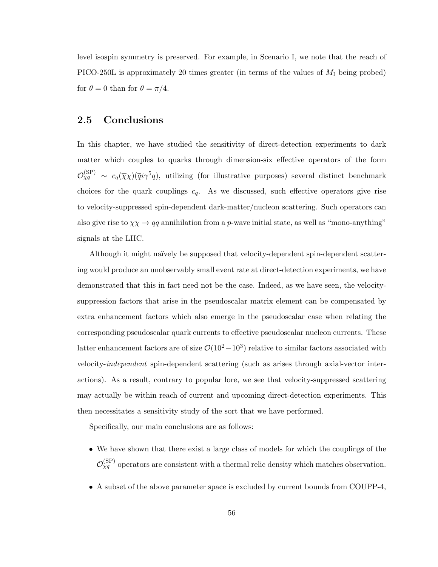level isospin symmetry is preserved. For example, in Scenario I, we note that the reach of PICO-250L is approximately 20 times greater (in terms of the values of  $M<sub>I</sub>$  being probed) for  $\theta = 0$  than for  $\theta = \pi/4$ .

### 2.5 Conclusions

In this chapter, we have studied the sensitivity of direct-detection experiments to dark matter which couples to quarks through dimension-six effective operators of the form  $\mathcal{O}_{\chi q}^{(\rm SP)} \sim c_q(\overline{\chi}\chi)(\overline{q}i\gamma^5 q)$ , utilizing (for illustrative purposes) several distinct benchmark choices for the quark couplings  $c_q$ . As we discussed, such effective operators give rise to velocity-suppressed spin-dependent dark-matter/nucleon scattering. Such operators can also give rise to  $\overline{\chi}\chi \to \overline{q}q$  annihilation from a p-wave initial state, as well as "mono-anything" signals at the LHC.

Although it might naïvely be supposed that velocity-dependent spin-dependent scattering would produce an unobservably small event rate at direct-detection experiments, we have demonstrated that this in fact need not be the case. Indeed, as we have seen, the velocitysuppression factors that arise in the pseudoscalar matrix element can be compensated by extra enhancement factors which also emerge in the pseudoscalar case when relating the corresponding pseudoscalar quark currents to effective pseudoscalar nucleon currents. These latter enhancement factors are of size  $\mathcal{O}(10^2-10^3)$  relative to similar factors associated with velocity-independent spin-dependent scattering (such as arises through axial-vector interactions). As a result, contrary to popular lore, we see that velocity-suppressed scattering may actually be within reach of current and upcoming direct-detection experiments. This then necessitates a sensitivity study of the sort that we have performed.

Specifically, our main conclusions are as follows:

- We have shown that there exist a large class of models for which the couplings of the  $\mathcal{O}_{\chi q}^{(\rm SP)}$  operators are consistent with a thermal relic density which matches observation.
- A subset of the above parameter space is excluded by current bounds from COUPP-4,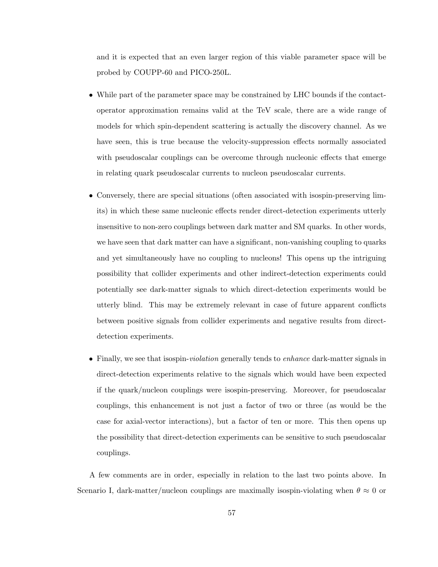and it is expected that an even larger region of this viable parameter space will be probed by COUPP-60 and PICO-250L.

- While part of the parameter space may be constrained by LHC bounds if the contactoperator approximation remains valid at the TeV scale, there are a wide range of models for which spin-dependent scattering is actually the discovery channel. As we have seen, this is true because the velocity-suppression effects normally associated with pseudoscalar couplings can be overcome through nucleonic effects that emerge in relating quark pseudoscalar currents to nucleon pseudoscalar currents.
- Conversely, there are special situations (often associated with isospin-preserving limits) in which these same nucleonic effects render direct-detection experiments utterly insensitive to non-zero couplings between dark matter and SM quarks. In other words, we have seen that dark matter can have a significant, non-vanishing coupling to quarks and yet simultaneously have no coupling to nucleons! This opens up the intriguing possibility that collider experiments and other indirect-detection experiments could potentially see dark-matter signals to which direct-detection experiments would be utterly blind. This may be extremely relevant in case of future apparent conflicts between positive signals from collider experiments and negative results from directdetection experiments.
- Finally, we see that isospin-*violation* generally tends to *enhance* dark-matter signals in direct-detection experiments relative to the signals which would have been expected if the quark/nucleon couplings were isospin-preserving. Moreover, for pseudoscalar couplings, this enhancement is not just a factor of two or three (as would be the case for axial-vector interactions), but a factor of ten or more. This then opens up the possibility that direct-detection experiments can be sensitive to such pseudoscalar couplings.

A few comments are in order, especially in relation to the last two points above. In Scenario I, dark-matter/nucleon couplings are maximally isospin-violating when  $\theta \approx 0$  or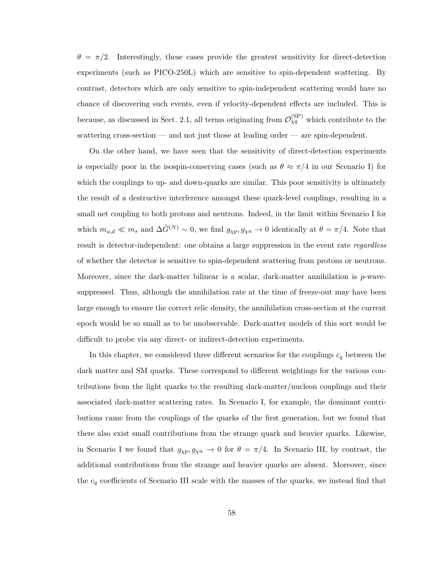$\theta = \pi/2$ . Interestingly, these cases provide the greatest sensitivity for direct-detection experiments (such as PICO-250L) which are sensitive to spin-dependent scattering. By contrast, detectors which are only sensitive to spin-independent scattering would have no chance of discovering such events, even if velocity-dependent effects are included. This is because, as discussed in Sect. 2.1, all terms originating from  $\mathcal{O}_{\chi q}^{(\rm SP)}$  which contribute to the scattering cross-section — and not just those at leading order — are spin-dependent.

On the other hand, we have seen that the sensitivity of direct-detection experiments is especially poor in the isospin-conserving cases (such as  $\theta \approx \pi/4$  in our Scenario I) for which the couplings to up- and down-quarks are similar. This poor sensitivity is ultimately the result of a destructive interference amongst these quark-level couplings, resulting in a small net coupling to both protons and neutrons. Indeed, in the limit within Scenario I for which  $m_{u,d} \ll m_s$  and  $\Delta \tilde{G}^{(N)} \sim 0$ , we find  $g_{\chi p}, g_{\chi n} \to 0$  identically at  $\theta = \pi/4$ . Note that result is detector-independent: one obtains a large suppression in the event rate *regardless* of whether the detector is sensitive to spin-dependent scattering from protons or neutrons. Moreover, since the dark-matter bilinear is a scalar, dark-matter annihilation is  $p$ -wavesuppressed. Thus, although the annihilation rate at the time of freeze-out may have been large enough to ensure the correct relic density, the annihilation cross-section at the current epoch would be so small as to be unobservable. Dark-matter models of this sort would be difficult to probe via any direct- or indirect-detection experiments.

In this chapter, we considered three different scenarios for the couplings  $c_{\boldsymbol{q}}$  between the dark matter and SM quarks. These correspond to different weightings for the various contributions from the light quarks to the resulting dark-matter/nucleon couplings and their associated dark-matter scattering rates. In Scenario I, for example, the dominant contributions came from the couplings of the quarks of the first generation, but we found that there also exist small contributions from the strange quark and heavier quarks. Likewise, in Scenario I we found that  $g_{\chi p}, g_{\chi n} \to 0$  for  $\theta = \pi/4$ . In Scenario III, by contrast, the additional contributions from the strange and heavier quarks are absent. Moreover, since the  $c_q$  coefficients of Scenario III scale with the masses of the quarks, we instead find that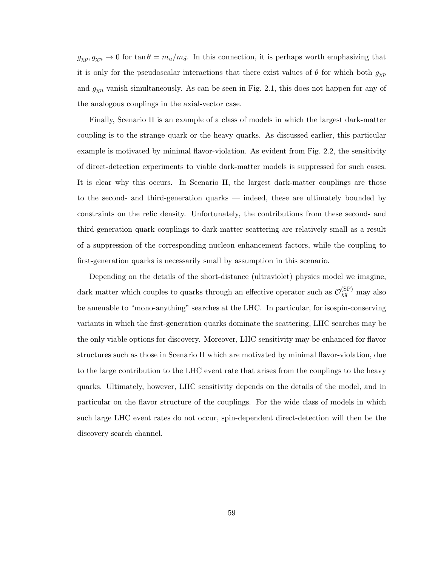$g_{\chi p}, g_{\chi n} \to 0$  for  $\tan \theta = m_u/m_d$ . In this connection, it is perhaps worth emphasizing that it is only for the pseudoscalar interactions that there exist values of  $\theta$  for which both  $g_{\chi p}$ and  $g_{\chi n}$  vanish simultaneously. As can be seen in Fig. 2.1, this does not happen for any of the analogous couplings in the axial-vector case.

Finally, Scenario II is an example of a class of models in which the largest dark-matter coupling is to the strange quark or the heavy quarks. As discussed earlier, this particular example is motivated by minimal flavor-violation. As evident from Fig. 2.2, the sensitivity of direct-detection experiments to viable dark-matter models is suppressed for such cases. It is clear why this occurs. In Scenario II, the largest dark-matter couplings are those to the second- and third-generation quarks — indeed, these are ultimately bounded by constraints on the relic density. Unfortunately, the contributions from these second- and third-generation quark couplings to dark-matter scattering are relatively small as a result of a suppression of the corresponding nucleon enhancement factors, while the coupling to first-generation quarks is necessarily small by assumption in this scenario.

Depending on the details of the short-distance (ultraviolet) physics model we imagine, dark matter which couples to quarks through an effective operator such as  $\mathcal{O}_{\chi q}^{(\rm SP)}$  may also be amenable to "mono-anything" searches at the LHC. In particular, for isospin-conserving variants in which the first-generation quarks dominate the scattering, LHC searches may be the only viable options for discovery. Moreover, LHC sensitivity may be enhanced for flavor structures such as those in Scenario II which are motivated by minimal flavor-violation, due to the large contribution to the LHC event rate that arises from the couplings to the heavy quarks. Ultimately, however, LHC sensitivity depends on the details of the model, and in particular on the flavor structure of the couplings. For the wide class of models in which such large LHC event rates do not occur, spin-dependent direct-detection will then be the discovery search channel.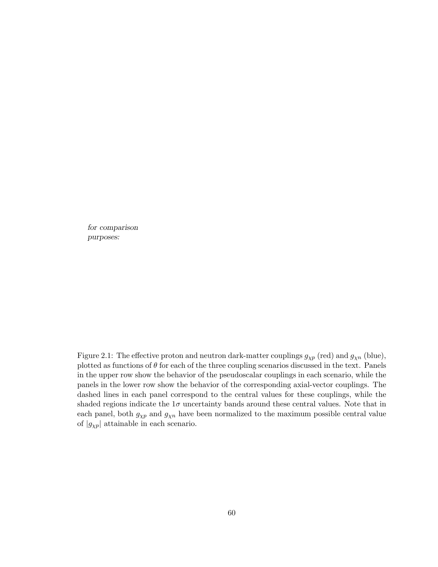for comparison purposes:

Figure 2.1: The effective proton and neutron dark-matter couplings  $g_{\chi p}$  (red) and  $g_{\chi n}$  (blue), plotted as functions of  $\theta$  for each of the three coupling scenarios discussed in the text. Panels in the upper row show the behavior of the pseudoscalar couplings in each scenario, while the panels in the lower row show the behavior of the corresponding axial-vector couplings. The dashed lines in each panel correspond to the central values for these couplings, while the shaded regions indicate the  $1\sigma$  uncertainty bands around these central values. Note that in each panel, both  $g_{\chi p}$  and  $g_{\chi n}$  have been normalized to the maximum possible central value of  $|g_{\chi p}|$  attainable in each scenario.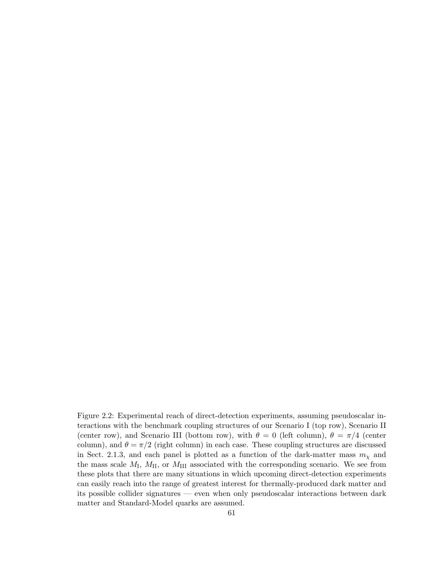Figure 2.2: Experimental reach of direct-detection experiments, assuming pseudoscalar interactions with the benchmark coupling structures of our Scenario I (top row), Scenario II (center row), and Scenario III (bottom row), with  $\theta = 0$  (left column),  $\theta = \pi/4$  (center column), and  $\theta = \pi/2$  (right column) in each case. These coupling structures are discussed in Sect. 2.1.3, and each panel is plotted as a function of the dark-matter mass  $m<sub>\chi</sub>$  and the mass scale  $M_I$ ,  $M_{II}$ , or  $M_{III}$  associated with the corresponding scenario. We see from these plots that there are many situations in which upcoming direct-detection experiments can easily reach into the range of greatest interest for thermally-produced dark matter and its possible collider signatures — even when only pseudoscalar interactions between dark matter and Standard-Model quarks are assumed.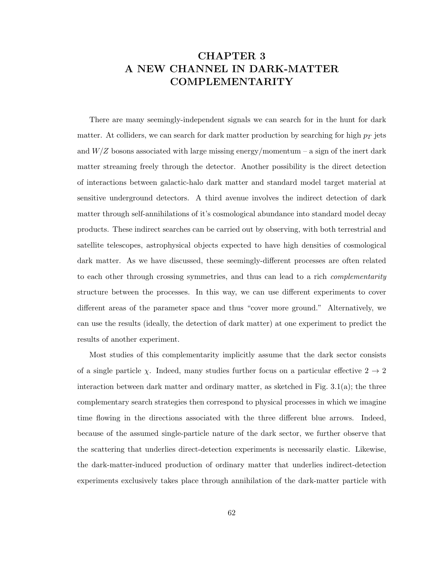## CHAPTER 3 A NEW CHANNEL IN DARK-MATTER COMPLEMENTARITY

There are many seemingly-independent signals we can search for in the hunt for dark matter. At colliders, we can search for dark matter production by searching for high  $p_T$  jets and  $W/Z$  bosons associated with large missing energy/momentum – a sign of the inert dark matter streaming freely through the detector. Another possibility is the direct detection of interactions between galactic-halo dark matter and standard model target material at sensitive underground detectors. A third avenue involves the indirect detection of dark matter through self-annihilations of it's cosmological abundance into standard model decay products. These indirect searches can be carried out by observing, with both terrestrial and satellite telescopes, astrophysical objects expected to have high densities of cosmological dark matter. As we have discussed, these seemingly-different processes are often related to each other through crossing symmetries, and thus can lead to a rich *complementarity* structure between the processes. In this way, we can use different experiments to cover different areas of the parameter space and thus "cover more ground." Alternatively, we can use the results (ideally, the detection of dark matter) at one experiment to predict the results of another experiment.

Most studies of this complementarity implicitly assume that the dark sector consists of a single particle  $\chi$ . Indeed, many studies further focus on a particular effective  $2 \to 2$ interaction between dark matter and ordinary matter, as sketched in Fig. 3.1(a); the three complementary search strategies then correspond to physical processes in which we imagine time flowing in the directions associated with the three different blue arrows. Indeed, because of the assumed single-particle nature of the dark sector, we further observe that the scattering that underlies direct-detection experiments is necessarily elastic. Likewise, the dark-matter-induced production of ordinary matter that underlies indirect-detection experiments exclusively takes place through annihilation of the dark-matter particle with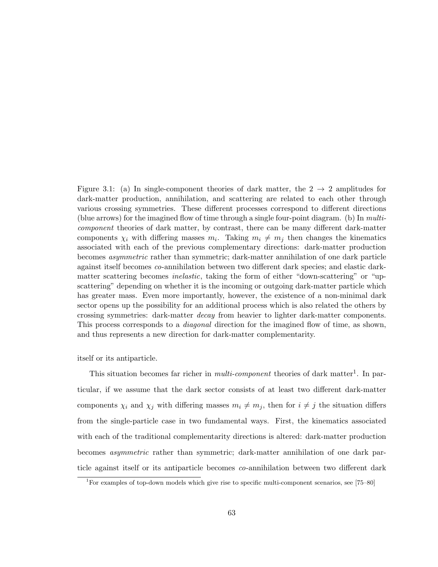Figure 3.1: (a) In single-component theories of dark matter, the  $2 \rightarrow 2$  amplitudes for dark-matter production, annihilation, and scattering are related to each other through various crossing symmetries. These different processes correspond to different directions (blue arrows) for the imagined flow of time through a single four-point diagram. (b) In multicomponent theories of dark matter, by contrast, there can be many different dark-matter components  $\chi_i$  with differing masses  $m_i$ . Taking  $m_i \neq m_j$  then changes the kinematics associated with each of the previous complementary directions: dark-matter production becomes asymmetric rather than symmetric; dark-matter annihilation of one dark particle against itself becomes co-annihilation between two different dark species; and elastic darkmatter scattering becomes *inelastic*, taking the form of either "down-scattering" or "upscattering" depending on whether it is the incoming or outgoing dark-matter particle which has greater mass. Even more importantly, however, the existence of a non-minimal dark sector opens up the possibility for an additional process which is also related the others by crossing symmetries: dark-matter decay from heavier to lighter dark-matter components. This process corresponds to a *diagonal* direction for the imagined flow of time, as shown, and thus represents a new direction for dark-matter complementarity.

itself or its antiparticle.

This situation becomes far richer in *multi-component* theories of dark matter<sup>1</sup>. In particular, if we assume that the dark sector consists of at least two different dark-matter components  $\chi_i$  and  $\chi_j$  with differing masses  $m_i \neq m_j$ , then for  $i \neq j$  the situation differs from the single-particle case in two fundamental ways. First, the kinematics associated with each of the traditional complementarity directions is altered: dark-matter production becomes asymmetric rather than symmetric; dark-matter annihilation of one dark particle against itself or its antiparticle becomes co-annihilation between two different dark

<sup>1</sup>For examples of top-down models which give rise to specific multi-component scenarios, see [75–80]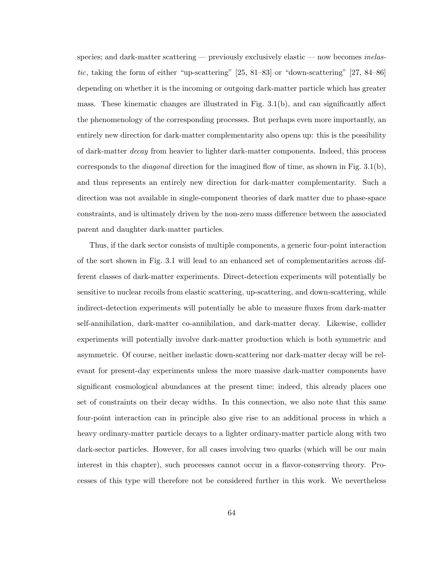species; and dark-matter scattering — previously exclusively elastic — now becomes *inelas*tic, taking the form of either "up-scattering" [25, 81–83] or "down-scattering" [27, 84–86] depending on whether it is the incoming or outgoing dark-matter particle which has greater mass. These kinematic changes are illustrated in Fig. 3.1(b), and can significantly affect the phenomenology of the corresponding processes. But perhaps even more importantly, an entirely new direction for dark-matter complementarity also opens up: this is the possibility of dark-matter decay from heavier to lighter dark-matter components. Indeed, this process corresponds to the *diagonal* direction for the imagined flow of time, as shown in Fig.  $3.1(b)$ , and thus represents an entirely new direction for dark-matter complementarity. Such a direction was not available in single-component theories of dark matter due to phase-space constraints, and is ultimately driven by the non-zero mass difference between the associated parent and daughter dark-matter particles.

Thus, if the dark sector consists of multiple components, a generic four-point interaction of the sort shown in Fig. 3.1 will lead to an enhanced set of complementarities across different classes of dark-matter experiments. Direct-detection experiments will potentially be sensitive to nuclear recoils from elastic scattering, up-scattering, and down-scattering, while indirect-detection experiments will potentially be able to measure fluxes from dark-matter self-annihilation, dark-matter co-annihilation, and dark-matter decay. Likewise, collider experiments will potentially involve dark-matter production which is both symmetric and asymmetric. Of course, neither inelastic down-scattering nor dark-matter decay will be relevant for present-day experiments unless the more massive dark-matter components have significant cosmological abundances at the present time; indeed, this already places one set of constraints on their decay widths. In this connection, we also note that this same four-point interaction can in principle also give rise to an additional process in which a heavy ordinary-matter particle decays to a lighter ordinary-matter particle along with two dark-sector particles. However, for all cases involving two quarks (which will be our main interest in this chapter), such processes cannot occur in a flavor-conserving theory. Processes of this type will therefore not be considered further in this work. We nevertheless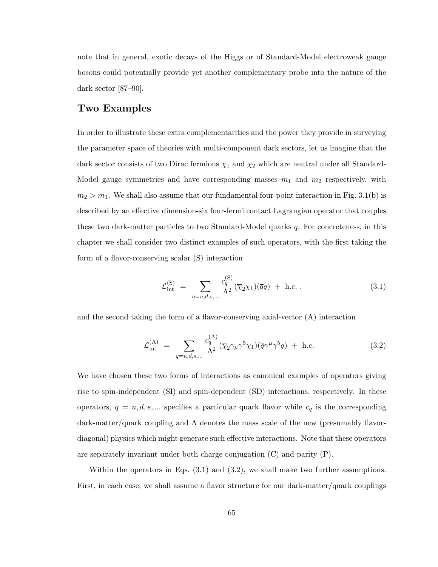note that in general, exotic decays of the Higgs or of Standard-Model electroweak gauge bosons could potentially provide yet another complementary probe into the nature of the dark sector [87–90].

#### Two Examples

In order to illustrate these extra complementarities and the power they provide in surveying the parameter space of theories with multi-component dark sectors, let us imagine that the dark sector consists of two Dirac fermions  $\chi_1$  and  $\chi_2$  which are neutral under all Standard-Model gauge symmetries and have corresponding masses  $m_1$  and  $m_2$  respectively, with  $m_2 > m_1$ . We shall also assume that our fundamental four-point interaction in Fig. 3.1(b) is described by an effective dimension-six four-fermi contact Lagrangian operator that couples these two dark-matter particles to two Standard-Model quarks  $q$ . For concreteness, in this chapter we shall consider two distinct examples of such operators, with the first taking the form of a flavor-conserving scalar (S) interaction

$$
\mathcal{L}_{int}^{(S)} = \sum_{q=u,d,s,...} \frac{c_q^{(S)}}{\Lambda^2} (\overline{\chi}_2 \chi_1)(\overline{q}q) + \text{h.c.} ,
$$
\n(3.1)

and the second taking the form of a flavor-conserving axial-vector (A) interaction

$$
\mathcal{L}_{int}^{(A)} = \sum_{q=u,d,s,...} \frac{c_q^{(A)}}{\Lambda^2} (\overline{\chi}_2 \gamma_\mu \gamma^5 \chi_1)(\overline{q} \gamma^\mu \gamma^5 q) + \text{h.c.}
$$
 (3.2)

We have chosen these two forms of interactions as canonical examples of operators giving rise to spin-independent (SI) and spin-dependent (SD) interactions, respectively. In these operators,  $q = u, d, s, ...$  specifies a particular quark flavor while  $c_q$  is the corresponding dark-matter/quark coupling and  $\Lambda$  denotes the mass scale of the new (presumably flavordiagonal) physics which might generate such effective interactions. Note that these operators are separately invariant under both charge conjugation (C) and parity (P).

Within the operators in Eqs. (3.1) and (3.2), we shall make two further assumptions. First, in each case, we shall assume a flavor structure for our dark-matter/quark couplings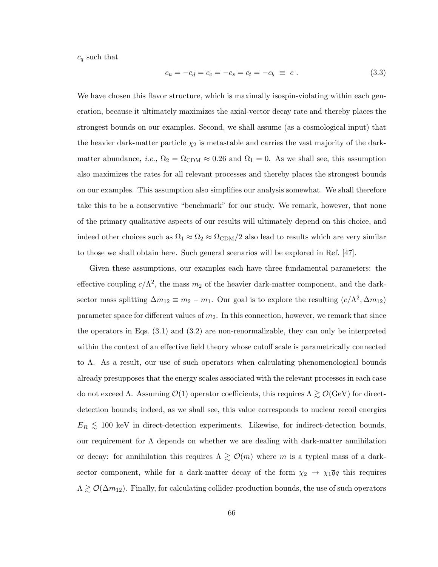$c_q$  such that

$$
c_u = -c_d = c_c = -c_s = c_t = -c_b \equiv c \ . \tag{3.3}
$$

We have chosen this flavor structure, which is maximally isospin-violating within each generation, because it ultimately maximizes the axial-vector decay rate and thereby places the strongest bounds on our examples. Second, we shall assume (as a cosmological input) that the heavier dark-matter particle  $\chi_2$  is metastable and carries the vast majority of the darkmatter abundance, *i.e.*,  $\Omega_2 = \Omega_{CDM} \approx 0.26$  and  $\Omega_1 = 0$ . As we shall see, this assumption also maximizes the rates for all relevant processes and thereby places the strongest bounds on our examples. This assumption also simplifies our analysis somewhat. We shall therefore take this to be a conservative "benchmark" for our study. We remark, however, that none of the primary qualitative aspects of our results will ultimately depend on this choice, and indeed other choices such as  $\Omega_1 \approx \Omega_2 \approx \Omega_{CDM}/2$  also lead to results which are very similar to those we shall obtain here. Such general scenarios will be explored in Ref. [47].

Given these assumptions, our examples each have three fundamental parameters: the effective coupling  $c/\Lambda^2$ , the mass  $m_2$  of the heavier dark-matter component, and the darksector mass splitting  $\Delta m_{12} \equiv m_2 - m_1$ . Our goal is to explore the resulting  $(c/\Lambda^2, \Delta m_{12})$ parameter space for different values of  $m_2$ . In this connection, however, we remark that since the operators in Eqs. (3.1) and (3.2) are non-renormalizable, they can only be interpreted within the context of an effective field theory whose cutoff scale is parametrically connected to  $\Lambda$ . As a result, our use of such operators when calculating phenomenological bounds already presupposes that the energy scales associated with the relevant processes in each case do not exceed Λ. Assuming  $\mathcal{O}(1)$  operator coefficients, this requires  $\Lambda \gtrsim \mathcal{O}(\text{GeV})$  for directdetection bounds; indeed, as we shall see, this value corresponds to nuclear recoil energies  $E_R \lesssim 100$  keV in direct-detection experiments. Likewise, for indirect-detection bounds, our requirement for  $\Lambda$  depends on whether we are dealing with dark-matter annihilation or decay: for annihilation this requires  $\Lambda \gtrsim \mathcal{O}(m)$  where m is a typical mass of a darksector component, while for a dark-matter decay of the form  $\chi_2 \to \chi_1 \overline{q} q$  this requires  $\Lambda \gtrsim \mathcal{O}(\Delta m_{12})$ . Finally, for calculating collider-production bounds, the use of such operators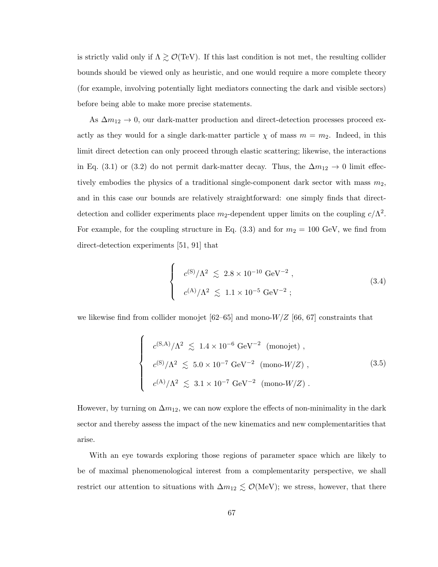is strictly valid only if  $\Lambda \gtrsim \mathcal{O}(\text{TeV})$ . If this last condition is not met, the resulting collider bounds should be viewed only as heuristic, and one would require a more complete theory (for example, involving potentially light mediators connecting the dark and visible sectors) before being able to make more precise statements.

As  $\Delta m_{12} \rightarrow 0$ , our dark-matter production and direct-detection processes proceed exactly as they would for a single dark-matter particle  $\chi$  of mass  $m = m_2$ . Indeed, in this limit direct detection can only proceed through elastic scattering; likewise, the interactions in Eq. (3.1) or (3.2) do not permit dark-matter decay. Thus, the  $\Delta m_{12} \rightarrow 0$  limit effectively embodies the physics of a traditional single-component dark sector with mass  $m_2$ , and in this case our bounds are relatively straightforward: one simply finds that directdetection and collider experiments place  $m_2$ -dependent upper limits on the coupling  $c/\Lambda^2$ . For example, for the coupling structure in Eq. (3.3) and for  $m_2 = 100 \text{ GeV}$ , we find from direct-detection experiments [51, 91] that

$$
\begin{cases}\n c^{(S)}/\Lambda^2 \leq 2.8 \times 10^{-10} \text{ GeV}^{-2} , \\
c^{(A)}/\Lambda^2 \leq 1.1 \times 10^{-5} \text{ GeV}^{-2} ;\n\end{cases}
$$
\n(3.4)

we likewise find from collider monojet  $[62–65]$  and mono- $W/Z$  [66, 67] constraints that

$$
\begin{cases}\n c^{(\text{S},\text{A})}/\Lambda^2 \lesssim 1.4 \times 10^{-6} \text{ GeV}^{-2} \text{ (mono-jet)}, \\
c^{(\text{S})}/\Lambda^2 \lesssim 5.0 \times 10^{-7} \text{ GeV}^{-2} \text{ (mono-}W/Z), \\
c^{(\text{A})}/\Lambda^2 \lesssim 3.1 \times 10^{-7} \text{ GeV}^{-2} \text{ (mono-}W/Z).\n\end{cases}
$$
\n(3.5)

However, by turning on  $\Delta m_{12}$ , we can now explore the effects of non-minimality in the dark sector and thereby assess the impact of the new kinematics and new complementarities that arise.

With an eye towards exploring those regions of parameter space which are likely to be of maximal phenomenological interest from a complementarity perspective, we shall restrict our attention to situations with  $\Delta m_{12} \lesssim \mathcal{O}(\text{MeV})$ ; we stress, however, that there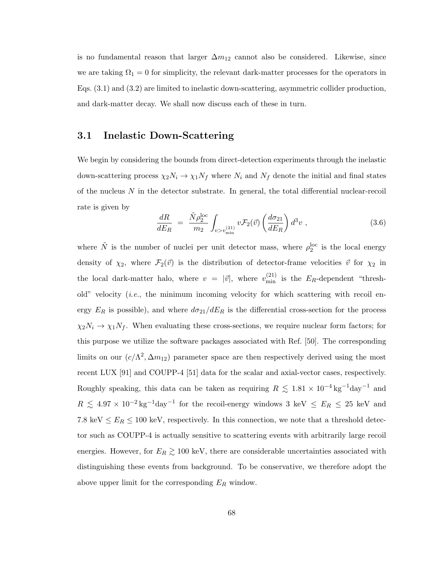is no fundamental reason that larger  $\Delta m_{12}$  cannot also be considered. Likewise, since we are taking  $\Omega_1 = 0$  for simplicity, the relevant dark-matter processes for the operators in Eqs. (3.1) and (3.2) are limited to inelastic down-scattering, asymmetric collider production, and dark-matter decay. We shall now discuss each of these in turn.

### 3.1 Inelastic Down-Scattering

We begin by considering the bounds from direct-detection experiments through the inelastic down-scattering process  $\chi_2 N_i \to \chi_1 N_f$  where  $N_i$  and  $N_f$  denote the initial and final states of the nucleus  $N$  in the detector substrate. In general, the total differential nuclear-recoil rate is given by

$$
\frac{dR}{dE_R} = \frac{\tilde{N}\rho_2^{\text{loc}}}{m_2} \int_{v>v_{\text{min}}^{(21)}} v \mathcal{F}_2(\vec{v}) \left(\frac{d\sigma_{21}}{dE_R}\right) d^3v ,\qquad (3.6)
$$

where  $\tilde{N}$  is the number of nuclei per unit detector mass, where  $\rho_2^{\rm loc}$  is the local energy density of  $\chi_2$ , where  $\mathcal{F}_2(\vec{v})$  is the distribution of detector-frame velocities  $\vec{v}$  for  $\chi_2$  in the local dark-matter halo, where  $v = |\vec{v}|$ , where  $v_{\min}^{(21)}$  is the  $E_R$ -dependent "threshold" velocity (*i.e.*, the minimum incoming velocity for which scattering with recoil energy  $E_R$  is possible), and where  $d\sigma_{21}/dE_R$  is the differential cross-section for the process  $\chi_2 N_i \to \chi_1 N_f$ . When evaluating these cross-sections, we require nuclear form factors; for this purpose we utilize the software packages associated with Ref. [50]. The corresponding limits on our  $(c/\Lambda^2, \Delta m_{12})$  parameter space are then respectively derived using the most recent LUX [91] and COUPP-4 [51] data for the scalar and axial-vector cases, respectively. Roughly speaking, this data can be taken as requiring  $R \lesssim 1.81 \times 10^{-4} \text{kg}^{-1} \text{day}^{-1}$  and  $R \leq 4.97 \times 10^{-2}$  kg<sup>-1</sup>day<sup>-1</sup> for the recoil-energy windows 3 keV  $\leq E_R \leq 25$  keV and 7.8 keV  $\leq E_R \leq 100$  keV, respectively. In this connection, we note that a threshold detector such as COUPP-4 is actually sensitive to scattering events with arbitrarily large recoil energies. However, for  $E_R \gtrsim 100 \text{ keV}$ , there are considerable uncertainties associated with distinguishing these events from background. To be conservative, we therefore adopt the above upper limit for the corresponding  $E_R$  window.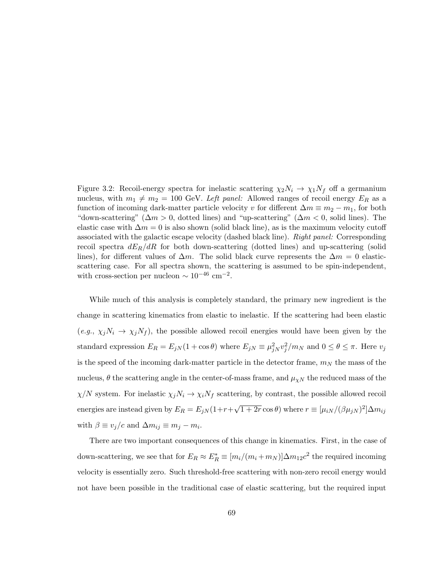Figure 3.2: Recoil-energy spectra for inelastic scattering  $\chi_2 N_i \to \chi_1 N_f$  off a germanium nucleus, with  $m_1 \neq m_2 = 100$  GeV. Left panel: Allowed ranges of recoil energy  $E_R$  as a function of incoming dark-matter particle velocity v for different  $\Delta m \equiv m_2 - m_1$ , for both "down-scattering" ( $\Delta m > 0$ , dotted lines) and "up-scattering" ( $\Delta m < 0$ , solid lines). The elastic case with  $\Delta m = 0$  is also shown (solid black line), as is the maximum velocity cutoff associated with the galactic escape velocity (dashed black line). Right panel: Corresponding recoil spectra  $dE_R/dR$  for both down-scattering (dotted lines) and up-scattering (solid lines), for different values of  $\Delta m$ . The solid black curve represents the  $\Delta m = 0$  elasticscattering case. For all spectra shown, the scattering is assumed to be spin-independent, with cross-section per nucleon  $\sim 10^{-46}$  cm<sup>-2</sup>.

While much of this analysis is completely standard, the primary new ingredient is the change in scattering kinematics from elastic to inelastic. If the scattering had been elastic  $(e.g., \chi_j N_i \to \chi_j N_f)$ , the possible allowed recoil energies would have been given by the standard expression  $E_R = E_{jN}(1 + \cos \theta)$  where  $E_{jN} \equiv \mu_{jN}^2 v_j^2/m_N$  and  $0 \le \theta \le \pi$ . Here  $v_j$ is the speed of the incoming dark-matter particle in the detector frame,  $m<sub>N</sub>$  the mass of the nucleus,  $\theta$  the scattering angle in the center-of-mass frame, and  $\mu_{\chi N}$  the reduced mass of the  $\chi/N$  system. For inelastic  $\chi_j N_i \to \chi_i N_f$  scattering, by contrast, the possible allowed recoil energies are instead given by  $E_R = E_{jN}(1+r+$ √  $\overline{1+2r}\cos\theta$ ) where  $r \equiv [\mu_{iN}/(\beta\mu_{jN})^2]\Delta m_{ij}$ with  $\beta \equiv v_j/c$  and  $\Delta m_{ij} \equiv m_j - m_i$ .

There are two important consequences of this change in kinematics. First, in the case of down-scattering, we see that for  $E_R \approx E_R^* \equiv [m_i/(m_i + m_N)] \Delta m_{12} c^2$  the required incoming velocity is essentially zero. Such threshold-free scattering with non-zero recoil energy would not have been possible in the traditional case of elastic scattering, but the required input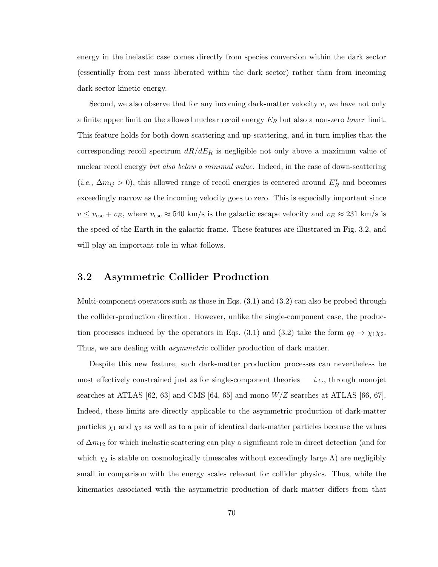energy in the inelastic case comes directly from species conversion within the dark sector (essentially from rest mass liberated within the dark sector) rather than from incoming dark-sector kinetic energy.

Second, we also observe that for any incoming dark-matter velocity  $v$ , we have not only a finite upper limit on the allowed nuclear recoil energy  $E_R$  but also a non-zero *lower* limit. This feature holds for both down-scattering and up-scattering, and in turn implies that the corresponding recoil spectrum  $dR/dE_R$  is negligible not only above a maximum value of nuclear recoil energy but also below a minimal value. Indeed, in the case of down-scattering (*i.e.*,  $\Delta m_{ij} > 0$ ), this allowed range of recoil energies is centered around  $E_R^*$  and becomes exceedingly narrow as the incoming velocity goes to zero. This is especially important since  $v \le v_{\rm esc} + v_E$ , where  $v_{\rm esc} \approx 540 \text{ km/s}$  is the galactic escape velocity and  $v_E \approx 231 \text{ km/s}$  is the speed of the Earth in the galactic frame. These features are illustrated in Fig. 3.2, and will play an important role in what follows.

### 3.2 Asymmetric Collider Production

Multi-component operators such as those in Eqs. (3.1) and (3.2) can also be probed through the collider-production direction. However, unlike the single-component case, the production processes induced by the operators in Eqs. (3.1) and (3.2) take the form  $qq \to \chi_1 \chi_2$ . Thus, we are dealing with *asymmetric* collider production of dark matter.

Despite this new feature, such dark-matter production processes can nevertheless be most effectively constrained just as for single-component theories  $-$  *i.e.*, through monojet searches at ATLAS  $[62, 63]$  and CMS  $[64, 65]$  and mono- $W/Z$  searches at ATLAS  $[66, 67]$ . Indeed, these limits are directly applicable to the asymmetric production of dark-matter particles  $\chi_1$  and  $\chi_2$  as well as to a pair of identical dark-matter particles because the values of  $\Delta m_{12}$  for which inelastic scattering can play a significant role in direct detection (and for which  $\chi_2$  is stable on cosmologically timescales without exceedingly large  $\Lambda$ ) are negligibly small in comparison with the energy scales relevant for collider physics. Thus, while the kinematics associated with the asymmetric production of dark matter differs from that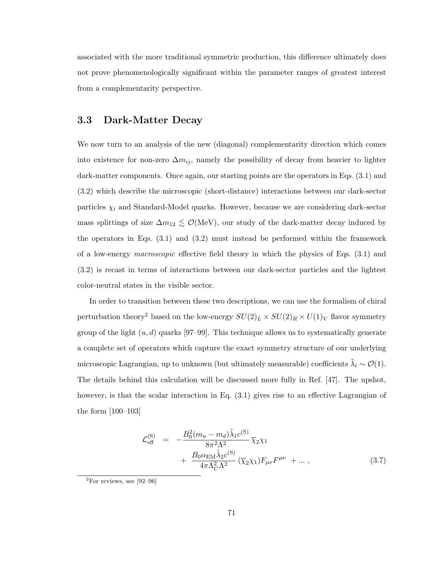associated with the more traditional symmetric production, this difference ultimately does not prove phenomenologically significant within the parameter ranges of greatest interest from a complementarity perspective.

### 3.3 Dark-Matter Decay

We now turn to an analysis of the new (diagonal) complementarity direction which comes into existence for non-zero  $\Delta m_{ij}$ , namely the possibility of decay from heavier to lighter dark-matter components. Once again, our starting points are the operators in Eqs. (3.1) and (3.2) which describe the microscopic (short-distance) interactions between our dark-sector particles  $\chi_i$  and Standard-Model quarks. However, because we are considering dark-sector mass splittings of size  $\Delta m_{12} \lesssim \mathcal{O}(\text{MeV})$ , our study of the dark-matter decay induced by the operators in Eqs. (3.1) and (3.2) must instead be performed within the framework of a low-energy macroscopic effective field theory in which the physics of Eqs. (3.1) and (3.2) is recast in terms of interactions between our dark-sector particles and the lightest color-neutral states in the visible sector.

In order to transition between these two descriptions, we can use the formalism of chiral perturbation theory<sup>2</sup> based on the low-energy  $SU(2)_L \times SU(2)_R \times U(1)_V$  flavor symmetry group of the light  $(u, d)$  quarks [97–99]. This technique allows us to systematically generate a complete set of operators which capture the exact symmetry structure of our underlying microscopic Lagrangian, up to unknown (but ultimately measurable) coefficients  $\tilde{\lambda}_i \sim \mathcal{O}(1)$ . The details behind this calculation will be discussed more fully in Ref. [47]. The upshot, however, is that the scalar interaction in Eq.  $(3.1)$  gives rise to an effective Lagrangian of the form [100–103]

$$
\mathcal{L}_{\text{eff}}^{(\text{S})} = -\frac{B_0^2 (m_u - m_d) \tilde{\lambda}_1 c^{(\text{S})}}{8\pi^2 \Lambda^2} \overline{\chi}_2 \chi_1 + \frac{B_0 \alpha_{\text{EM}} \tilde{\lambda}_2 c^{(\text{S})}}{4\pi \Lambda_C^2 \Lambda^2} (\overline{\chi}_2 \chi_1) F_{\mu\nu} F^{\mu\nu} + \dots, \qquad (3.7)
$$

 $^{2}$ For reviews, see [92–96]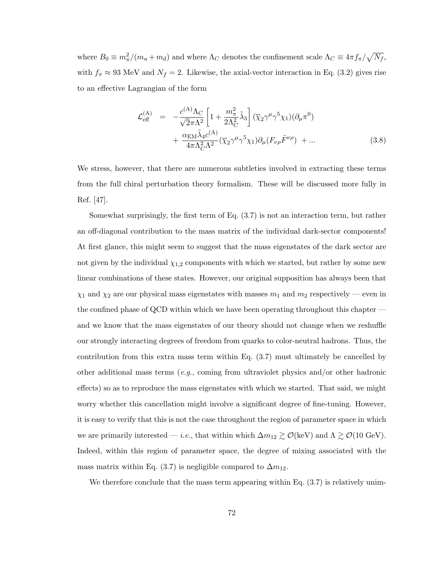where  $B_0 \equiv m_{\pi}^2/(m_u + m_d)$  and where  $\Lambda_C$  denotes the confinement scale  $\Lambda_C \equiv 4\pi f_{\pi}/\sqrt{N_f}$ , with  $f_{\pi} \approx 93$  MeV and  $N_f = 2$ . Likewise, the axial-vector interaction in Eq. (3.2) gives rise to an effective Lagrangian of the form

$$
\mathcal{L}_{\text{eff}}^{(\text{A})} = -\frac{c^{(\text{A})}\Lambda_C}{\sqrt{2}\pi\Lambda^2} \left[ 1 + \frac{m_{\pi}^2}{2\Lambda_C^2} \tilde{\lambda}_3 \right] (\overline{\chi}_2 \gamma^{\mu} \gamma^5 \chi_1) (\partial_{\mu} \pi^0) + \frac{\alpha_{\text{EM}} \tilde{\lambda}_4 c^{(\text{A})}}{4\pi \Lambda_C^2 \Lambda^2} (\overline{\chi}_2 \gamma^{\mu} \gamma^5 \chi_1) \partial_{\mu} (F_{\nu \rho} \tilde{F}^{\nu \rho}) + \dots
$$
(3.8)

We stress, however, that there are numerous subtleties involved in extracting these terms from the full chiral perturbation theory formalism. These will be discussed more fully in Ref. [47].

Somewhat surprisingly, the first term of Eq. (3.7) is not an interaction term, but rather an off-diagonal contribution to the mass matrix of the individual dark-sector components! At first glance, this might seem to suggest that the mass eigenstates of the dark sector are not given by the individual  $\chi_{1,2}$  components with which we started, but rather by some new linear combinations of these states. However, our original supposition has always been that  $\chi_1$  and  $\chi_2$  are our physical mass eigenstates with masses  $m_1$  and  $m_2$  respectively — even in the confined phase of QCD within which we have been operating throughout this chapter and we know that the mass eigenstates of our theory should not change when we reshuffle our strongly interacting degrees of freedom from quarks to color-neutral hadrons. Thus, the contribution from this extra mass term within Eq. (3.7) must ultimately be cancelled by other additional mass terms (e.g., coming from ultraviolet physics and/or other hadronic effects) so as to reproduce the mass eigenstates with which we started. That said, we might worry whether this cancellation might involve a significant degree of fine-tuning. However, it is easy to verify that this is not the case throughout the region of parameter space in which we are primarily interested — *i.e.*, that within which  $\Delta m_{12} \gtrsim \mathcal{O}(\text{keV})$  and  $\Lambda \gtrsim \mathcal{O}(10 \text{ GeV})$ . Indeed, within this region of parameter space, the degree of mixing associated with the mass matrix within Eq. (3.7) is negligible compared to  $\Delta m_{12}$ .

We therefore conclude that the mass term appearing within Eq.  $(3.7)$  is relatively unim-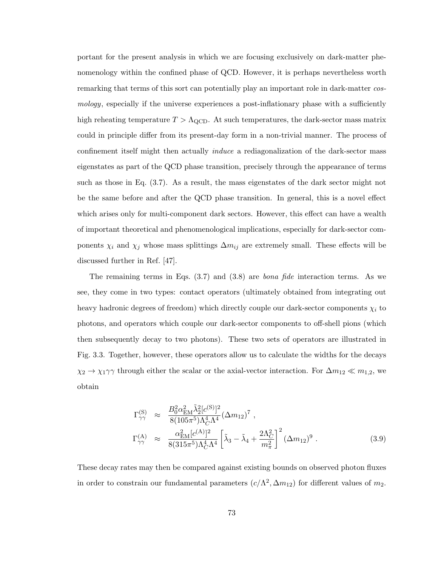portant for the present analysis in which we are focusing exclusively on dark-matter phenomenology within the confined phase of QCD. However, it is perhaps nevertheless worth remarking that terms of this sort can potentially play an important role in dark-matter cosmology, especially if the universe experiences a post-inflationary phase with a sufficiently high reheating temperature  $T > \Lambda_{\rm QCD}$ . At such temperatures, the dark-sector mass matrix could in principle differ from its present-day form in a non-trivial manner. The process of confinement itself might then actually induce a rediagonalization of the dark-sector mass eigenstates as part of the QCD phase transition, precisely through the appearance of terms such as those in Eq. (3.7). As a result, the mass eigenstates of the dark sector might not be the same before and after the QCD phase transition. In general, this is a novel effect which arises only for multi-component dark sectors. However, this effect can have a wealth of important theoretical and phenomenological implications, especially for dark-sector components  $\chi_i$  and  $\chi_j$  whose mass splittings  $\Delta m_{ij}$  are extremely small. These effects will be discussed further in Ref. [47].

The remaining terms in Eqs.  $(3.7)$  and  $(3.8)$  are *bona fide* interaction terms. As we see, they come in two types: contact operators (ultimately obtained from integrating out heavy hadronic degrees of freedom) which directly couple our dark-sector components  $\chi_i$  to photons, and operators which couple our dark-sector components to off-shell pions (which then subsequently decay to two photons). These two sets of operators are illustrated in Fig. 3.3. Together, however, these operators allow us to calculate the widths for the decays  $\chi_2 \to \chi_1 \gamma \gamma$  through either the scalar or the axial-vector interaction. For  $\Delta m_{12} \ll m_{1,2}$ , we obtain

$$
\Gamma_{\gamma\gamma}^{(S)} \approx \frac{B_0^2 \alpha_{\rm EM}^2 \tilde{\lambda}_2^2 [c^{(S)}]^2}{8(105\pi^5)\Lambda_C^4 \Lambda^4} (\Delta m_{12})^7 ,
$$
\n
$$
\Gamma_{\gamma\gamma}^{(A)} \approx \frac{\alpha_{\rm EM}^2 [c^{(A)}]^2}{8(315\pi^5)\Lambda_C^4 \Lambda^4} \left[ \tilde{\lambda}_3 - \tilde{\lambda}_4 + \frac{2\Lambda_C^2}{m_\pi^2} \right]^2 (\Delta m_{12})^9 .
$$
\n(3.9)

These decay rates may then be compared against existing bounds on observed photon fluxes in order to constrain our fundamental parameters  $(c/\Lambda^2, \Delta m_{12})$  for different values of  $m_2$ .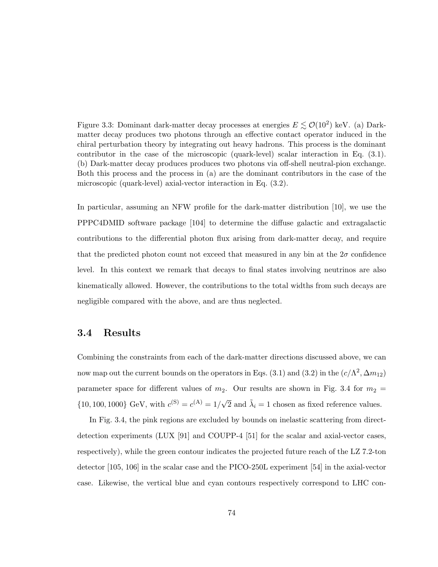Figure 3.3: Dominant dark-matter decay processes at energies  $E \lesssim \mathcal{O}(10^2)$  keV. (a) Darkmatter decay produces two photons through an effective contact operator induced in the chiral perturbation theory by integrating out heavy hadrons. This process is the dominant contributor in the case of the microscopic (quark-level) scalar interaction in Eq. (3.1). (b) Dark-matter decay produces produces two photons via off-shell neutral-pion exchange. Both this process and the process in (a) are the dominant contributors in the case of the microscopic (quark-level) axial-vector interaction in Eq. (3.2).

In particular, assuming an NFW profile for the dark-matter distribution [10], we use the PPPC4DMID software package [104] to determine the diffuse galactic and extragalactic contributions to the differential photon flux arising from dark-matter decay, and require that the predicted photon count not exceed that measured in any bin at the  $2\sigma$  confidence level. In this context we remark that decays to final states involving neutrinos are also kinematically allowed. However, the contributions to the total widths from such decays are negligible compared with the above, and are thus neglected.

#### 3.4 Results

Combining the constraints from each of the dark-matter directions discussed above, we can now map out the current bounds on the operators in Eqs. (3.1) and (3.2) in the  $(c/\Lambda^2, \Delta m_{12})$ parameter space for different values of  $m_2$ . Our results are shown in Fig. 3.4 for  $m_2 =$  $\{10, 100, 1000\}$  GeV, with  $c^{(S)} = c^{(A)} = 1/\sqrt{2}$  and  $\tilde{\lambda}_i = 1$  chosen as fixed reference values.

In Fig. 3.4, the pink regions are excluded by bounds on inelastic scattering from directdetection experiments (LUX [91] and COUPP-4 [51] for the scalar and axial-vector cases, respectively), while the green contour indicates the projected future reach of the LZ 7.2-ton detector [105, 106] in the scalar case and the PICO-250L experiment [54] in the axial-vector case. Likewise, the vertical blue and cyan contours respectively correspond to LHC con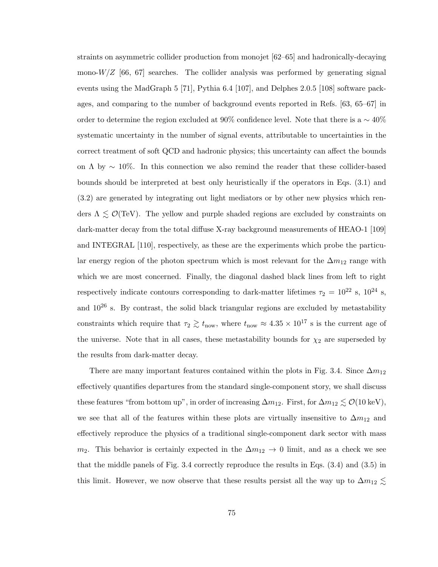straints on asymmetric collider production from monojet [62–65] and hadronically-decaying mono- $W/Z$  [66, 67] searches. The collider analysis was performed by generating signal events using the MadGraph 5 [71], Pythia 6.4 [107], and Delphes 2.0.5 [108] software packages, and comparing to the number of background events reported in Refs. [63, 65–67] in order to determine the region excluded at 90% confidence level. Note that there is a  $\sim 40\%$ systematic uncertainty in the number of signal events, attributable to uncertainties in the correct treatment of soft QCD and hadronic physics; this uncertainty can affect the bounds on  $\Lambda$  by  $\sim 10\%$ . In this connection we also remind the reader that these collider-based bounds should be interpreted at best only heuristically if the operators in Eqs. (3.1) and (3.2) are generated by integrating out light mediators or by other new physics which renders  $\Lambda \lesssim \mathcal{O}(\text{TeV})$ . The yellow and purple shaded regions are excluded by constraints on dark-matter decay from the total diffuse X-ray background measurements of HEAO-1 [109] and INTEGRAL [110], respectively, as these are the experiments which probe the particular energy region of the photon spectrum which is most relevant for the  $\Delta m_{12}$  range with which we are most concerned. Finally, the diagonal dashed black lines from left to right respectively indicate contours corresponding to dark-matter lifetimes  $\tau_2 = 10^{22}$  s,  $10^{24}$  s, and  $10^{26}$  s. By contrast, the solid black triangular regions are excluded by metastability constraints which require that  $\tau_2 \gtrsim t_{\text{now}}$ , where  $t_{\text{now}} \approx 4.35 \times 10^{17}$  s is the current age of the universe. Note that in all cases, these metastability bounds for  $\chi_2$  are superseded by the results from dark-matter decay.

There are many important features contained within the plots in Fig. 3.4. Since  $\Delta m_{12}$ effectively quantifies departures from the standard single-component story, we shall discuss these features "from bottom up", in order of increasing  $\Delta m_{12}$ . First, for  $\Delta m_{12} \lesssim \mathcal{O}(10 \text{ keV})$ , we see that all of the features within these plots are virtually insensitive to  $\Delta m_{12}$  and effectively reproduce the physics of a traditional single-component dark sector with mass  $m_2$ . This behavior is certainly expected in the  $\Delta m_{12} \rightarrow 0$  limit, and as a check we see that the middle panels of Fig. 3.4 correctly reproduce the results in Eqs. (3.4) and (3.5) in this limit. However, we now observe that these results persist all the way up to  $\Delta m_{12} \lesssim$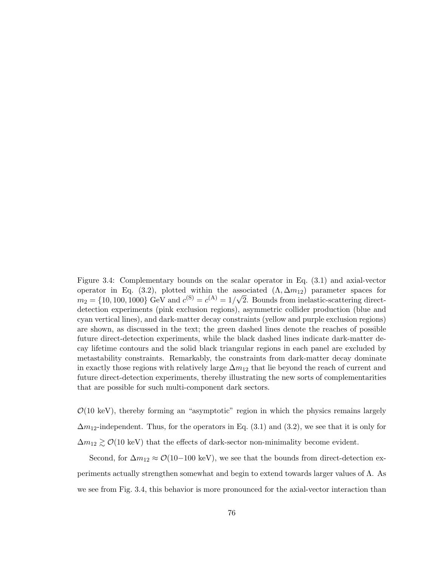Figure 3.4: Complementary bounds on the scalar operator in Eq. (3.1) and axial-vector operator in Eq. (3.2), plotted within the associated  $(\Lambda, \Delta m_{12})$  parameter spaces for  $m_2 = \{10, 100, 1000\}$  GeV and  $c^{(S)} = c^{(A)} = 1/\sqrt{2}$ . Bounds from inelastic-scattering directdetection experiments (pink exclusion regions), asymmetric collider production (blue and cyan vertical lines), and dark-matter decay constraints (yellow and purple exclusion regions) are shown, as discussed in the text; the green dashed lines denote the reaches of possible future direct-detection experiments, while the black dashed lines indicate dark-matter decay lifetime contours and the solid black triangular regions in each panel are excluded by metastability constraints. Remarkably, the constraints from dark-matter decay dominate in exactly those regions with relatively large  $\Delta m_{12}$  that lie beyond the reach of current and future direct-detection experiments, thereby illustrating the new sorts of complementarities that are possible for such multi-component dark sectors.

 $\mathcal{O}(10 \text{ keV})$ , thereby forming an "asymptotic" region in which the physics remains largely  $\Delta m_{12}$ -independent. Thus, for the operators in Eq. (3.1) and (3.2), we see that it is only for  $\Delta m_{12} \gtrsim \mathcal{O}(10 \text{ keV})$  that the effects of dark-sector non-minimality become evident.

Second, for  $\Delta m_{12} \approx \mathcal{O}(10-100 \text{ keV})$ , we see that the bounds from direct-detection experiments actually strengthen somewhat and begin to extend towards larger values of  $\Lambda$ . As we see from Fig. 3.4, this behavior is more pronounced for the axial-vector interaction than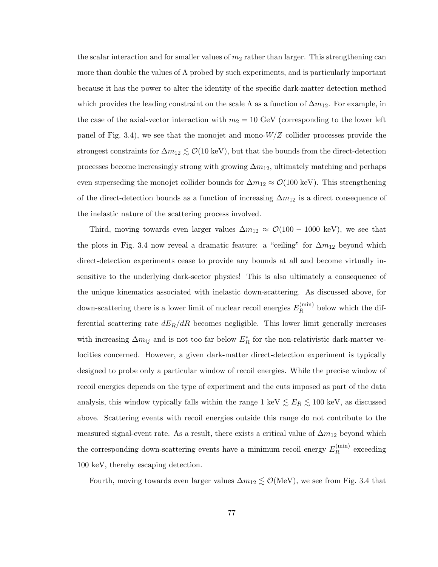the scalar interaction and for smaller values of  $m_2$  rather than larger. This strengthening can more than double the values of  $\Lambda$  probed by such experiments, and is particularly important because it has the power to alter the identity of the specific dark-matter detection method which provides the leading constraint on the scale  $\Lambda$  as a function of  $\Delta m_{12}$ . For example, in the case of the axial-vector interaction with  $m_2 = 10$  GeV (corresponding to the lower left panel of Fig. 3.4), we see that the monojet and mono- $W/Z$  collider processes provide the strongest constraints for  $\Delta m_{12} \lesssim \mathcal{O}(10 \text{ keV})$ , but that the bounds from the direct-detection processes become increasingly strong with growing  $\Delta m_{12}$ , ultimately matching and perhaps even superseding the monojet collider bounds for  $\Delta m_{12} \approx \mathcal{O}(100 \text{ keV})$ . This strengthening of the direct-detection bounds as a function of increasing  $\Delta m_{12}$  is a direct consequence of the inelastic nature of the scattering process involved.

Third, moving towards even larger values  $\Delta m_{12} \approx \mathcal{O}(100 - 1000 \text{ keV})$ , we see that the plots in Fig. 3.4 now reveal a dramatic feature: a "ceiling" for  $\Delta m_{12}$  beyond which direct-detection experiments cease to provide any bounds at all and become virtually insensitive to the underlying dark-sector physics! This is also ultimately a consequence of the unique kinematics associated with inelastic down-scattering. As discussed above, for down-scattering there is a lower limit of nuclear recoil energies  $E_R^{(\text{min})}$  $R^{(\text{mm})}$  below which the differential scattering rate  $dE_R/dR$  becomes negligible. This lower limit generally increases with increasing  $\Delta m_{ij}$  and is not too far below  $E_R^*$  for the non-relativistic dark-matter velocities concerned. However, a given dark-matter direct-detection experiment is typically designed to probe only a particular window of recoil energies. While the precise window of recoil energies depends on the type of experiment and the cuts imposed as part of the data analysis, this window typically falls within the range 1 keV  $\lesssim E_R \lesssim 100$  keV, as discussed above. Scattering events with recoil energies outside this range do not contribute to the measured signal-event rate. As a result, there exists a critical value of  $\Delta m_{12}$  beyond which the corresponding down-scattering events have a minimum recoil energy  $E_R^{(\text{min})}$  $R^{(\text{mm})}$  exceeding 100 keV, thereby escaping detection.

Fourth, moving towards even larger values  $\Delta m_{12} \lesssim \mathcal{O}(\text{MeV})$ , we see from Fig. 3.4 that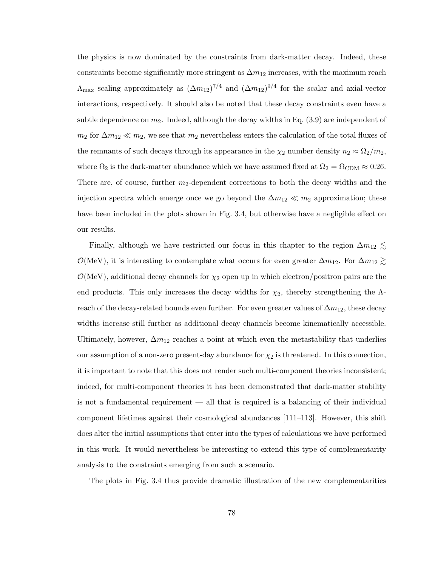the physics is now dominated by the constraints from dark-matter decay. Indeed, these constraints become significantly more stringent as  $\Delta m_{12}$  increases, with the maximum reach  $\Lambda_{\text{max}}$  scaling approximately as  $(\Delta m_{12})^{7/4}$  and  $(\Delta m_{12})^{9/4}$  for the scalar and axial-vector interactions, respectively. It should also be noted that these decay constraints even have a subtle dependence on  $m_2$ . Indeed, although the decay widths in Eq.  $(3.9)$  are independent of  $m_2$  for  $\Delta m_{12} \ll m_2$ , we see that  $m_2$  nevertheless enters the calculation of the total fluxes of the remnants of such decays through its appearance in the  $\chi_2$  number density  $n_2 \approx \Omega_2/m_2$ , where  $\Omega_2$  is the dark-matter abundance which we have assumed fixed at  $\Omega_2 = \Omega_{\rm CDM} \approx 0.26$ . There are, of course, further  $m_2$ -dependent corrections to both the decay widths and the injection spectra which emerge once we go beyond the  $\Delta m_{12} \ll m_2$  approximation; these have been included in the plots shown in Fig. 3.4, but otherwise have a negligible effect on our results.

Finally, although we have restricted our focus in this chapter to the region  $\Delta m_{12} \lesssim$  $\mathcal{O}(\text{MeV})$ , it is interesting to contemplate what occurs for even greater  $\Delta m_{12}$ . For  $\Delta m_{12} \gtrsim$  $\mathcal{O}(\text{MeV})$ , additional decay channels for  $\chi_2$  open up in which electron/positron pairs are the end products. This only increases the decay widths for  $\chi_2$ , thereby strengthening the  $\Lambda$ reach of the decay-related bounds even further. For even greater values of  $\Delta m_{12}$ , these decay widths increase still further as additional decay channels become kinematically accessible. Ultimately, however,  $\Delta m_{12}$  reaches a point at which even the metastability that underlies our assumption of a non-zero present-day abundance for  $\chi_2$  is threatened. In this connection, it is important to note that this does not render such multi-component theories inconsistent; indeed, for multi-component theories it has been demonstrated that dark-matter stability is not a fundamental requirement — all that is required is a balancing of their individual component lifetimes against their cosmological abundances [111–113]. However, this shift does alter the initial assumptions that enter into the types of calculations we have performed in this work. It would nevertheless be interesting to extend this type of complementarity analysis to the constraints emerging from such a scenario.

The plots in Fig. 3.4 thus provide dramatic illustration of the new complementarities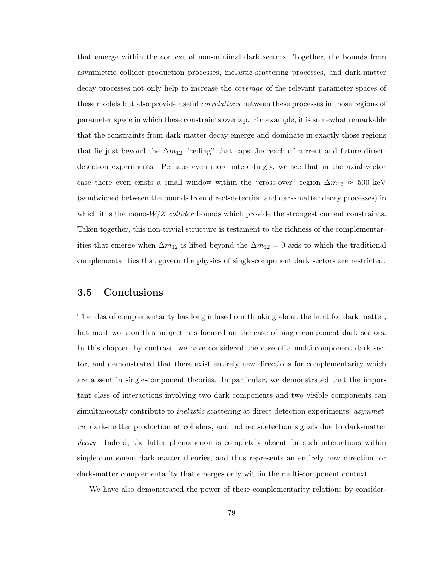that emerge within the context of non-minimal dark sectors. Together, the bounds from asymmetric collider-production processes, inelastic-scattering processes, and dark-matter decay processes not only help to increase the coverage of the relevant parameter spaces of these models but also provide useful *correlations* between these processes in those regions of parameter space in which these constraints overlap. For example, it is somewhat remarkable that the constraints from dark-matter decay emerge and dominate in exactly those regions that lie just beyond the  $\Delta m_{12}$  "ceiling" that caps the reach of current and future directdetection experiments. Perhaps even more interestingly, we see that in the axial-vector case there even exists a small window within the "cross-over" region  $\Delta m_{12} \approx 500$  keV (sandwiched between the bounds from direct-detection and dark-matter decay processes) in which it is the mono- $W/Z$  collider bounds which provide the strongest current constraints. Taken together, this non-trivial structure is testament to the richness of the complementarities that emerge when  $\Delta m_{12}$  is lifted beyond the  $\Delta m_{12} = 0$  axis to which the traditional complementarities that govern the physics of single-component dark sectors are restricted.

# 3.5 Conclusions

The idea of complementarity has long infused our thinking about the hunt for dark matter, but most work on this subject has focused on the case of single-component dark sectors. In this chapter, by contrast, we have considered the case of a multi-component dark sector, and demonstrated that there exist entirely new directions for complementarity which are absent in single-component theories. In particular, we demonstrated that the important class of interactions involving two dark components and two visible components can simultaneously contribute to *inelastic* scattering at direct-detection experiments, *asymmet*ric dark-matter production at colliders, and indirect-detection signals due to dark-matter decay. Indeed, the latter phenomenon is completely absent for such interactions within single-component dark-matter theories, and thus represents an entirely new direction for dark-matter complementarity that emerges only within the multi-component context.

We have also demonstrated the power of these complementarity relations by consider-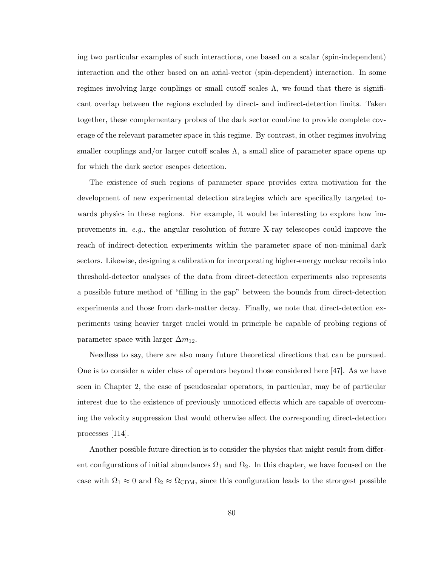ing two particular examples of such interactions, one based on a scalar (spin-independent) interaction and the other based on an axial-vector (spin-dependent) interaction. In some regimes involving large couplings or small cutoff scales  $\Lambda$ , we found that there is significant overlap between the regions excluded by direct- and indirect-detection limits. Taken together, these complementary probes of the dark sector combine to provide complete coverage of the relevant parameter space in this regime. By contrast, in other regimes involving smaller couplings and/or larger cutoff scales  $\Lambda$ , a small slice of parameter space opens up for which the dark sector escapes detection.

The existence of such regions of parameter space provides extra motivation for the development of new experimental detection strategies which are specifically targeted towards physics in these regions. For example, it would be interesting to explore how improvements in, e.g., the angular resolution of future X-ray telescopes could improve the reach of indirect-detection experiments within the parameter space of non-minimal dark sectors. Likewise, designing a calibration for incorporating higher-energy nuclear recoils into threshold-detector analyses of the data from direct-detection experiments also represents a possible future method of "filling in the gap" between the bounds from direct-detection experiments and those from dark-matter decay. Finally, we note that direct-detection experiments using heavier target nuclei would in principle be capable of probing regions of parameter space with larger  $\Delta m_{12}$ .

Needless to say, there are also many future theoretical directions that can be pursued. One is to consider a wider class of operators beyond those considered here [47]. As we have seen in Chapter 2, the case of pseudoscalar operators, in particular, may be of particular interest due to the existence of previously unnoticed effects which are capable of overcoming the velocity suppression that would otherwise affect the corresponding direct-detection processes [114].

Another possible future direction is to consider the physics that might result from different configurations of initial abundances  $\Omega_1$  and  $\Omega_2$ . In this chapter, we have focused on the case with  $\Omega_1 \approx 0$  and  $\Omega_2 \approx \Omega_{CDM}$ , since this configuration leads to the strongest possible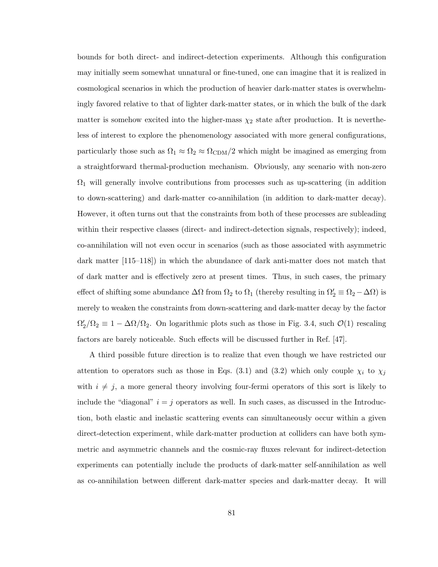bounds for both direct- and indirect-detection experiments. Although this configuration may initially seem somewhat unnatural or fine-tuned, one can imagine that it is realized in cosmological scenarios in which the production of heavier dark-matter states is overwhelmingly favored relative to that of lighter dark-matter states, or in which the bulk of the dark matter is somehow excited into the higher-mass  $\chi_2$  state after production. It is nevertheless of interest to explore the phenomenology associated with more general configurations, particularly those such as  $\Omega_1 \approx \Omega_2 \approx \Omega_{CDM}/2$  which might be imagined as emerging from a straightforward thermal-production mechanism. Obviously, any scenario with non-zero  $\Omega_1$  will generally involve contributions from processes such as up-scattering (in addition to down-scattering) and dark-matter co-annihilation (in addition to dark-matter decay). However, it often turns out that the constraints from both of these processes are subleading within their respective classes (direct- and indirect-detection signals, respectively); indeed, co-annihilation will not even occur in scenarios (such as those associated with asymmetric dark matter [115–118]) in which the abundance of dark anti-matter does not match that of dark matter and is effectively zero at present times. Thus, in such cases, the primary effect of shifting some abundance  $\Delta\Omega$  from  $\Omega_2$  to  $\Omega_1$  (thereby resulting in  $\Omega'_2 \equiv \Omega_2 - \Delta\Omega$ ) is merely to weaken the constraints from down-scattering and dark-matter decay by the factor  $\Omega'_2/\Omega_2 \equiv 1 - \Delta\Omega/\Omega_2$ . On logarithmic plots such as those in Fig. 3.4, such  $\mathcal{O}(1)$  rescaling factors are barely noticeable. Such effects will be discussed further in Ref. [47].

A third possible future direction is to realize that even though we have restricted our attention to operators such as those in Eqs. (3.1) and (3.2) which only couple  $\chi_i$  to  $\chi_j$ with  $i \neq j$ , a more general theory involving four-fermi operators of this sort is likely to include the "diagonal"  $i = j$  operators as well. In such cases, as discussed in the Introduction, both elastic and inelastic scattering events can simultaneously occur within a given direct-detection experiment, while dark-matter production at colliders can have both symmetric and asymmetric channels and the cosmic-ray fluxes relevant for indirect-detection experiments can potentially include the products of dark-matter self-annihilation as well as co-annihilation between different dark-matter species and dark-matter decay. It will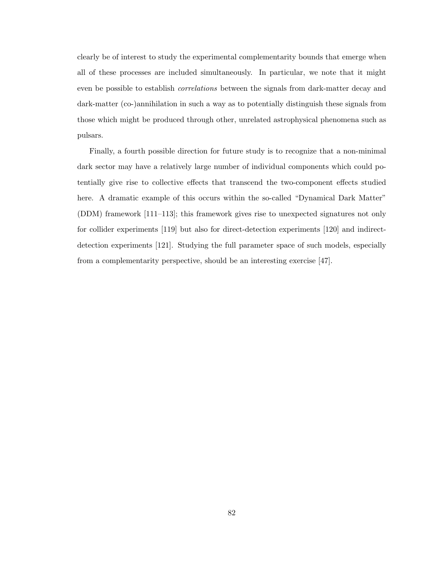clearly be of interest to study the experimental complementarity bounds that emerge when all of these processes are included simultaneously. In particular, we note that it might even be possible to establish correlations between the signals from dark-matter decay and dark-matter (co-)annihilation in such a way as to potentially distinguish these signals from those which might be produced through other, unrelated astrophysical phenomena such as pulsars.

Finally, a fourth possible direction for future study is to recognize that a non-minimal dark sector may have a relatively large number of individual components which could potentially give rise to collective effects that transcend the two-component effects studied here. A dramatic example of this occurs within the so-called "Dynamical Dark Matter" (DDM) framework [111–113]; this framework gives rise to unexpected signatures not only for collider experiments [119] but also for direct-detection experiments [120] and indirectdetection experiments [121]. Studying the full parameter space of such models, especially from a complementarity perspective, should be an interesting exercise [47].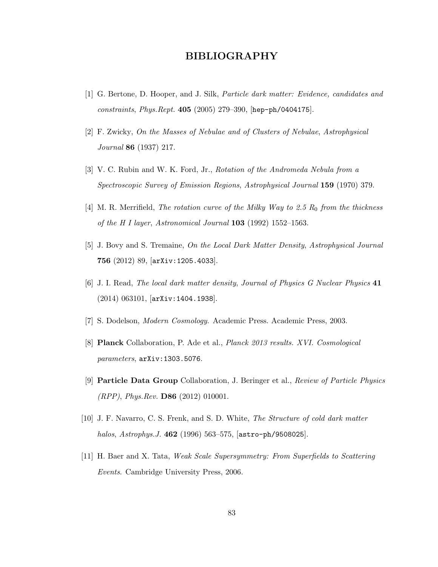# BIBLIOGRAPHY

- [1] G. Bertone, D. Hooper, and J. Silk, Particle dark matter: Evidence, candidates and constraints, Phys.Rept. 405 (2005) 279–390, [hep-ph/0404175].
- [2] F. Zwicky, On the Masses of Nebulae and of Clusters of Nebulae, Astrophysical Journal 86 (1937) 217.
- [3] V. C. Rubin and W. K. Ford, Jr., Rotation of the Andromeda Nebula from a Spectroscopic Survey of Emission Regions, Astrophysical Journal 159 (1970) 379.
- [4] M. R. Merrifield, The rotation curve of the Milky Way to 2.5  $R_0$  from the thickness of the H I layer, Astronomical Journal  $103$  (1992) 1552–1563.
- [5] J. Bovy and S. Tremaine, On the Local Dark Matter Density, Astrophysical Journal 756 (2012) 89, [arXiv:1205.4033].
- [6] J. I. Read, The local dark matter density, Journal of Physics G Nuclear Physics 41 (2014) 063101, [arXiv:1404.1938].
- [7] S. Dodelson, Modern Cosmology. Academic Press. Academic Press, 2003.
- [8] Planck Collaboration, P. Ade et al., Planck 2013 results. XVI. Cosmological parameters, arXiv:1303.5076.
- [9] Particle Data Group Collaboration, J. Beringer et al., Review of Particle Physics  $(RPP)$ , *Phys.Rev.* **D86** (2012) 010001.
- [10] J. F. Navarro, C. S. Frenk, and S. D. White, The Structure of cold dark matter halos, Astrophys. J. 462 (1996) 563–575,  $[astro-ph/9508025]$ .
- [11] H. Baer and X. Tata, Weak Scale Supersymmetry: From Superfields to Scattering Events. Cambridge University Press, 2006.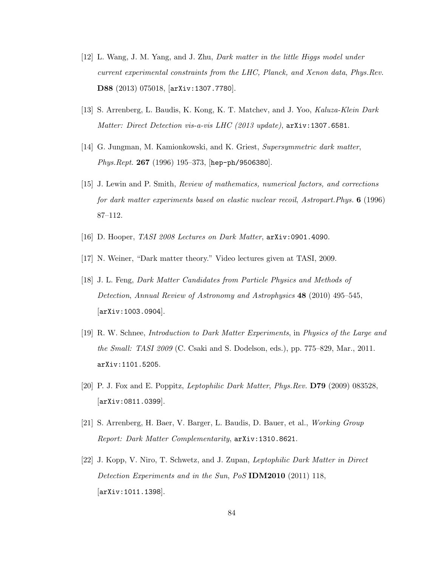- [12] L. Wang, J. M. Yang, and J. Zhu, Dark matter in the little Higgs model under current experimental constraints from the LHC, Planck, and Xenon data, Phys.Rev. D88 (2013) 075018, [arXiv:1307.7780].
- [13] S. Arrenberg, L. Baudis, K. Kong, K. T. Matchev, and J. Yoo, Kaluza-Klein Dark Matter: Direct Detection vis-a-vis LHC (2013 update), arXiv:1307.6581.
- [14] G. Jungman, M. Kamionkowski, and K. Griest, Supersymmetric dark matter, *Phys.Rept.* 267 (1996) 195–373, [hep-ph/9506380].
- [15] J. Lewin and P. Smith, Review of mathematics, numerical factors, and corrections for dark matter experiments based on elastic nuclear recoil, Astropart.Phys. 6 (1996) 87–112.
- [16] D. Hooper, TASI 2008 Lectures on Dark Matter, arXiv:0901.4090.
- [17] N. Weiner, "Dark matter theory." Video lectures given at TASI, 2009.
- [18] J. L. Feng, Dark Matter Candidates from Particle Physics and Methods of Detection, Annual Review of Astronomy and Astrophysics 48 (2010) 495–545, [arXiv:1003.0904].
- [19] R. W. Schnee, Introduction to Dark Matter Experiments, in Physics of the Large and the Small: TASI 2009 (C. Csaki and S. Dodelson, eds.), pp. 775–829, Mar., 2011. arXiv:1101.5205.
- [20] P. J. Fox and E. Poppitz, Leptophilic Dark Matter, Phys.Rev. D79 (2009) 083528, [arXiv:0811.0399].
- [21] S. Arrenberg, H. Baer, V. Barger, L. Baudis, D. Bauer, et al., Working Group Report: Dark Matter Complementarity, arXiv:1310.8621.
- [22] J. Kopp, V. Niro, T. Schwetz, and J. Zupan, Leptophilic Dark Matter in Direct Detection Experiments and in the Sun, PoS **IDM2010** (2011) 118, [arXiv:1011.1398].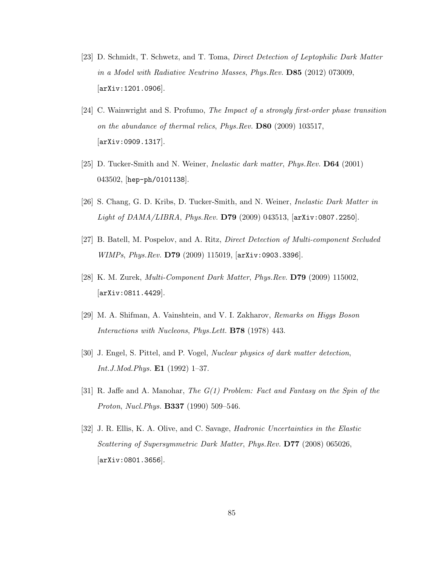- [23] D. Schmidt, T. Schwetz, and T. Toma, Direct Detection of Leptophilic Dark Matter in a Model with Radiative Neutrino Masses, Phys.Rev. D85 (2012) 073009, [arXiv:1201.0906].
- [24] C. Wainwright and S. Profumo, The Impact of a strongly first-order phase transition on the abundance of thermal relics, Phys.Rev. D80 (2009) 103517, [arXiv:0909.1317].
- [25] D. Tucker-Smith and N. Weiner, Inelastic dark matter, Phys.Rev. D64 (2001) 043502, [hep-ph/0101138].
- [26] S. Chang, G. D. Kribs, D. Tucker-Smith, and N. Weiner, Inelastic Dark Matter in Light of DAMA/LIBRA, Phys.Rev. D79 (2009) 043513, [arXiv:0807.2250].
- [27] B. Batell, M. Pospelov, and A. Ritz, Direct Detection of Multi-component Secluded WIMPs, Phys.Rev. D79 (2009) 115019, [arXiv:0903.3396].
- [28] K. M. Zurek, Multi-Component Dark Matter, Phys.Rev. D79 (2009) 115002, [arXiv:0811.4429].
- [29] M. A. Shifman, A. Vainshtein, and V. I. Zakharov, Remarks on Higgs Boson Interactions with Nucleons, Phys.Lett. B78 (1978) 443.
- [30] J. Engel, S. Pittel, and P. Vogel, Nuclear physics of dark matter detection, *Int.J.Mod.Phys.* **E1** (1992) 1–37.
- [31] R. Jaffe and A. Manohar, The G(1) Problem: Fact and Fantasy on the Spin of the Proton, Nucl.Phys. B337 (1990) 509–546.
- [32] J. R. Ellis, K. A. Olive, and C. Savage, Hadronic Uncertainties in the Elastic Scattering of Supersymmetric Dark Matter, Phys.Rev. D77 (2008) 065026, [arXiv:0801.3656].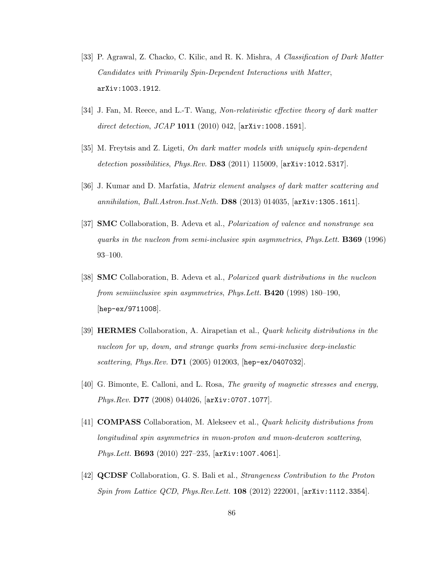- [33] P. Agrawal, Z. Chacko, C. Kilic, and R. K. Mishra, A Classification of Dark Matter Candidates with Primarily Spin-Dependent Interactions with Matter, arXiv:1003.1912.
- [34] J. Fan, M. Reece, and L.-T. Wang, Non-relativistic effective theory of dark matter direct detection, JCAP 1011 (2010) 042, [arXiv:1008.1591].
- [35] M. Freytsis and Z. Ligeti, On dark matter models with uniquely spin-dependent detection possibilities, Phys.Rev.  $DS3$  (2011) 115009,  $[\text{arXiv:1012.5317}]$ .
- [36] J. Kumar and D. Marfatia, Matrix element analyses of dark matter scattering and annihilation, Bull.Astron.Inst.Neth. D88 (2013) 014035, [arXiv:1305.1611].
- [37] SMC Collaboration, B. Adeva et al., Polarization of valence and nonstrange sea quarks in the nucleon from semi-inclusive spin asymmetries, Phys.Lett. B369 (1996) 93–100.
- [38] SMC Collaboration, B. Adeva et al., Polarized quark distributions in the nucleon from semiinclusive spin asymmetries, Phys.Lett. B420 (1998) 180–190, [hep-ex/9711008].
- [39] HERMES Collaboration, A. Airapetian et al., Quark helicity distributions in the nucleon for up, down, and strange quarks from semi-inclusive deep-inelastic scattering, *Phys.Rev.* **D71** (2005) 012003, [hep-ex/0407032].
- [40] G. Bimonte, E. Calloni, and L. Rosa, The gravity of magnetic stresses and energy, Phys.Rev. D77 (2008) 044026, [arXiv:0707.1077].
- [41] COMPASS Collaboration, M. Alekseev et al., Quark helicity distributions from longitudinal spin asymmetries in muon-proton and muon-deuteron scattering, Phys.Lett. B693 (2010) 227–235, [arXiv:1007.4061].
- [42] QCDSF Collaboration, G. S. Bali et al., Strangeness Contribution to the Proton Spin from Lattice QCD, Phys.Rev.Lett. 108 (2012) 222001, [arXiv:1112.3354].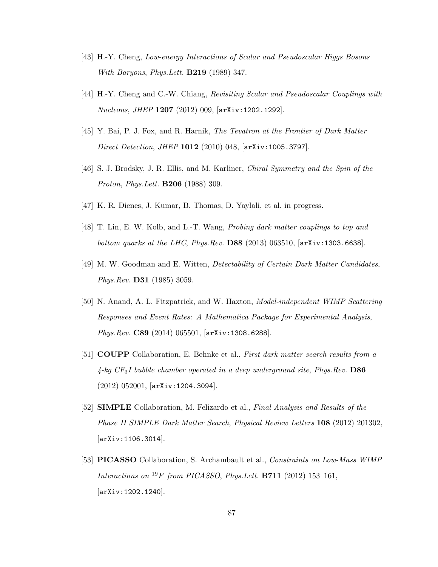- [43] H.-Y. Cheng, Low-energy Interactions of Scalar and Pseudoscalar Higgs Bosons With Baryons, Phys.Lett. B219 (1989) 347.
- [44] H.-Y. Cheng and C.-W. Chiang, Revisiting Scalar and Pseudoscalar Couplings with Nucleons, JHEP 1207 (2012) 009, [arXiv:1202.1292].
- [45] Y. Bai, P. J. Fox, and R. Harnik, The Tevatron at the Frontier of Dark Matter Direct Detection, JHEP 1012 (2010) 048, [arXiv:1005.3797].
- [46] S. J. Brodsky, J. R. Ellis, and M. Karliner, Chiral Symmetry and the Spin of the Proton, Phys.Lett. B206 (1988) 309.
- [47] K. R. Dienes, J. Kumar, B. Thomas, D. Yaylali, et al. in progress.
- [48] T. Lin, E. W. Kolb, and L.-T. Wang, Probing dark matter couplings to top and bottom quarks at the LHC, Phys.Rev. D88 (2013) 063510, [arXiv:1303.6638].
- [49] M. W. Goodman and E. Witten, Detectability of Certain Dark Matter Candidates, Phys.Rev. D31 (1985) 3059.
- [50] N. Anand, A. L. Fitzpatrick, and W. Haxton, Model-independent WIMP Scattering Responses and Event Rates: A Mathematica Package for Experimental Analysis, Phys.Rev. C89 (2014) 065501, [arXiv:1308.6288].
- [51] COUPP Collaboration, E. Behnke et al., First dark matter search results from a  $4$ -kg CF<sub>3</sub>I bubble chamber operated in a deep underground site, Phys.Rev. D86 (2012) 052001, [arXiv:1204.3094].
- [52] SIMPLE Collaboration, M. Felizardo et al., Final Analysis and Results of the Phase II SIMPLE Dark Matter Search, Physical Review Letters 108 (2012) 201302, [arXiv:1106.3014].
- [53] PICASSO Collaboration, S. Archambault et al., Constraints on Low-Mass WIMP Interactions on  $^{19}F$  from PICASSO, Phys. Lett. **B711** (2012) 153-161, [arXiv:1202.1240].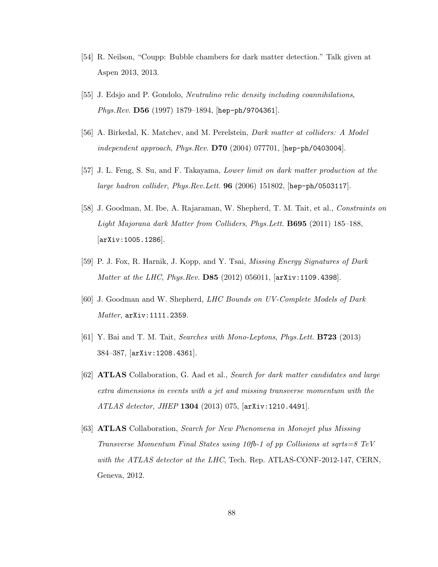- [54] R. Neilson, "Coupp: Bubble chambers for dark matter detection." Talk given at Aspen 2013, 2013.
- [55] J. Edsjo and P. Gondolo, Neutralino relic density including coannihilations, Phys.Rev. D56 (1997) 1879–1894, [hep-ph/9704361].
- [56] A. Birkedal, K. Matchev, and M. Perelstein, Dark matter at colliders: A Model independent approach, Phys.Rev.  $D70$  (2004) 077701, [hep-ph/0403004].
- [57] J. L. Feng, S. Su, and F. Takayama, Lower limit on dark matter production at the large hadron collider, Phys.Rev.Lett. 96 (2006) 151802, [hep-ph/0503117].
- [58] J. Goodman, M. Ibe, A. Rajaraman, W. Shepherd, T. M. Tait, et al., Constraints on Light Majorana dark Matter from Colliders, Phys.Lett. B695 (2011) 185–188, [arXiv:1005.1286].
- [59] P. J. Fox, R. Harnik, J. Kopp, and Y. Tsai, Missing Energy Signatures of Dark Matter at the LHC, Phys.Rev. **D85** (2012) 056011, [arXiv:1109.4398].
- [60] J. Goodman and W. Shepherd, LHC Bounds on UV-Complete Models of Dark Matter, arXiv:1111.2359.
- [61] Y. Bai and T. M. Tait, Searches with Mono-Leptons, Phys.Lett. B723 (2013) 384–387, [arXiv:1208.4361].
- [62] ATLAS Collaboration, G. Aad et al., Search for dark matter candidates and large extra dimensions in events with a jet and missing transverse momentum with the ATLAS detector, JHEP 1304 (2013) 075, [arXiv:1210.4491].
- [63] ATLAS Collaboration, Search for New Phenomena in Monojet plus Missing Transverse Momentum Final States using 10fb-1 of pp Collisions at sqrts=8 TeV with the ATLAS detector at the LHC, Tech. Rep. ATLAS-CONF-2012-147, CERN, Geneva, 2012.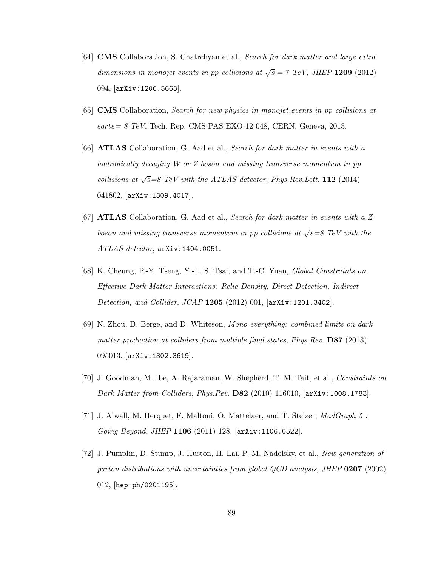- [64] CMS Collaboration, S. Chatrchyan et al., Search for dark matter and large extra dimensions in monojet events in pp collisions at  $\sqrt{s} = 7$  TeV, JHEP 1209 (2012) 094, [arXiv:1206.5663].
- [65] CMS Collaboration, Search for new physics in monojet events in pp collisions at  $sqrts = 8 TeV$ , Tech. Rep. CMS-PAS-EXO-12-048, CERN, Geneva, 2013.
- [66] ATLAS Collaboration, G. Aad et al., Search for dark matter in events with a hadronically decaying W or Z boson and missing transverse momentum in pp collisions at  $\sqrt{s} = 8$  TeV with the ATLAS detector, Phys. Rev. Lett. 112 (2014) 041802, [arXiv:1309.4017].
- [67] ATLAS Collaboration, G. Aad et al., Search for dark matter in events with a Z boson and missing transverse momentum in pp collisions at  $\sqrt{s} = 8$  TeV with the ATLAS detector, arXiv:1404.0051.
- [68] K. Cheung, P.-Y. Tseng, Y.-L. S. Tsai, and T.-C. Yuan, Global Constraints on Effective Dark Matter Interactions: Relic Density, Direct Detection, Indirect Detection, and Collider, JCAP 1205 (2012) 001, [arXiv:1201.3402].
- [69] N. Zhou, D. Berge, and D. Whiteson, Mono-everything: combined limits on dark matter production at colliders from multiple final states, Phys.Rev. D87 (2013) 095013, [arXiv:1302.3619].
- [70] J. Goodman, M. Ibe, A. Rajaraman, W. Shepherd, T. M. Tait, et al., Constraints on Dark Matter from Colliders, Phys.Rev. D82 (2010) 116010, [arXiv:1008.1783].
- [71] J. Alwall, M. Herquet, F. Maltoni, O. Mattelaer, and T. Stelzer, MadGraph 5 : Going Beyond, JHEP 1106 (2011) 128, [arXiv:1106.0522].
- [72] J. Pumplin, D. Stump, J. Huston, H. Lai, P. M. Nadolsky, et al., New generation of parton distributions with uncertainties from global QCD analysis, JHEP 0207 (2002) 012, [hep-ph/0201195].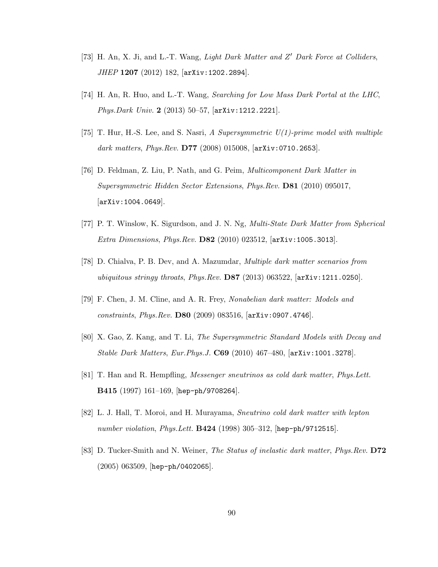- [73] H. An, X. Ji, and L.-T. Wang, Light Dark Matter and Z' Dark Force at Colliders, JHEP 1207 (2012) 182, [arXiv:1202.2894].
- [74] H. An, R. Huo, and L.-T. Wang, Searching for Low Mass Dark Portal at the LHC, Phys.Dark Univ. 2 (2013) 50–57, [arXiv:1212.2221].
- [75] T. Hur, H.-S. Lee, and S. Nasri, A Supersymmetric  $U(1)$ -prime model with multiple dark matters, Phys.Rev.  $D77$  (2008) 015008,  $[ary:0710.2653]$ .
- [76] D. Feldman, Z. Liu, P. Nath, and G. Peim, Multicomponent Dark Matter in Supersymmetric Hidden Sector Extensions, Phys.Rev. D81 (2010) 095017, [arXiv:1004.0649].
- [77] P. T. Winslow, K. Sigurdson, and J. N. Ng, Multi-State Dark Matter from Spherical Extra Dimensions, Phys.Rev. D82 (2010) 023512, [arXiv:1005.3013].
- [78] D. Chialva, P. B. Dev, and A. Mazumdar, Multiple dark matter scenarios from ubiquitous stringy throats, Phys.Rev.  $DS7$  (2013) 063522,  $\text{arXiv:1211.0250}$ .
- [79] F. Chen, J. M. Cline, and A. R. Frey, Nonabelian dark matter: Models and constraints, Phys.Rev. D80 (2009) 083516, [arXiv:0907.4746].
- [80] X. Gao, Z. Kang, and T. Li, The Supersymmetric Standard Models with Decay and Stable Dark Matters, Eur.Phys.J. C69 (2010) 467–480, [arXiv:1001.3278].
- [81] T. Han and R. Hempfling, Messenger sneutrinos as cold dark matter, Phys.Lett. B415 (1997) 161–169, [hep-ph/9708264].
- [82] L. J. Hall, T. Moroi, and H. Murayama, Sneutrino cold dark matter with lepton number violation, Phys.Lett. **B424** (1998) 305-312, [hep-ph/9712515].
- [83] D. Tucker-Smith and N. Weiner, The Status of inelastic dark matter, Phys.Rev. D72 (2005) 063509, [hep-ph/0402065].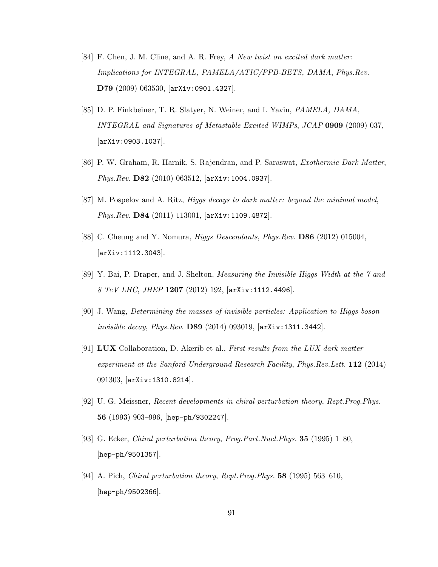- [84] F. Chen, J. M. Cline, and A. R. Frey, A New twist on excited dark matter: Implications for INTEGRAL, PAMELA/ATIC/PPB-BETS, DAMA, Phys.Rev. D79 (2009) 063530, [arXiv:0901.4327].
- [85] D. P. Finkbeiner, T. R. Slatyer, N. Weiner, and I. Yavin, PAMELA, DAMA, INTEGRAL and Signatures of Metastable Excited WIMPs, JCAP 0909 (2009) 037, [arXiv:0903.1037].
- [86] P. W. Graham, R. Harnik, S. Rajendran, and P. Saraswat, Exothermic Dark Matter, Phys.Rev. D82 (2010) 063512, [arXiv:1004.0937].
- [87] M. Pospelov and A. Ritz, Higgs decays to dark matter: beyond the minimal model, Phys.Rev. D84 (2011) 113001, [arXiv:1109.4872].
- [88] C. Cheung and Y. Nomura, Higgs Descendants, Phys.Rev. D86 (2012) 015004, [arXiv:1112.3043].
- [89] Y. Bai, P. Draper, and J. Shelton, Measuring the Invisible Higgs Width at the 7 and 8 TeV LHC, JHEP  $1207$  (2012) 192,  $\text{arXiv:1112.4496}$ .
- [90] J. Wang, Determining the masses of invisible particles: Application to Higgs boson invisible decay, Phys.Rev. D89 (2014) 093019, [arXiv:1311.3442].
- [91] LUX Collaboration, D. Akerib et al., First results from the LUX dark matter experiment at the Sanford Underground Research Facility, Phys.Rev.Lett. 112 (2014) 091303, [arXiv:1310.8214].
- [92] U. G. Meissner, Recent developments in chiral perturbation theory, Rept.Prog.Phys. 56 (1993) 903–996, [hep-ph/9302247].
- [93] G. Ecker, Chiral perturbation theory, Prog.Part.Nucl.Phys. 35 (1995) 1–80, [hep-ph/9501357].
- [94] A. Pich, Chiral perturbation theory, Rept.Prog.Phys. 58 (1995) 563–610, [hep-ph/9502366].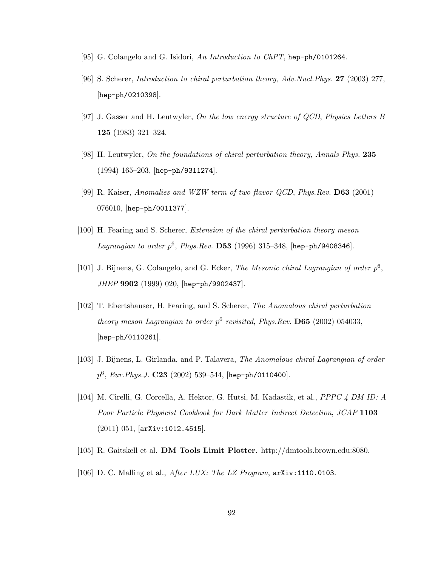- [95] G. Colangelo and G. Isidori, An Introduction to ChPT, hep-ph/0101264.
- [96] S. Scherer, Introduction to chiral perturbation theory, Adv.Nucl.Phys. 27 (2003) 277, [hep-ph/0210398].
- [97] J. Gasser and H. Leutwyler, On the low energy structure of QCD, Physics Letters B 125 (1983) 321–324.
- [98] H. Leutwyler, On the foundations of chiral perturbation theory, Annals Phys. 235 (1994) 165–203, [hep-ph/9311274].
- [99] R. Kaiser, Anomalies and WZW term of two flavor QCD, Phys.Rev. D63 (2001) 076010, [hep-ph/0011377].
- [100] H. Fearing and S. Scherer, Extension of the chiral perturbation theory meson Lagrangian to order  $p^6$ , Phys.Rev. D53 (1996) 315-348, [hep-ph/9408346].
- [101] J. Bijnens, G. Colangelo, and G. Ecker, The Mesonic chiral Lagrangian of order  $p^6$ , JHEP 9902 (1999) 020, [hep-ph/9902437].
- [102] T. Ebertshauser, H. Fearing, and S. Scherer, The Anomalous chiral perturbation theory meson Lagrangian to order  $p^6$  revisited, Phys.Rev. **D65** (2002) 054033, [hep-ph/0110261].
- [103] J. Bijnens, L. Girlanda, and P. Talavera, The Anomalous chiral Lagrangian of order  $p^6$ , Eur.Phys.J.  $C23$  (2002) 539–544, [hep-ph/0110400].
- [104] M. Cirelli, G. Corcella, A. Hektor, G. Hutsi, M. Kadastik, et al., PPPC 4 DM ID: A Poor Particle Physicist Cookbook for Dark Matter Indirect Detection, JCAP 1103 (2011) 051, [arXiv:1012.4515].
- [105] R. Gaitskell et al. DM Tools Limit Plotter. http://dmtools.brown.edu:8080.
- [106] D. C. Malling et al., *After LUX: The LZ Program*,  $arXiv:1110.0103$ .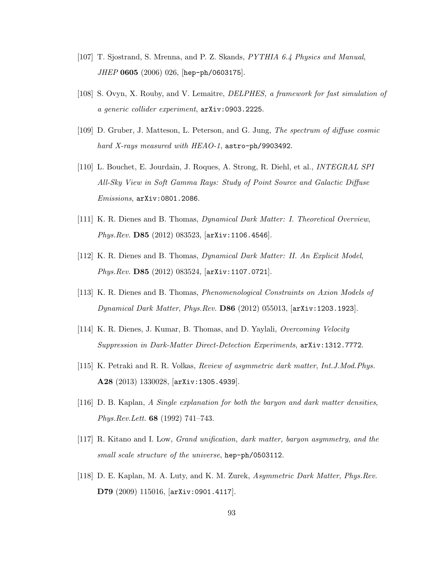- [107] T. Sjostrand, S. Mrenna, and P. Z. Skands, PYTHIA 6.4 Physics and Manual, JHEP 0605 (2006) 026, [hep-ph/0603175].
- [108] S. Ovyn, X. Rouby, and V. Lemaitre, DELPHES, a framework for fast simulation of a generic collider experiment, arXiv:0903.2225.
- [109] D. Gruber, J. Matteson, L. Peterson, and G. Jung, The spectrum of diffuse cosmic hard X-rays measured with HEAO-1, astro-ph/9903492.
- [110] L. Bouchet, E. Jourdain, J. Roques, A. Strong, R. Diehl, et al., INTEGRAL SPI All-Sky View in Soft Gamma Rays: Study of Point Source and Galactic Diffuse Emissions, arXiv:0801.2086.
- [111] K. R. Dienes and B. Thomas, Dynamical Dark Matter: I. Theoretical Overview, Phys.Rev. D85 (2012) 083523, [arXiv:1106.4546].
- [112] K. R. Dienes and B. Thomas, Dynamical Dark Matter: II. An Explicit Model, Phys.Rev. D85 (2012) 083524, [arXiv:1107.0721].
- [113] K. R. Dienes and B. Thomas, Phenomenological Constraints on Axion Models of Dynamical Dark Matter, Phys.Rev. D86 (2012) 055013, [arXiv:1203.1923].
- [114] K. R. Dienes, J. Kumar, B. Thomas, and D. Yaylali, Overcoming Velocity Suppression in Dark-Matter Direct-Detection Experiments, arXiv:1312.7772.
- [115] K. Petraki and R. R. Volkas, Review of asymmetric dark matter, Int.J.Mod.Phys. A28 (2013) 1330028, [arXiv:1305.4939].
- [116] D. B. Kaplan, A Single explanation for both the baryon and dark matter densities, Phys.Rev.Lett. 68 (1992) 741–743.
- [117] R. Kitano and I. Low, Grand unification, dark matter, baryon asymmetry, and the small scale structure of the universe, hep-ph/0503112.
- [118] D. E. Kaplan, M. A. Luty, and K. M. Zurek, Asymmetric Dark Matter, Phys.Rev. D79 (2009) 115016, [arXiv:0901.4117].